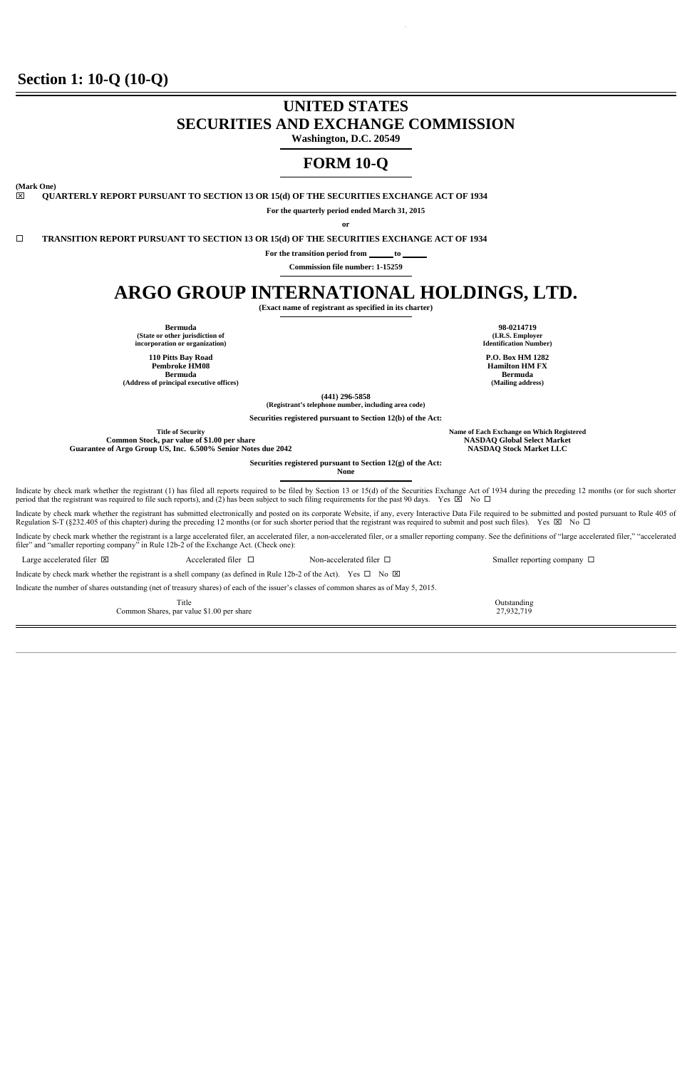## **Section 1: 10-Q (10-Q)**

# **UNITED STATES SECURITIES AND EXCHANGE COMMISSION**

**Washington, D.C. 20549** 

## **FORM 10-Q**

**(Mark One)** 

ׇ֚֬֡

**QUARTERLY REPORT PURSUANT TO SECTION 13 OR 15(d) OF THE SECURITIES EXCHANGE ACT OF 1934** 

**For the quarterly period ended March 31, 2015** 

**or** 

**TRANSITION REPORT PURSUANT TO SECTION 13 OR 15(d) OF THE SECURITIES EXCHANGE ACT OF 1934** 

For the transition period from \_\_\_\_\_\_\_ to

**Commission file number: 1-15259**  I

# **ARGO GROUP INTERNATIONAL HOLDINGS, LTD.**

**(Exact name of registrant as specified in its charter)** 

**Bermuda 98-0214719 (State or other jurisdiction of incorporation or organization)** 

**110 Pitts Bay Road Pembroke HM08 Bermuda**   $(Address of principal executive offices)$ 

**(I.R.S. Employer Identification Number)** 

**P.O. Box HM 1282 Hamilton HM FX Bermuda** 

**(441) 296-5858 (Registrant's telephone number, including area code)** 

**Securities registered pursuant to Section 12(b) of the Act:** 

**Common Stock, par value of \$1.00 per share NASDAQ Global Select Market Guarantee of Argo Group US, Inc. 6.500% Senior Notes due 2042 NASDAQ Stock Market LLC**

**Title of Security Name of Each Exchange on Which Registered**

**Securities registered pursuant to Section 12(g) of the Act:** 

**None** 

Indicate by check mark whether the registrant (1) has filed all reports required to be filed by Section 13 or 15(d) of the Securities Exchange Act of 1934 during the preceding 12 months (or for such shorter period that the registrant was required to file such reports), and (2) has been subject to such filing requirements for the past 90 days. Yes  $\boxtimes$  No  $\Box$ 

Indicate by check mark whether the registrant has submitted electronically and posted on its corporate Website, if any, every Interactive Data File required to be submitted and posted pursuant to Rule 405 of Regulation S-T (§232.405 of this chapter) during the preceding 12 months (or for such shorter period that the registrant was required to submit and post such files). Yes  $\boxtimes$  No  $\Box$ 

Indicate by check mark whether the registrant is a large accelerated filer, an accelerated filer, an accelerated filer, or a smaller reporting company. See the definitions of "large accelerated filer," "accelerated filer" and "smaller reporting company" in Rule 12b-2 of the Exchange Act. (Check one):

ׇ֖֚֚֬

Large accelerated filer  $\boxtimes$  Accelerated filer  $\Box$  Non-accelerated filer  $\Box$  Smaller reporting company  $\Box$ 

Indicate by check mark whether the registrant is a shell company (as defined in Rule 12b-2 of the Act). Yes  $\Box$  No  $\boxtimes$ 

Indicate the number of shares outstanding (net of treasury shares) of each of the issuer's classes of common shares as of May 5, 2015.

Title **Outstanding** Common Shares, par value \$1.00 per share 27,932,719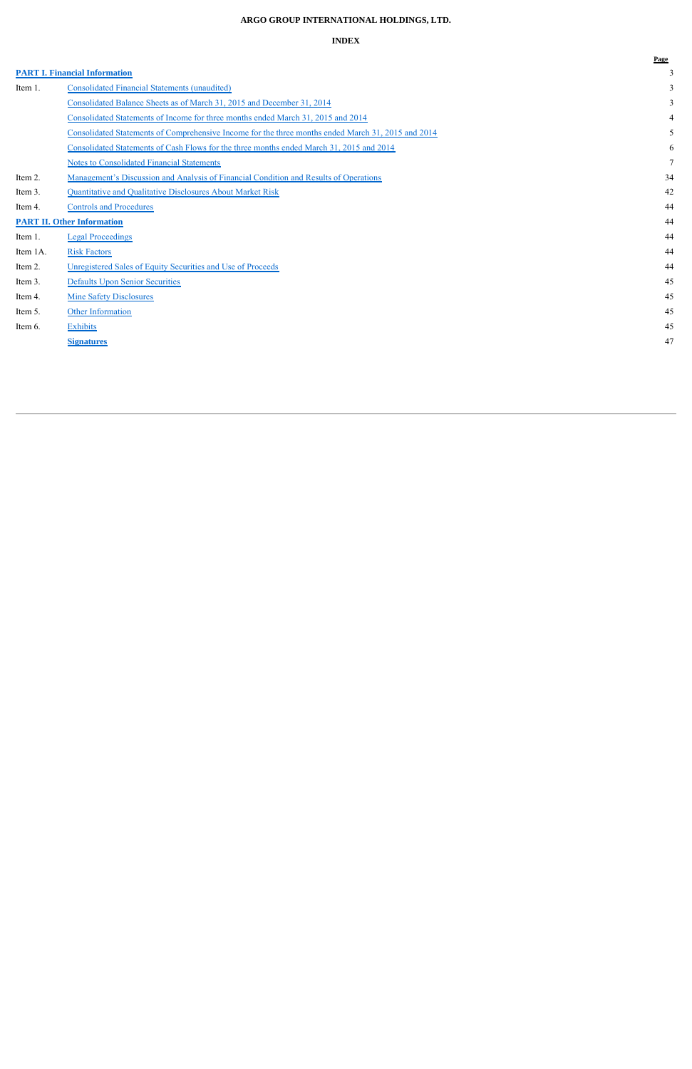## **ARGO GROUP INTERNATIONAL HOLDINGS, LTD.**

## **INDEX**

|          |                                                                                                    | Page |
|----------|----------------------------------------------------------------------------------------------------|------|
|          | <b>PART I. Financial Information</b>                                                               |      |
| Item 1.  | <b>Consolidated Financial Statements (unaudited)</b>                                               |      |
|          | Consolidated Balance Sheets as of March 31, 2015 and December 31, 2014                             |      |
|          | Consolidated Statements of Income for three months ended March 31, 2015 and 2014                   |      |
|          | Consolidated Statements of Comprehensive Income for the three months ended March 31, 2015 and 2014 |      |
|          | Consolidated Statements of Cash Flows for the three months ended March 31, 2015 and 2014           | 6    |
|          | <b>Notes to Consolidated Financial Statements</b>                                                  |      |
| Item 2.  | <u>Management's Discussion and Analysis of Financial Condition and Results of Operations</u>       | 34   |
| Item 3.  | Quantitative and Qualitative Disclosures About Market Risk                                         | 42   |
| Item 4.  | <b>Controls and Procedures</b>                                                                     | 44   |
|          | <b>PART II. Other Information</b>                                                                  | 44   |
| Item 1.  | <b>Legal Proceedings</b>                                                                           | 44   |
| Item 1A. | <b>Risk Factors</b>                                                                                | 44   |
| Item 2.  | Unregistered Sales of Equity Securities and Use of Proceeds                                        | 44   |
| Item 3.  | <b>Defaults Upon Senior Securities</b>                                                             | 45   |
| Item 4.  | <b>Mine Safety Disclosures</b>                                                                     | 45   |
| Item 5.  | <b>Other Information</b>                                                                           | 45   |
| Item 6.  | <b>Exhibits</b>                                                                                    | 45   |
|          | <b>Signatures</b>                                                                                  | 47   |
|          |                                                                                                    |      |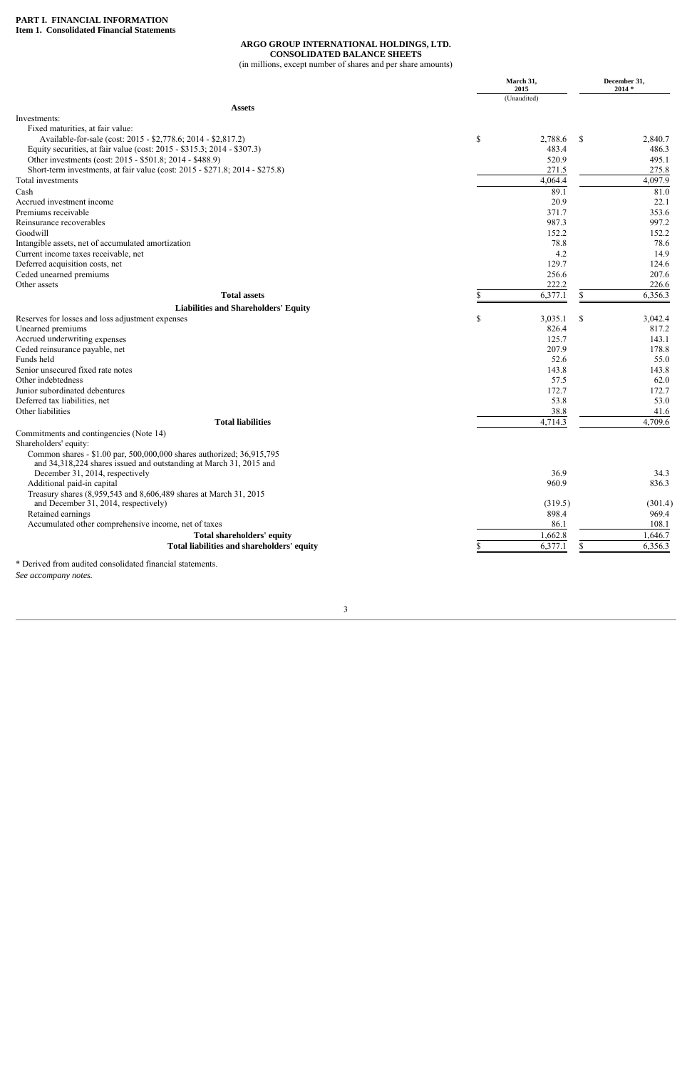#### **ARGO GROUP INTERNATIONAL HOLDINGS, LTD. CONSOLIDATED BALANCE SHEETS**

(in millions, except number of shares and per share amounts)

|                                                                                                                                             | March 31,<br>2015<br>(Unaudited) |               | December 31,<br>$2014*$ |
|---------------------------------------------------------------------------------------------------------------------------------------------|----------------------------------|---------------|-------------------------|
|                                                                                                                                             |                                  |               |                         |
| <b>Assets</b><br>Investments:                                                                                                               |                                  |               |                         |
| Fixed maturities, at fair value:                                                                                                            |                                  |               |                         |
| Available-for-sale (cost: 2015 - \$2,778.6; 2014 - \$2,817.2)                                                                               | \$                               | 2,788.6<br>\$ | 2,840.7                 |
| Equity securities, at fair value (cost: 2015 - \$315.3; 2014 - \$307.3)                                                                     |                                  | 483.4         | 486.3                   |
| Other investments (cost: 2015 - \$501.8; 2014 - \$488.9)                                                                                    |                                  | 520.9         | 495.1                   |
| Short-term investments, at fair value (cost: 2015 - \$271.8; 2014 - \$275.8)                                                                |                                  | 271.5         | 275.8                   |
| Total investments                                                                                                                           |                                  | 4,064.4       | 4,097.9                 |
| Cash                                                                                                                                        |                                  | 89.1          | 81.0                    |
| Accrued investment income                                                                                                                   |                                  | 20.9          | 22.1                    |
| Premiums receivable                                                                                                                         |                                  | 371.7         | 353.6                   |
| Reinsurance recoverables                                                                                                                    |                                  | 987.3         | 997.2                   |
| Goodwill                                                                                                                                    |                                  | 152.2         | 152.2                   |
| Intangible assets, net of accumulated amortization                                                                                          |                                  | 78.8          | 78.6                    |
| Current income taxes receivable, net                                                                                                        |                                  | 4.2           | 14.9                    |
| Deferred acquisition costs, net                                                                                                             |                                  | 129.7         | 124.6                   |
| Ceded unearned premiums                                                                                                                     |                                  | 256.6         | 207.6                   |
| Other assets                                                                                                                                |                                  | 222.2         | 226.6                   |
| <b>Total assets</b>                                                                                                                         |                                  | 6,377.1<br>\$ | 6,356.3                 |
| <b>Liabilities and Shareholders' Equity</b>                                                                                                 |                                  |               |                         |
| Reserves for losses and loss adjustment expenses                                                                                            | \$                               | 3,035.1<br>\$ | 3,042.4                 |
| Unearned premiums                                                                                                                           |                                  | 826.4         | 817.2                   |
| Accrued underwriting expenses                                                                                                               |                                  | 125.7         | 143.1                   |
| Ceded reinsurance payable, net                                                                                                              |                                  | 207.9         | 178.8                   |
| Funds held                                                                                                                                  |                                  | 52.6          | 55.0                    |
| Senior unsecured fixed rate notes                                                                                                           |                                  | 143.8         | 143.8                   |
| Other indebtedness                                                                                                                          |                                  | 57.5          | 62.0                    |
| Junior subordinated debentures                                                                                                              |                                  | 172.7         | 172.7                   |
| Deferred tax liabilities, net                                                                                                               |                                  | 53.8          | 53.0                    |
| Other liabilities                                                                                                                           |                                  | 38.8          | 41.6                    |
| <b>Total liabilities</b>                                                                                                                    |                                  | 4,714.3       | 4,709.6                 |
| Commitments and contingencies (Note 14)                                                                                                     |                                  |               |                         |
| Shareholders' equity:                                                                                                                       |                                  |               |                         |
| Common shares - \$1.00 par, 500,000,000 shares authorized; 36,915,795<br>and 34,318,224 shares issued and outstanding at March 31, 2015 and |                                  |               |                         |
| December 31, 2014, respectively                                                                                                             |                                  | 36.9          | 34.3                    |
| Additional paid-in capital                                                                                                                  |                                  | 960.9         | 836.3                   |
| Treasury shares (8,959,543 and 8,606,489 shares at March 31, 2015                                                                           |                                  |               |                         |
| and December 31, 2014, respectively)                                                                                                        |                                  | (319.5)       | (301.4)                 |
| Retained earnings                                                                                                                           |                                  | 898.4         | 969.4                   |
| Accumulated other comprehensive income, net of taxes                                                                                        |                                  | 86.1          | 108.1                   |
| Total shareholders' equity                                                                                                                  |                                  | 1,662.8       | 1,646.7                 |
| Total liabilities and shareholders' equity                                                                                                  |                                  | 6,377.1<br>S. | 6,356.3                 |

\* Derived from audited consolidated financial statements. *See accompany notes.*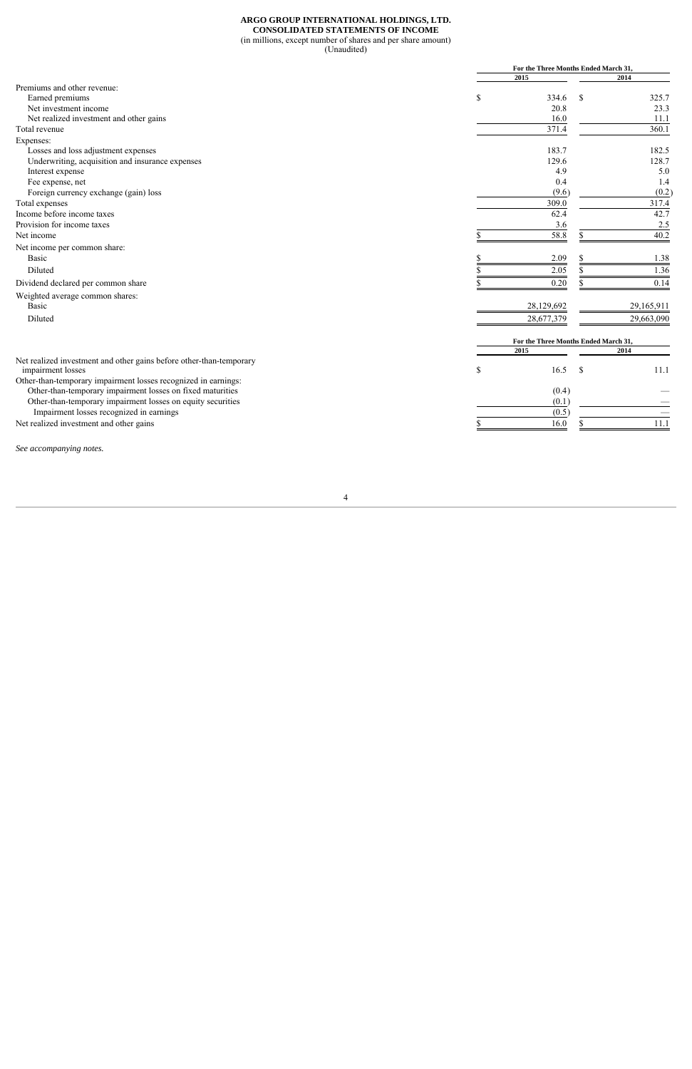#### **ARGO GROUP INTERNATIONAL HOLDINGS, LTD. CONSOLIDATED STATEMENTS OF INCOME**  (in millions, except number of shares and per share amount) (Unaudited)

|                                                                                          |      | For the Three Months Ended March 31, |            |  |  |
|------------------------------------------------------------------------------------------|------|--------------------------------------|------------|--|--|
|                                                                                          | 2015 |                                      | 2014       |  |  |
| Premiums and other revenue:                                                              |      |                                      |            |  |  |
| Earned premiums                                                                          | \$   | 334.6<br>S                           | 325.7      |  |  |
| Net investment income                                                                    |      | 20.8                                 | 23.3       |  |  |
| Net realized investment and other gains                                                  |      | 16.0                                 | 11.1       |  |  |
| Total revenue                                                                            |      | 371.4                                | 360.1      |  |  |
| Expenses:                                                                                |      |                                      |            |  |  |
| Losses and loss adjustment expenses                                                      |      | 183.7                                | 182.5      |  |  |
| Underwriting, acquisition and insurance expenses                                         |      | 129.6                                | 128.7      |  |  |
| Interest expense                                                                         |      | 4.9                                  | 5.0        |  |  |
| Fee expense, net                                                                         |      | 0.4                                  | 1.4        |  |  |
| Foreign currency exchange (gain) loss                                                    |      | (9.6)                                | (0.2)      |  |  |
| Total expenses                                                                           |      | 309.0                                | 317.4      |  |  |
| Income before income taxes                                                               |      | 62.4                                 | 42.7       |  |  |
| Provision for income taxes                                                               |      | 3.6                                  | 2.5        |  |  |
| Net income                                                                               |      | 58.8                                 | 40.2       |  |  |
| Net income per common share:                                                             |      |                                      |            |  |  |
| <b>Basic</b>                                                                             |      | 2.09<br>\$                           | 1.38       |  |  |
| Diluted                                                                                  |      | 2.05                                 | 1.36       |  |  |
| Dividend declared per common share                                                       |      | 0.20                                 | 0.14       |  |  |
| Weighted average common shares:                                                          |      |                                      |            |  |  |
| Basic                                                                                    |      | 28,129,692                           | 29,165,911 |  |  |
| Diluted                                                                                  |      | 28,677,379                           | 29,663,090 |  |  |
|                                                                                          |      | For the Three Months Ended March 31, |            |  |  |
|                                                                                          | 2015 |                                      | 2014       |  |  |
| Net realized investment and other gains before other-than-temporary<br>impairment losses | \$   | 16.5<br><sup>S</sup>                 | 11.1       |  |  |
| Other-than-temporary impairment losses recognized in earnings:                           |      |                                      |            |  |  |
| Other-than-temporary impairment losses on fixed maturities                               |      | (0.4)                                |            |  |  |
| Other-than-temporary impairment losses on equity securities                              |      | (0.1)                                |            |  |  |
| Impairment losses recognized in earnings                                                 |      | (0.5)                                |            |  |  |
| Net realized investment and other gains                                                  |      | 16.0                                 | 11.1       |  |  |
|                                                                                          |      |                                      |            |  |  |

*See accompanying notes.*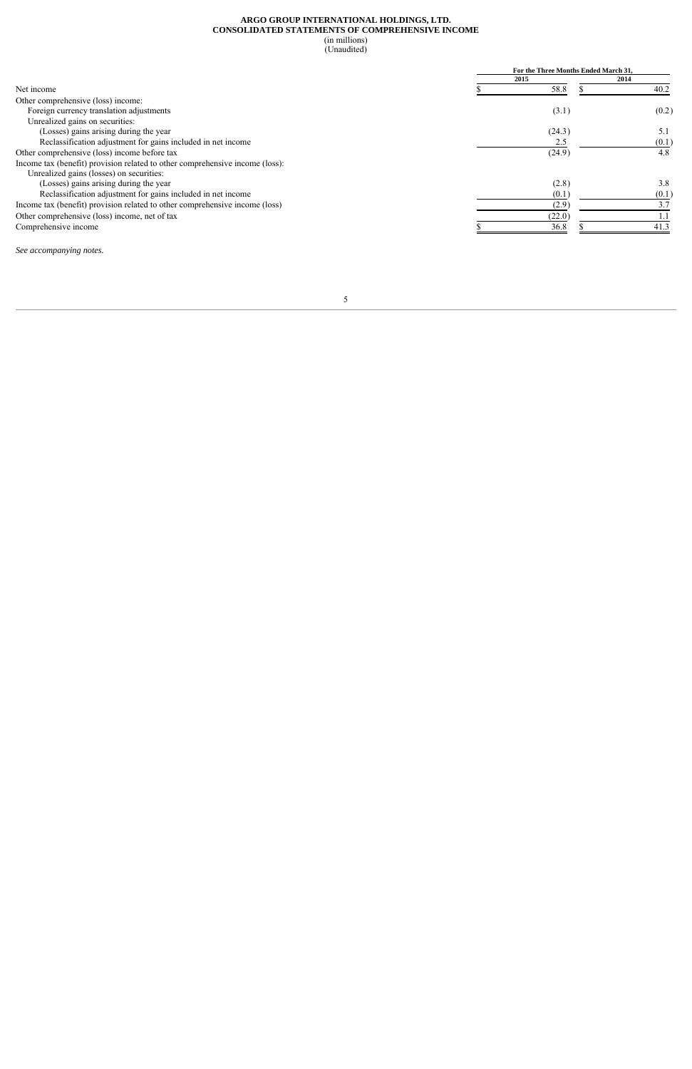#### **ARGO GROUP INTERNATIONAL HOLDINGS, LTD. CONSOLIDATED STATEMENTS OF COMPREHENSIVE INCOME**  (in millions) (Unaudited)

|                                                                              | For the Three Months Ended March 31. |        |      |       |  |  |
|------------------------------------------------------------------------------|--------------------------------------|--------|------|-------|--|--|
|                                                                              |                                      | 2015   | 2014 |       |  |  |
| Net income                                                                   |                                      | 58.8   |      | 40.2  |  |  |
| Other comprehensive (loss) income:                                           |                                      |        |      |       |  |  |
| Foreign currency translation adjustments                                     |                                      | (3.1)  |      | (0.2) |  |  |
| Unrealized gains on securities:                                              |                                      |        |      |       |  |  |
| (Losses) gains arising during the year                                       |                                      | (24.3) |      | 5.1   |  |  |
| Reclassification adjustment for gains included in net income                 |                                      | 2.5    |      | (0.1) |  |  |
| Other comprehensive (loss) income before tax                                 |                                      | (24.9) |      | 4.8   |  |  |
| Income tax (benefit) provision related to other comprehensive income (loss): |                                      |        |      |       |  |  |
| Unrealized gains (losses) on securities:                                     |                                      |        |      |       |  |  |
| (Losses) gains arising during the year                                       |                                      | (2.8)  |      | 3.8   |  |  |
| Reclassification adjustment for gains included in net income                 |                                      | (0.1)  |      | (0.1) |  |  |
| Income tax (benefit) provision related to other comprehensive income (loss)  |                                      | (2.9)  |      | 3.7   |  |  |
| Other comprehensive (loss) income, net of tax                                |                                      | (22.0) |      |       |  |  |
| Comprehensive income                                                         |                                      | 36.8   |      | 41.3  |  |  |

*See accompanying notes.*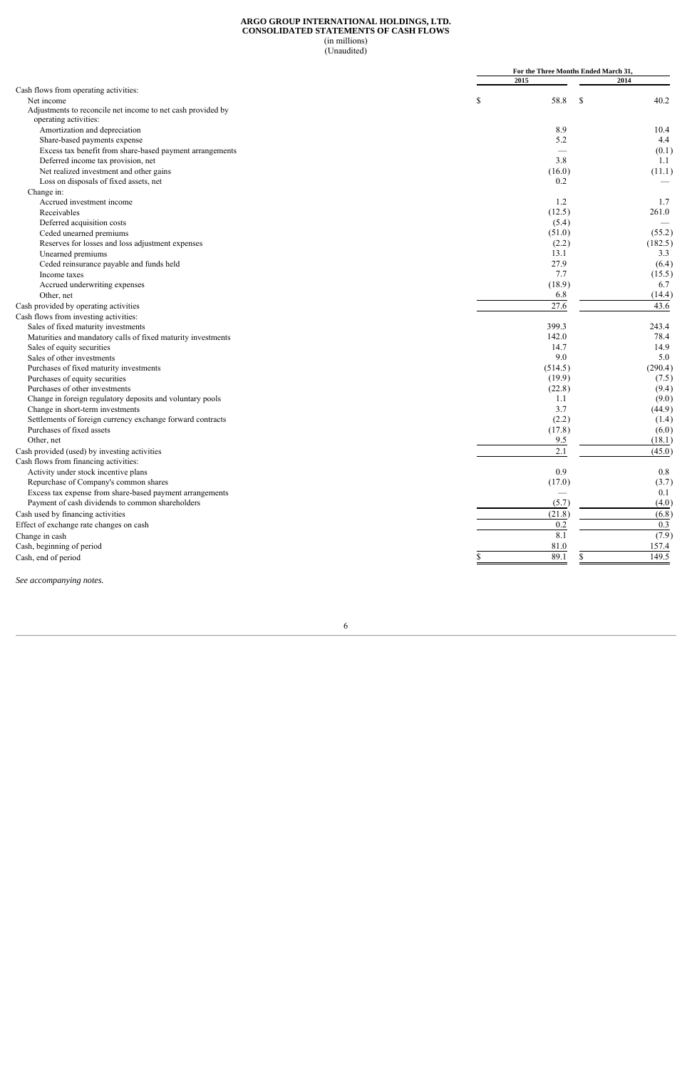#### **ARGO GROUP INTERNATIONAL HOLDINGS, LTD. CONSOLIDATED STATEMENTS OF CASH FLOWS**  (in millions)

(Unaudited)

|                                                              |         | For the Three Months Ended March 31,      |       |
|--------------------------------------------------------------|---------|-------------------------------------------|-------|
|                                                              | 2015    | 2014                                      |       |
| Cash flows from operating activities:                        |         |                                           |       |
| Net income                                                   | \$      | 58.8<br>$\boldsymbol{\mathsf{S}}$<br>40.2 |       |
| Adjustments to reconcile net income to net cash provided by  |         |                                           |       |
| operating activities:                                        |         |                                           |       |
| Amortization and depreciation                                |         | 8.9<br>10.4                               |       |
| Share-based payments expense                                 |         | 5.2                                       | 4.4   |
| Excess tax benefit from share-based payment arrangements     |         |                                           | (0.1) |
| Deferred income tax provision, net                           |         | 3.8<br>1.1                                |       |
| Net realized investment and other gains                      |         | (11.1)<br>(16.0)                          |       |
| Loss on disposals of fixed assets, net                       |         | 0.2                                       |       |
| Change in:                                                   |         |                                           |       |
| Accrued investment income                                    |         | 1.2                                       | 1.7   |
| Receivables                                                  |         | (12.5)<br>261.0                           |       |
| Deferred acquisition costs                                   |         | (5.4)                                     |       |
| Ceded unearned premiums                                      |         | (51.0)<br>(55.2)                          |       |
| Reserves for losses and loss adjustment expenses             |         | (2.2)<br>(182.5)                          |       |
| Unearned premiums                                            |         | 13.1                                      | 3.3   |
| Ceded reinsurance payable and funds held                     |         | 27.9                                      | (6.4) |
|                                                              |         | 7.7<br>(15.5)                             |       |
| Income taxes                                                 |         |                                           |       |
| Accrued underwriting expenses                                |         | (18.9)                                    | 6.7   |
| Other, net                                                   |         | 6.8<br>(14.4)                             |       |
| Cash provided by operating activities                        | 27.6    | 43.6                                      |       |
| Cash flows from investing activities:                        |         |                                           |       |
| Sales of fixed maturity investments                          | 399.3   | 243.4                                     |       |
| Maturities and mandatory calls of fixed maturity investments | 142.0   | 78.4                                      |       |
| Sales of equity securities                                   |         | 14.7<br>14.9                              |       |
| Sales of other investments                                   |         | 9.0                                       | 5.0   |
| Purchases of fixed maturity investments                      | (514.5) | (290.4)                                   |       |
| Purchases of equity securities                               |         | (19.9)                                    | (7.5) |
| Purchases of other investments                               |         | (22.8)                                    | (9.4) |
| Change in foreign regulatory deposits and voluntary pools    |         | 1.1                                       | (9.0) |
| Change in short-term investments                             |         | 3.7<br>(44.9)                             |       |
| Settlements of foreign currency exchange forward contracts   |         | (2.2)                                     | (1.4) |
| Purchases of fixed assets                                    |         | (17.8)<br>(6.0)                           |       |
| Other, net                                                   |         | 9.5<br>(18.1)                             |       |
| Cash provided (used) by investing activities                 |         | 2.1<br>(45.0)                             |       |
| Cash flows from financing activities:                        |         |                                           |       |
|                                                              |         | 0.9                                       | 0.8   |
| Activity under stock incentive plans                         |         |                                           |       |
| Repurchase of Company's common shares                        |         | (17.0)                                    | (3.7) |
| Excess tax expense from share-based payment arrangements     |         |                                           | 0.1   |
| Payment of cash dividends to common shareholders             |         | (5.7)<br>(4.0)                            |       |
| Cash used by financing activities                            | (21.8)  | (6.8)                                     |       |
| Effect of exchange rate changes on cash                      |         | 0.2                                       | 0.3   |
| Change in cash                                               |         | 8.1<br>(7.9)                              |       |
| Cash, beginning of period                                    | 81.0    | 157.4                                     |       |
| Cash, end of period                                          | 89.1    | 149.5                                     |       |
|                                                              |         |                                           |       |

*See accompanying notes.*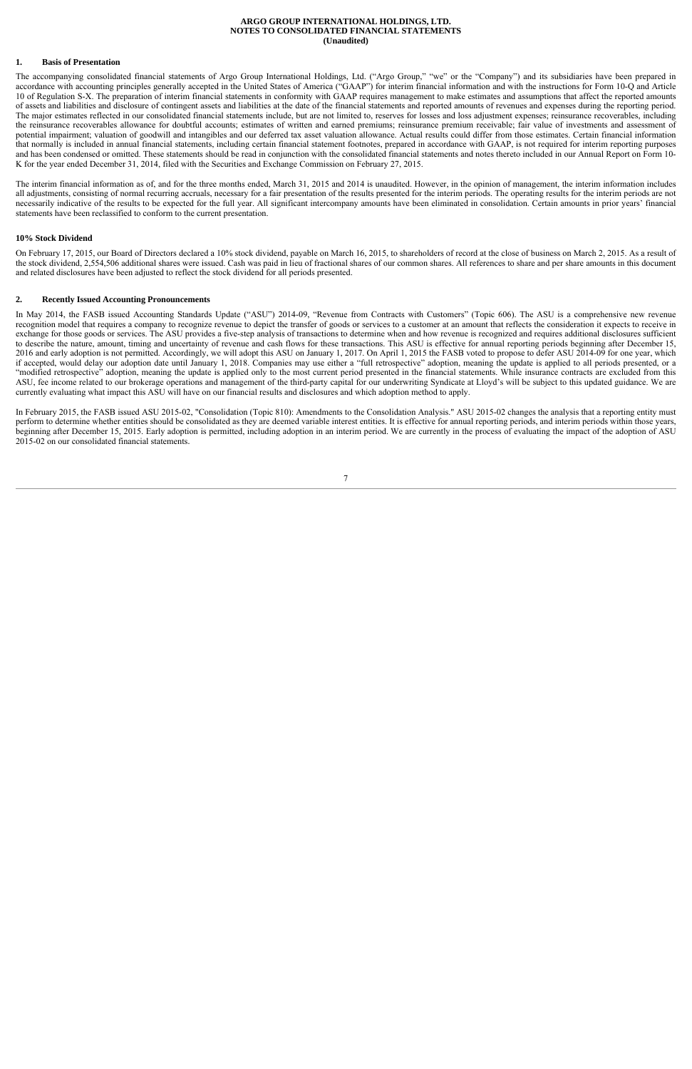#### **ARGO GROUP INTERNATIONAL HOLDINGS, LTD. NOTES TO CONSOLIDATED FINANCIAL STATEMENTS (Unaudited)**

#### **1. Basis of Presentation**

The accompanying consolidated financial statements of Argo Group International Holdings, Ltd. ("Argo Group," "we" or the "Company") and its subsidiaries have been prepared in accordance with accounting principles generally accepted in the United States of America ("GAAP") for interim financial information and with the instructions for Form 10-Q and Article 10 of Regulation S-X. The preparation of interim financial statements in conformity with GAAP requires management to make estimates and assumptions that affect the reported amounts of assets and liabilities and disclosure of contingent assets and liabilities at the date of the financial statements and reported amounts of revenues and expenses during the reporting period. The major estimates reflected in our consolidated financial statements include, but are not limited to, reserves for losses and loss adjustment expenses; reinsurance recoverables, including the reinsurance recoverables allowance for doubtful accounts; estimates of written and earned premiums; reinsurance premium receivable; fair value of investments and assessment of potential impairment; valuation of goodwill and intangibles and our deferred tax asset valuation allowance. Actual results could differ from those estimates. Certain financial information that normally is included in annual financial statements, including certain financial statement footnotes, prepared in accordance with GAAP, is not required for interim reporting purposes and has been condensed or omitted. These statements should be read in conjunction with the consolidated financial statements and notes thereto included in our Annual Report on Form 10- K for the year ended December 31, 2014, filed with the Securities and Exchange Commission on February 27, 2015.

The interim financial information as of, and for the three months ended, March 31, 2015 and 2014 is unaudited. However, in the opinion of management, the interim information includes all adjustments, consisting of normal recurring accruals, necessary for a fair presentation of the results presented for the interim periods. The operating results for the interim periods are not necessarily indicative of the results to be expected for the full year. All significant intercompany amounts have been eliminated in consolidation. Certain amounts in prior years' financial statements have been reclassified to conform to the current presentation.

#### **10% Stock Dividend**

On February 17, 2015, our Board of Directors declared a 10% stock dividend, payable on March 16, 2015, to shareholders of record at the close of business on March 2, 2015. As a result of the stock dividend, 2,554,506 additional shares were issued. Cash was paid in lieu of fractional shares of our common shares. All references to share and per share amounts in this document and related disclosures have been adjusted to reflect the stock dividend for all periods presented.

#### **2. Recently Issued Accounting Pronouncements**

In May 2014, the FASB issued Accounting Standards Update ("ASU") 2014-09, "Revenue from Contracts with Customers" (Topic 606). The ASU is a comprehensive new revenue recognition model that requires a company to recognize revenue to depict the transfer of goods or services to a customer at an amount that reflects the consideration it expects to receive in exchange for those goods or services. The ASU provides a five-step analysis of transactions to determine when and how revenue is recognized and requires additional disclosures sufficient to describe the nature, amount, timing and uncertainty of revenue and cash flows for these transactions. This ASU is effective for annual reporting periods beginning after December 15, 2016 and early adoption is not permitted. Accordingly, we will adopt this ASU on January 1, 2017. On April 1, 2015 the FASB voted to propose to defer ASU 2014-09 for one year, which if accepted, would delay our adoption date until January 1, 2018. Companies may use either a "full retrospective" adoption, meaning the update is applied to all periods presented, or a "modified retrospective" adoption, meaning the update is applied only to the most current period presented in the financial statements. While insurance contracts are excluded from this ASU, fee income related to our brokerage operations and management of the third-party capital for our underwriting Syndicate at Lloyd's will be subject to this updated guidance. We are currently evaluating what impact this ASU will have on our financial results and disclosures and which adoption method to apply.

In February 2015, the FASB issued ASU 2015-02, "Consolidation (Topic 810): Amendments to the Consolidation Analysis." ASU 2015-02 changes the analysis that a reporting entity must perform to determine whether entities should be consolidated as they are deemed variable interest entities. It is effective for annual reporting periods, and interim periods within those years, beginning after December 15, 2015. Early adoption is permitted, including adoption in an interim period. We are currently in the process of evaluating the impact of the adoption of ASU 2015-02 on our consolidated financial statements.

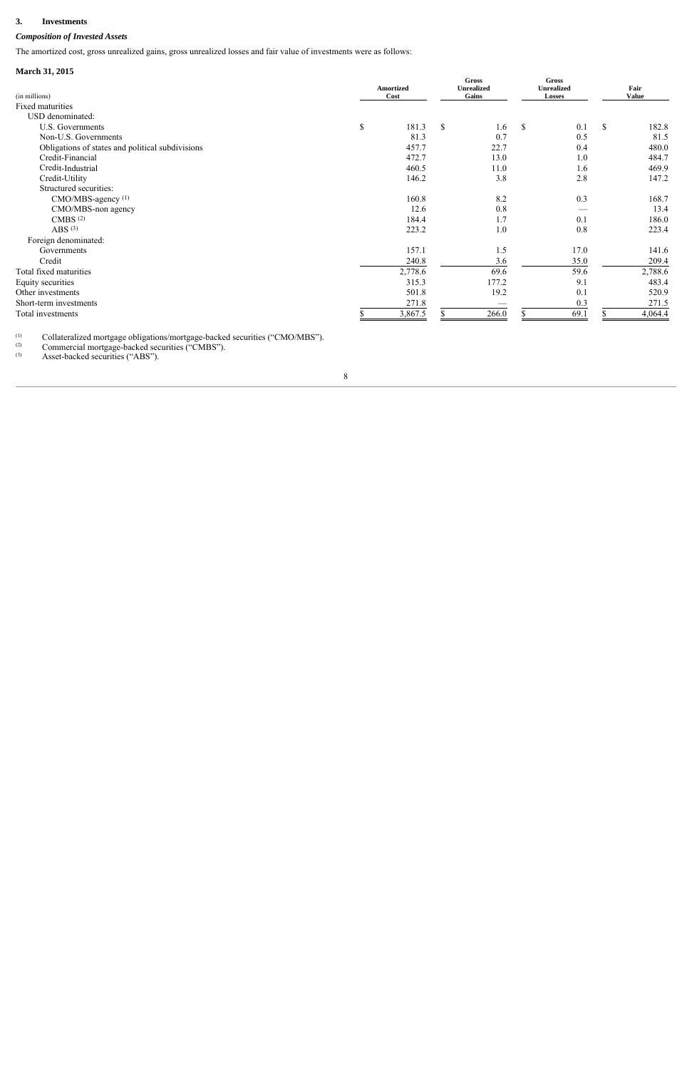#### $3.$ **3. Investments**

## *Composition of Invested Assets*

The amortized cost, gross unrealized gains, gross unrealized losses and fair value of investments were as follows:

## **March 31, 2015**

| (in millions)                                    | <b>Amortized</b><br>Cost |               | Gross<br><b>Unrealized</b><br>Gains |             | Gross<br><b>Unrealized</b><br><b>Losses</b> | Fair<br><b>Value</b> |
|--------------------------------------------------|--------------------------|---------------|-------------------------------------|-------------|---------------------------------------------|----------------------|
| Fixed maturities                                 |                          |               |                                     |             |                                             |                      |
| USD denominated:                                 |                          |               |                                     |             |                                             |                      |
| U.S. Governments                                 | \$<br>181.3              | <sup>\$</sup> | 1.6                                 | $\mathbf S$ | 0.1                                         | \$<br>182.8          |
| Non-U.S. Governments                             | 81.3                     |               | 0.7                                 |             | 0.5                                         | 81.5                 |
| Obligations of states and political subdivisions | 457.7                    |               | 22.7                                |             | 0.4                                         | 480.0                |
| Credit-Financial                                 | 472.7                    |               | 13.0                                |             | 1.0                                         | 484.7                |
| Credit-Industrial                                | 460.5                    |               | 11.0                                |             | 1.6                                         | 469.9                |
| Credit-Utility                                   | 146.2                    |               | 3.8                                 |             | 2.8                                         | 147.2                |
| Structured securities:                           |                          |               |                                     |             |                                             |                      |
| CMO/MBS-agency (1)                               | 160.8                    |               | 8.2                                 |             | 0.3                                         | 168.7                |
| CMO/MBS-non agency                               | 12.6                     |               | 0.8                                 |             |                                             | 13.4                 |
| CMBS <sup>(2)</sup>                              | 184.4                    |               | 1.7                                 |             | 0.1                                         | 186.0                |
| ABS $(3)$                                        | 223.2                    |               | 1.0                                 |             | 0.8                                         | 223.4                |
| Foreign denominated:                             |                          |               |                                     |             |                                             |                      |
| Governments                                      | 157.1                    |               | 1.5                                 |             | 17.0                                        | 141.6                |
| Credit                                           | 240.8                    |               | 3.6                                 |             | 35.0                                        | 209.4                |
| Total fixed maturities                           | 2,778.6                  |               | 69.6                                |             | 59.6                                        | 2,788.6              |
| Equity securities                                | 315.3                    |               | 177.2                               |             | 9.1                                         | 483.4                |
| Other investments                                | 501.8                    |               | 19.2                                |             | 0.1                                         | 520.9                |
| Short-term investments                           | 271.8                    |               |                                     |             | 0.3                                         | 271.5                |
| Total investments                                | 3,867.5                  |               | 266.0                               |             | 69.1                                        | 4,064.4              |

 $(1)$ (1) Collateralized mortgage obligations/mortgage-backed securities ("CMO/MBS").

(2) Commercial mortgage-backed securities ("CMBS").

(3) Asset-backed securities ("ABS").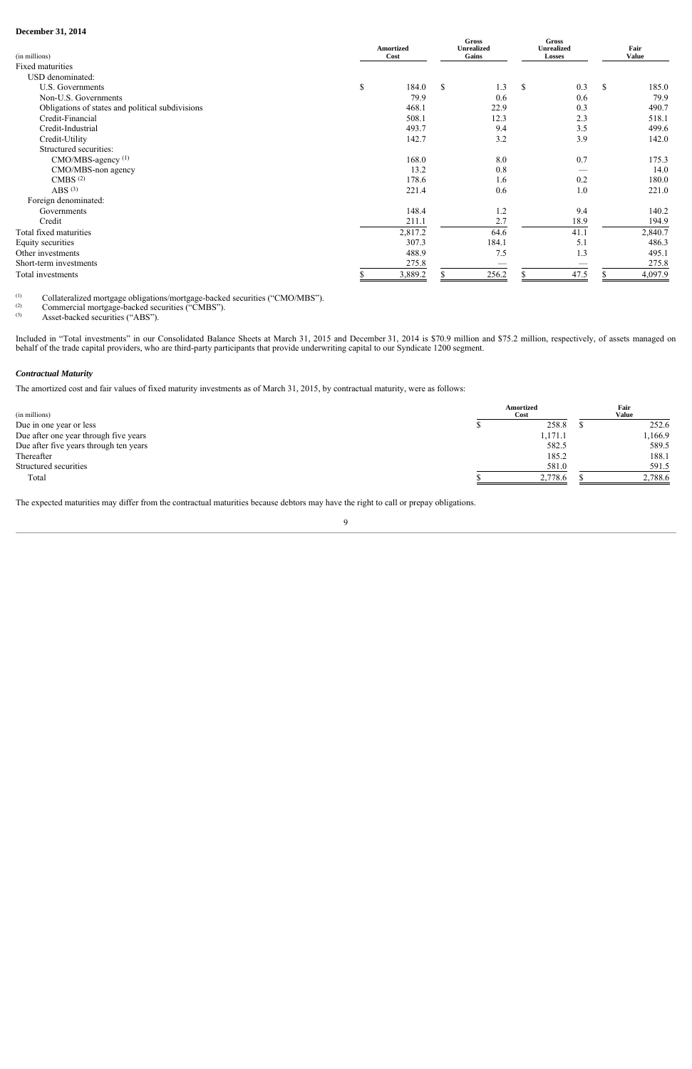## **December 31, 2014**

| (in millions)                                    | <b>Amortized</b><br>Cost |         | <b>Gross</b><br><b>Unrealized</b><br>Gains |              | <b>Gross</b><br><b>Unrealized</b><br><b>Losses</b> | Fair<br><b>Value</b> |         |
|--------------------------------------------------|--------------------------|---------|--------------------------------------------|--------------|----------------------------------------------------|----------------------|---------|
| Fixed maturities                                 |                          |         |                                            |              |                                                    |                      |         |
| USD denominated:                                 |                          |         |                                            |              |                                                    |                      |         |
| U.S. Governments                                 | \$                       | 184.0   | \$<br>1.3                                  | $\mathbb{S}$ | 0.3                                                | <sup>\$</sup>        | 185.0   |
| Non-U.S. Governments                             |                          | 79.9    | 0.6                                        |              | 0.6                                                |                      | 79.9    |
| Obligations of states and political subdivisions |                          | 468.1   | 22.9                                       |              | 0.3                                                |                      | 490.7   |
| Credit-Financial                                 |                          | 508.1   | 12.3                                       |              | 2.3                                                |                      | 518.1   |
| Credit-Industrial                                |                          | 493.7   | 9.4                                        |              | 3.5                                                |                      | 499.6   |
| Credit-Utility                                   |                          | 142.7   | 3.2                                        |              | 3.9                                                |                      | 142.0   |
| Structured securities:                           |                          |         |                                            |              |                                                    |                      |         |
| CMO/MBS-agency (1)                               |                          | 168.0   | 8.0                                        |              | 0.7                                                |                      | 175.3   |
| CMO/MBS-non agency                               |                          | 13.2    | 0.8                                        |              |                                                    |                      | 14.0    |
| CMBS <sup>(2)</sup>                              |                          | 178.6   | 1.6                                        |              | 0.2                                                |                      | 180.0   |
| ABS $(3)$                                        |                          | 221.4   | 0.6                                        |              | 1.0                                                |                      | 221.0   |
| Foreign denominated:                             |                          |         |                                            |              |                                                    |                      |         |
| Governments                                      |                          | 148.4   | 1.2                                        |              | 9.4                                                |                      | 140.2   |
| Credit                                           |                          | 211.1   | 2.7                                        |              | 18.9                                               |                      | 194.9   |
| Total fixed maturities                           |                          | 2,817.2 | 64.6                                       |              | 41.1                                               |                      | 2,840.7 |
| Equity securities                                |                          | 307.3   | 184.1                                      |              | 5.1                                                |                      | 486.3   |
| Other investments                                |                          | 488.9   | 7.5                                        |              | 1.3                                                |                      | 495.1   |
| Short-term investments                           |                          | 275.8   |                                            |              |                                                    |                      | 275.8   |
| Total investments                                |                          | 3,889.2 | 256.2                                      |              | 47.5                                               |                      | 4,097.9 |

(1) Collateralized mortgage obligations/mortgage-backed securities ("CMO/MBS").<br>Commercial mortgage-backed securities ("CMBS")

(2) Commercial mortgage-backed securities ("CMBS").<br>
Asset-backed securities ("ABS")

Asset-backed securities ("ABS").

Included in "Total investments" in our Consolidated Balance Sheets at March 31, 2015 and December 31, 2014 is \$70.9 million and \$75.2 million, respectively, of assets managed on behalf of the trade capital providers, who are third-party participants that provide underwriting capital to our Syndicate 1200 segment.

## *Contractual Maturity*

The amortized cost and fair values of fixed maturity investments as of March 31, 2015, by contractual maturity, were as follows:

| (in millions)                          | Amortized<br>Cost | Fair<br><b>Value</b> |
|----------------------------------------|-------------------|----------------------|
| Due in one year or less                | 258.8             | 252.6                |
| Due after one year through five years  | 1,171.1           | 1,166.9              |
| Due after five years through ten years | 582.5             | 589.5                |
| Thereafter                             | 185.2             | 188.1                |
| Structured securities                  | 581.0             | 591.5                |
| Total                                  | 2,778.6           | 2,788.6              |

The expected maturities may differ from the contractual maturities because debtors may have the right to call or prepay obligations.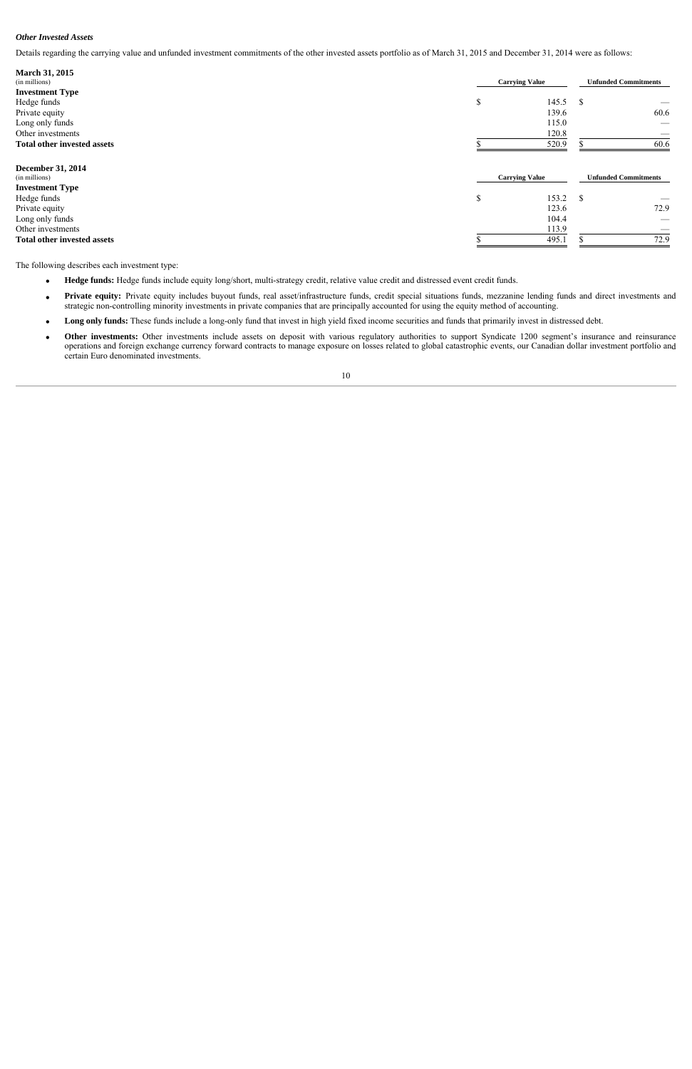### *Other Invested Assets*

 Details regarding the carrying value and unfunded investment commitments of the other invested assets portfolio as of March 31, 2015 and December 31, 2014 were as follows:

| March 31, 2015                     |                       |                             |                             |  |
|------------------------------------|-----------------------|-----------------------------|-----------------------------|--|
| (in millions)                      | <b>Carrying Value</b> | <b>Unfunded Commitments</b> |                             |  |
| <b>Investment Type</b>             |                       |                             |                             |  |
| Hedge funds                        | \$<br>145.5           | \$                          |                             |  |
| Private equity                     | 139.6                 |                             | 60.6                        |  |
| Long only funds                    | 115.0                 |                             |                             |  |
| Other investments                  | 120.8                 |                             |                             |  |
| <b>Total other invested assets</b> | 520.9                 |                             | 60.6                        |  |
| <b>December 31, 2014</b>           |                       |                             |                             |  |
| (in millions)                      | <b>Carrying Value</b> |                             | <b>Unfunded Commitments</b> |  |
| <b>Investment Type</b>             |                       |                             |                             |  |
| Hedge funds                        | \$<br>153.2           | <sup>S</sup>                |                             |  |
| Private equity                     | 123.6                 |                             | 72.9                        |  |
| Long only funds                    | 104.4                 |                             |                             |  |
| Other investments                  | 113.9                 |                             | ___                         |  |
| <b>Total other invested assets</b> | 495.1                 |                             | 72.9                        |  |

The following describes each investment type:

- **Hedge funds:** Hedge funds include equity long/short, multi-strategy credit, relative value credit and distressed event credit funds.
- Private equity: Private equity includes buyout funds, real asset/infrastructure funds, credit special situations funds, mezzanine lending funds and direct investments and strategic non-controlling minority investments in private companies that are principally accounted for using the equity method of accounting.
- Long only funds: These funds include a long-only fund that invest in high yield fixed income securities and funds that primarily invest in distressed debt.
- Other investments: Other investments include assets on deposit with various regulatory authorities to support Syndicate 1200 segment's insurance and reinsurance operations and foreign exchange currency forward contracts to manage exposure on losses related to global catastrophic events, our Canadian dollar investment portfolio and certain Euro denominated investments.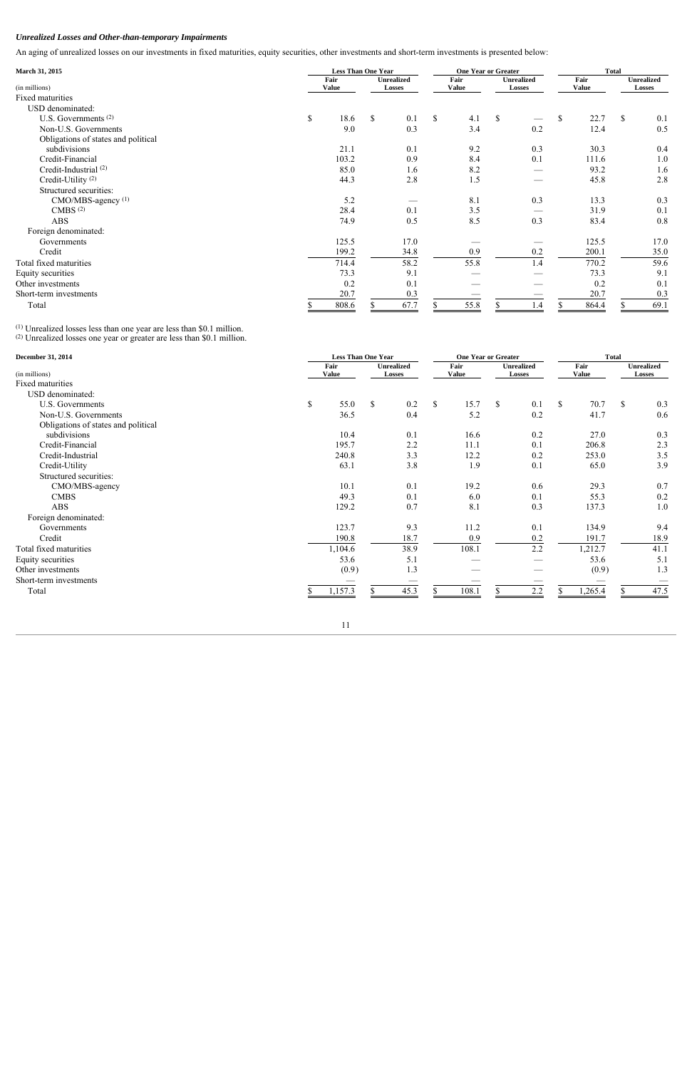## *Unrealized Losses and Other-than-temporary Impairments*

An aging of unrealized losses on our investments in fixed maturities, equity securities, other investments and short-term investments is presented below:

| March 31, 2015                      | <b>Less Than One Year</b> |       |                                    |      | <b>One Year or Greater</b> |                      |    |                             | <b>Total</b>         |       |                                    |      |
|-------------------------------------|---------------------------|-------|------------------------------------|------|----------------------------|----------------------|----|-----------------------------|----------------------|-------|------------------------------------|------|
| (in millions)                       | Fair<br><b>Value</b>      |       | <b>Unrealized</b><br><b>Losses</b> |      |                            | Fair<br><b>Value</b> |    | <b>Unrealized</b><br>Losses | Fair<br><b>Value</b> |       | <b>Unrealized</b><br><b>Losses</b> |      |
| Fixed maturities                    |                           |       |                                    |      |                            |                      |    |                             |                      |       |                                    |      |
| USD denominated:                    |                           |       |                                    |      |                            |                      |    |                             |                      |       |                                    |      |
| U.S. Governments <sup>(2)</sup>     | \$                        | 18.6  | <sup>S</sup>                       | 0.1  | \$                         | 4.1                  | \$ |                             | $\mathbb{S}$         | 22.7  | $\mathbf{\hat{S}}$                 | 0.1  |
| Non-U.S. Governments                |                           | 9.0   |                                    | 0.3  |                            | 3.4                  |    | 0.2                         |                      | 12.4  |                                    | 0.5  |
| Obligations of states and political |                           |       |                                    |      |                            |                      |    |                             |                      |       |                                    |      |
| subdivisions                        |                           | 21.1  |                                    | 0.1  |                            | 9.2                  |    | 0.3                         |                      | 30.3  |                                    | 0.4  |
| Credit-Financial                    |                           | 103.2 |                                    | 0.9  |                            | 8.4                  |    | 0.1                         |                      | 111.6 |                                    | 1.0  |
| Credit-Industrial <sup>(2)</sup>    |                           | 85.0  |                                    | 1.6  |                            | 8.2                  |    |                             |                      | 93.2  |                                    | 1.6  |
| Credit-Utility <sup>(2)</sup>       |                           | 44.3  |                                    | 2.8  |                            | 1.5                  |    |                             |                      | 45.8  |                                    | 2.8  |
| Structured securities:              |                           |       |                                    |      |                            |                      |    |                             |                      |       |                                    |      |
| CMO/MBS-agency (1)                  |                           | 5.2   |                                    |      |                            | 8.1                  |    | 0.3                         |                      | 13.3  |                                    | 0.3  |
| CMBS <sup>(2)</sup>                 |                           | 28.4  |                                    | 0.1  |                            | 3.5                  |    |                             |                      | 31.9  |                                    | 0.1  |
| <b>ABS</b>                          |                           | 74.9  |                                    | 0.5  |                            | 8.5                  |    | 0.3                         |                      | 83.4  |                                    | 0.8  |
| Foreign denominated:                |                           |       |                                    |      |                            |                      |    |                             |                      |       |                                    |      |
| Governments                         |                           | 125.5 |                                    | 17.0 |                            |                      |    |                             |                      | 125.5 |                                    | 17.0 |
| Credit                              |                           | 199.2 |                                    | 34.8 |                            | 0.9                  |    | 0.2                         |                      | 200.1 |                                    | 35.0 |
| Total fixed maturities              |                           | 714.4 |                                    | 58.2 |                            | 55.8                 |    | 1.4                         |                      | 770.2 |                                    | 59.6 |
| Equity securities                   |                           | 73.3  |                                    | 9.1  |                            |                      |    |                             |                      | 73.3  |                                    | 9.1  |
| Other investments                   |                           | 0.2   |                                    | 0.1  |                            |                      |    |                             |                      | 0.2   |                                    | 0.1  |
| Short-term investments              |                           | 20.7  |                                    | 0.3  |                            |                      |    |                             |                      | 20.7  |                                    | 0.3  |
| Total                               |                           | 808.6 |                                    | 67.7 |                            | 55.8                 |    | 1.4                         |                      | 864.4 |                                    | 69.1 |

(1) Unrealized losses less than one year are less than \$0.1 million. (2) Unrealized losses one year or greater are less than \$0.1 million.

| December 31, 2014                   | <b>Less Than One Year</b> |            | <b>One Year or Greater</b>  | <b>Total</b>         |                                    |                      |                                    |
|-------------------------------------|---------------------------|------------|-----------------------------|----------------------|------------------------------------|----------------------|------------------------------------|
| (in millions)                       | Fair<br><b>Value</b>      |            | <b>Unrealized</b><br>Losses | Fair<br><b>Value</b> | <b>Unrealized</b><br><b>Losses</b> | Fair<br><b>Value</b> | <b>Unrealized</b><br><b>Losses</b> |
| Fixed maturities                    |                           |            |                             |                      |                                    |                      |                                    |
| USD denominated:                    |                           |            |                             |                      |                                    |                      |                                    |
| U.S. Governments                    | $\mathbb{S}$              | 55.0<br>S. | 0.2                         | $\mathbb{S}$<br>15.7 | \$<br>0.1                          | \$<br>70.7           | $\mathsf{\$}$<br>0.3               |
| Non-U.S. Governments                |                           | 36.5       | 0.4                         | 5.2                  | 0.2                                | 41.7                 | 0.6                                |
| Obligations of states and political |                           |            |                             |                      |                                    |                      |                                    |
| subdivisions                        |                           | 10.4       | 0.1                         | 16.6                 | 0.2                                | 27.0                 | 0.3                                |
| Credit-Financial                    | 195.7                     |            | 2.2                         | 11.1                 | 0.1                                | 206.8                | 2.3                                |
| Credit-Industrial                   | 240.8                     |            | 3.3                         | 12.2                 | 0.2                                | 253.0                | 3.5                                |
| Credit-Utility                      | 63.1                      |            | 3.8                         | 1.9                  | 0.1                                | 65.0                 | 3.9                                |
| Structured securities:              |                           |            |                             |                      |                                    |                      |                                    |
| CMO/MBS-agency                      | 10.1                      |            | 0.1                         | 19.2                 | 0.6                                | 29.3                 | 0.7                                |
| <b>CMBS</b>                         |                           | 49.3       | 0.1                         | 6.0                  | 0.1                                | 55.3                 | 0.2                                |
| <b>ABS</b>                          | 129.2                     |            | 0.7                         | 8.1                  | 0.3                                | 137.3                | 1.0                                |
| Foreign denominated:                |                           |            |                             |                      |                                    |                      |                                    |
| Governments                         | 123.7                     |            | 9.3                         | 11.2                 | 0.1                                | 134.9                | 9.4                                |
| Credit                              | 190.8                     |            | 18.7                        | 0.9                  | 0.2                                | 191.7                | 18.9                               |
| Total fixed maturities              | 1,104.6                   |            | 38.9                        | 108.1                | 2.2                                | 1,212.7              | 41.1                               |
| Equity securities                   |                           | 53.6       | 5.1                         |                      |                                    | 53.6                 | 5.1                                |
| Other investments                   |                           | (0.9)      | 1.3                         |                      |                                    | (0.9)                | 1.3                                |
| Short-term investments              |                           |            |                             |                      |                                    |                      |                                    |
| Total                               | ,157.3                    |            | 45.3                        | 108.1                | 2.2                                | ,265.4               | 47.5                               |

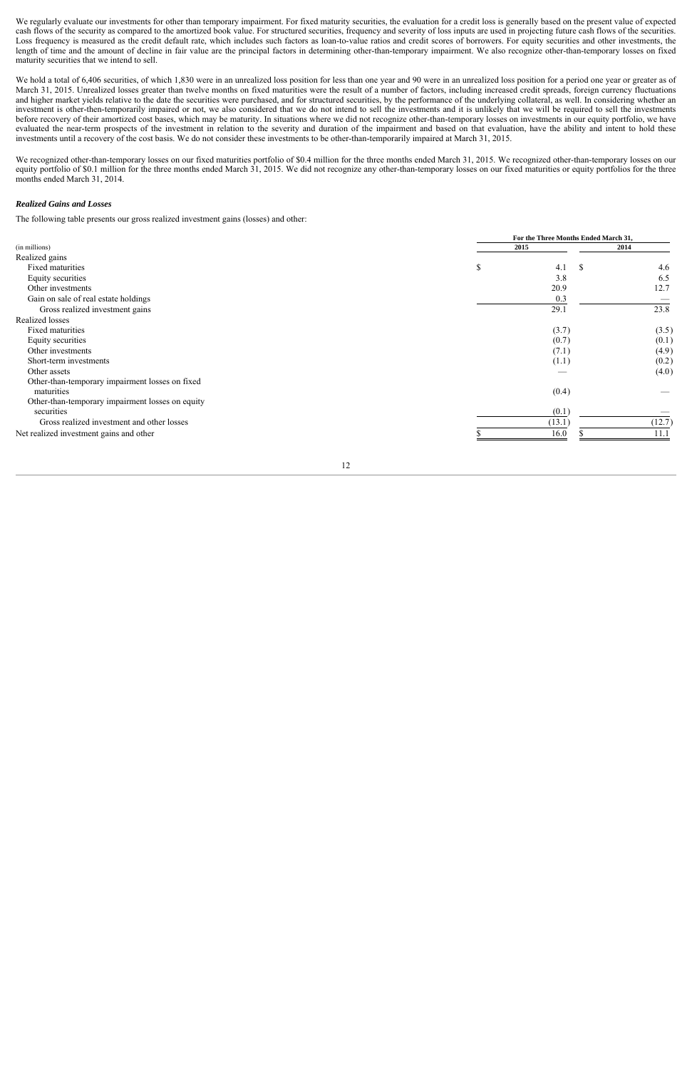We regularly evaluate our investments for other than temporary impairment. For fixed maturity securities, the evaluation for a credit loss is generally based on the present value of expected cash flows of the security as compared to the amortized book value. For structured securities, frequency and severity of loss inputs are used in projecting future cash flows of the securities. Loss frequency is measured as the credit default rate, which includes such factors as loan-to-value ratios and credit scores of borrowers. For equity securities and other investments, the length of time and the amount of decline in fair value are the principal factors in determining other-than-temporary impairment. We also recognize other-than-temporary losses on fixe d maturity securities that we intend to sell.

We hold a total of 6,406 securities, of which 1,830 were in an unrealized loss position for less than one year and 90 were in an unrealized loss position for a period one year or greater as of March 31, 2015. Unrealized losses greater than twelve months on fixed maturities were the result of a number of factors, including increased credit spreads, foreign currency fluctuations and higher market yields relative to the date the securities were purchased, and for structured securities, by the performance of the underlying collateral, as well. In considering whether an investment is other-then-temporarily impaired or not, we also considered that we do not intend to sell the investments and it is unlikely that we will be required to sell the investments before recovery of their amortized cost bases, which may be maturity. In situations where we did not recognize other-than-temporary losses on investments in our equity portfolio, we have evaluated the near-term prospects of the investment in relation to the severity and duration of the impairment and based on that evaluation, have the ability and intent to hold these investments until a recovery of the cost basis. We do not consider these investments to be other-than-temporarily impaired at March 31, 2015.

We recognized other-than-temporary losses on our fixed maturities portfolio of \$0.4 million for the three months ended March 31, 2015. We recognized other-than-temporary losses on our equity portfolio of \$0.1 million for the three months ended March 31, 2015. We did not recognize any other-than-temporary losses on our fixed maturities or equity portfolios for the three months ended March 31, 2014.

#### *Realized Gains and Losses*

The following table presents our gross realized investment gains (losses) and other:

|                                                  |   | For the Three Months Ended March 31, |        |  |  |  |  |  |  |
|--------------------------------------------------|---|--------------------------------------|--------|--|--|--|--|--|--|
| (in millions)                                    |   | 2015                                 | 2014   |  |  |  |  |  |  |
| Realized gains                                   |   |                                      |        |  |  |  |  |  |  |
| Fixed maturities                                 | S | 4.1<br><sup>\$</sup>                 | 4.6    |  |  |  |  |  |  |
| Equity securities                                |   | 3.8                                  | 6.5    |  |  |  |  |  |  |
| Other investments                                |   | 20.9                                 | 12.7   |  |  |  |  |  |  |
| Gain on sale of real estate holdings             |   | 0.3                                  |        |  |  |  |  |  |  |
| Gross realized investment gains                  |   | 29.1                                 | 23.8   |  |  |  |  |  |  |
| Realized losses                                  |   |                                      |        |  |  |  |  |  |  |
| Fixed maturities                                 |   | (3.7)                                | (3.5)  |  |  |  |  |  |  |
| Equity securities                                |   | (0.7)                                | (0.1)  |  |  |  |  |  |  |
| Other investments                                |   | (7.1)                                | (4.9)  |  |  |  |  |  |  |
| Short-term investments                           |   | (1.1)                                | (0.2)  |  |  |  |  |  |  |
| Other assets                                     |   |                                      | (4.0)  |  |  |  |  |  |  |
| Other-than-temporary impairment losses on fixed  |   |                                      |        |  |  |  |  |  |  |
| maturities                                       |   | (0.4)                                |        |  |  |  |  |  |  |
| Other-than-temporary impairment losses on equity |   |                                      |        |  |  |  |  |  |  |
| securities                                       |   | (0.1)                                |        |  |  |  |  |  |  |
| Gross realized investment and other losses       |   | (13.1)                               | (12.7) |  |  |  |  |  |  |
| Net realized investment gains and other          |   | 16.0                                 | 11.1   |  |  |  |  |  |  |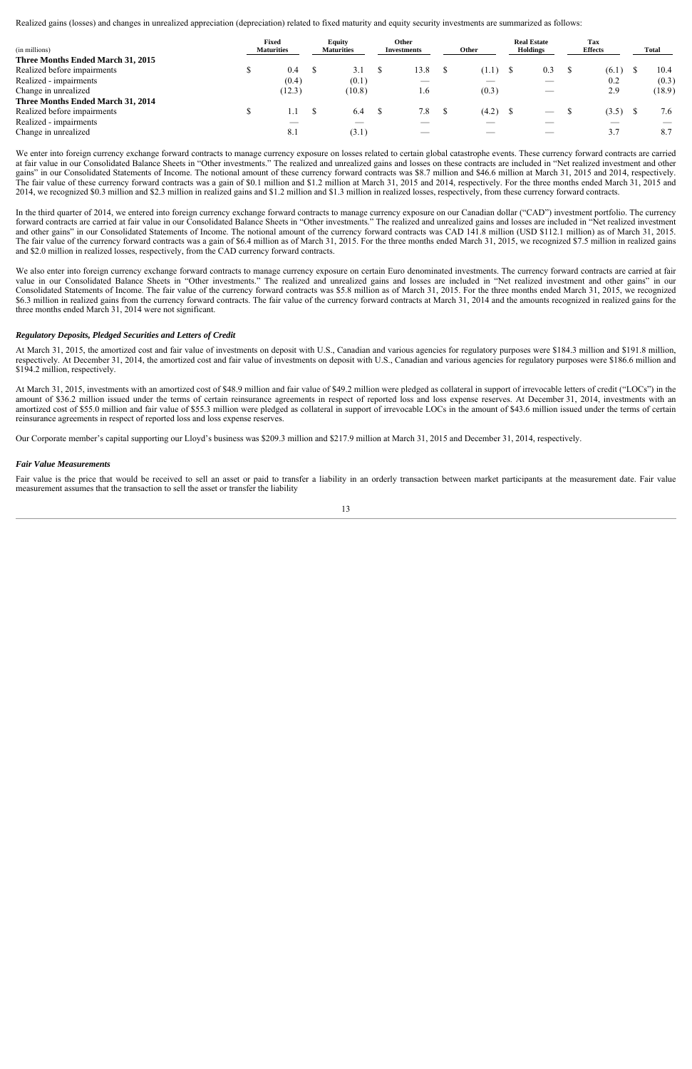Realized gains (losses) and changes in unrealized appreciation (depreciation) related to fixed maturity and equity security investments are summarized as follows:

| (in millions)                     | <b>Fixed</b><br><b>Maturities</b> |        | <b>Equity</b><br><b>Maturities</b> | Other<br><b>Investments</b> | Other | <b>Real Estate</b><br><b>Holdings</b> | Tax<br><b>Effects</b> | <b>Total</b> |
|-----------------------------------|-----------------------------------|--------|------------------------------------|-----------------------------|-------|---------------------------------------|-----------------------|--------------|
| Three Months Ended March 31, 2015 |                                   |        |                                    |                             |       |                                       |                       |              |
| Realized before impairments       |                                   | 0.4    | 3.1                                | 13.8                        | (1.1) | 0.3                                   | (6.1)                 | 10.4         |
| Realized - impairments            |                                   | (0.4)  | (0.1)                              |                             |       |                                       | 0.2                   | (0.3)        |
| Change in unrealized              |                                   | (12.3) | (10.8)                             | 1.6                         | (0.3) |                                       | 2.9                   | (18.9)       |
| Three Months Ended March 31, 2014 |                                   |        |                                    |                             |       |                                       |                       |              |
| Realized before impairments       |                                   |        | 6.4                                | 7.8                         | (4.2) | $\hspace{0.5cm}$                      | (3.5)                 | 7.6          |
| Realized - impairments            |                                   |        |                                    |                             |       |                                       |                       |              |
| Change in unrealized              |                                   | 8.1    | (3.1)                              | __                          |       |                                       | 3.7                   | 8.7          |

We enter into foreign currency exchange forward contracts to manage currency exposure on losses related to certain global catastrophe events. These currency forward contracts are carried at fair value in our Consolidated Balance Sheets in "Other investments." The realized and unrealized gains and losses on these contracts are included in "Net realized investment and other gains" in our Consolidated Statements of Income. The notional amount of these currency forward contracts was \$8.7 million and \$46.6 million at March 31, 2015 and 2014, respectively. The fair value of these currency forward contracts was a gain of \$0.1 million and \$1.2 million at March 31, 2015 and 2014, respectively. For the three months ended March 31, 2015 and 2014, we recognized \$0.3 million and \$2.3 million in realized gains and \$1.2 million and \$1.3 million in realized losses, respectively, from these currency forward contracts.

In the third quarter of 2014, we entered into foreign currency exchange forward contracts to manage currency exposure on our Canadian dollar ("CAD") investment portfolio. The currency forward contracts are carried at fair value in our Consolidated Balance Sheets in "Other investments." The realized and unrealized gains and losses are included in "Net realized investment and other gains" in our Consolidated Statements of Income. The notional amount of the currency forward contracts was CAD 141.8 million (USD \$112.1 million) as of March 31, 2015. The fair value of the currency forward contracts was a gain of \$6.4 million as of March 31, 2015. For the three months ended March 31, 2015, we recognized \$7.5 million in realized gains and \$2.0 million in realized losses, respectively, from the CAD currency forward contracts.

We also enter into foreign currency exchange forward contracts to manage currency exposure on certain Euro denominated investments. The currency forward contracts are carried at fair value in our Consolidated Balance Sheets in "Other investments." The realized and unrealized gains and losses are included in "Net realized investment and other gains" in our Consolidated Statements of Income. The fair value of the currency forward contracts was \$5.8 million as of March 31, 2015. For the three months ended March 31, 2015, we recognized \$6.3 million in realized gains from the currency forward contracts. The fair value of the currency forward contracts at March 31, 2014 and the amounts recognized in realized gains for the three months ended March 31, 2014 were not significant.

#### *Regulatory Deposits, Pledged Securities and Letters of Credit*

At March 31, 2015, the amortized cost and fair value of investments on deposit with U.S., Canadian and various agencies for regulatory purposes were \$184.3 million and \$191.8 million, respectively. At December 31, 2014, the amortized cost and fair value of investments on deposit with U.S., Canadian and various agencies for regulatory purposes were \$186.6 million and \$194.2 million, respectively.

At March 31, 2015, investments with an amortized cost of \$48.9 million and fair value of \$49.2 million were pledged as collateral in support of irrevocable letters of credit ("LOCs") in the amount of \$36.2 million issued under the terms of certain reinsurance agreements in respect of reported loss and loss expense reserves. At December 31, 2014, investments with an amortized cost of \$55.0 million and fair value of \$55.3 million were pledged as collateral in support of irrevocable LOCs in the amount of \$43.6 million issued under the terms of certain reinsurance agreements in respect of reported loss and loss expense reserves.

Our Corporate member's capital supporting our Lloyd's business was \$209.3 million and \$217.9 million at March 31, 2015 and December 31, 2014, respectively.

#### *Fair Value Measurements*

Fair value is the price that would be received to sell an asset or paid to transfer a liability in an orderly transaction between market participants at the measurement date. Fair value measurement assumes that the transaction to sell the asset or transfer the liability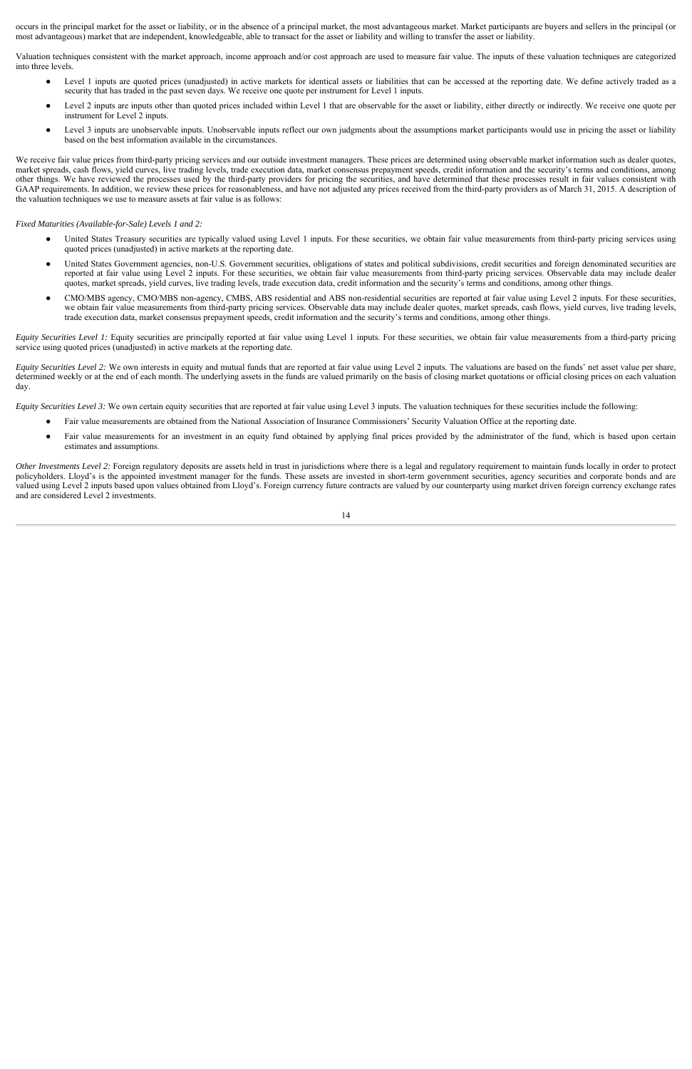occurs in the principal market for the asset or liability, or in the absence of a principal market, the most advantageous market. Market participants are buyers and sellers in the principal (or most advantageous) market that are independent, knowledgeable, able to transact for the asset or liability and willing to transfer the asset or liability.

Valuation techniques consistent with the market approach, income approach and/or cost approach are used to measure fair value. The inputs of these valuation techniques are categorized into three levels.

- Level 1 inputs are quoted prices (unadjusted) in active markets for identical assets or liabilities that can be accessed at the reporting date. We define actively traded as a security that has traded in the past seven days. We receive one quote per instrument for Level 1 inputs.
- Level 2 inputs are inputs other than quoted prices included within Level 1 that are observable for the asset or liability, either directly or indirectly. We receive one quote per instrument for Level 2 inputs.
- Level 3 inputs are unobservable inputs. Unobservable inputs reflect our own judgments about the assumptions market participants would use in pricing the asset or liability based on the best information available in the circumstances.

We receive fair value prices from third-party pricing services and our outside investment managers. These prices are determined using observable market information such as dealer quotes, market spreads, cash flows, yield curves, live trading levels, trade execution data, market consensus prepayment speeds, credit information and the security's terms and conditions, among other things. We have reviewed the processes used by the third-party providers for pricing the securities, and have determined that these processes result in fair values consistent with GAAP requirements. In addition, we review these prices for reasonableness, and have not adjusted any prices received from the third-party providers as of March 31, 2015. A description of the valuation techniques we use to measure assets at fair value is as follows:

*Fixed Maturities (Available-for-Sale) Levels 1 and 2:* 

- United States Treasury securities are typically valued using Level 1 inputs. For these securities, we obtain fair value measurements from third-party pricing services using quoted prices (unadjusted) in active markets at the reporting date.
- United States Government agencies, non-U.S. Government securities, obligations of states and political subdivisions, credit securities and foreign denominated securities are reported at fair value using Level 2 inputs. For these securities, we obtain fair value measurements from third-party pricing services. Observable data may include dealer quotes, market spreads, yield curves, live trading levels, trade execution data, credit information and the security's terms and conditions, among other things.
- CMO/MBS agency, CMO/MBS non-agency, CMBS, ABS residential and ABS non-residential securities are reported at fair value using Level 2 inputs. For these securities, we obtain fair value measurements from third-party pricing services. Observable data may include dealer quotes, market spreads, cash flows, yield curves, live trading levels, trade execution data, market consensus prepayment speeds, credit information and the security's terms and conditions, among other things.

*Equity Securities Level 1:* Equity securities are principally reported at fair value using Level 1 inputs. For these securities, we obtain fair value measurements from a third-party pricing service using quoted prices (unadjusted) in active markets at the reporting date.

*Equity Securities Level 2:* We own interests in equity and mutual funds that are reported at fair value using Level 2 inputs. The valuations are based on the funds' net asset value per share, determined weekly or at the end of each month. The underlying assets in the funds are valued primarily on the basis of closing market quotations or official closing prices on each valuation day.

*Equity Securities Level 3:* We own certain equity securities that are reported at fair value using Level 3 inputs. The valuation techniques for these securities include the following:

- Fair value measurements are obtained from the National Association of Insurance Commissioners' Security Valuation Office at the reporting date.
- Fair value measurements for an investment in an equity fund obtained by applying final prices provided by the administrator of the fund, which is based upon certain estimates and assumptions.

*Other Investments Level 2:* Foreign regulatory deposits are assets held in trust in jurisdictions where there is a legal and regulatory requirement to maintain funds locally in order to protect policyholders. Lloyd's is the appointed investment manager for the funds. These assets are invested in short-term government securities, agency securities and corporate bonds and are valued using Level 2 inputs based upon values obtained from Lloyd's. Foreign currency future contracts are valued by our counterparty using market driven foreign currency exchange rates and are considered Level 2 investments.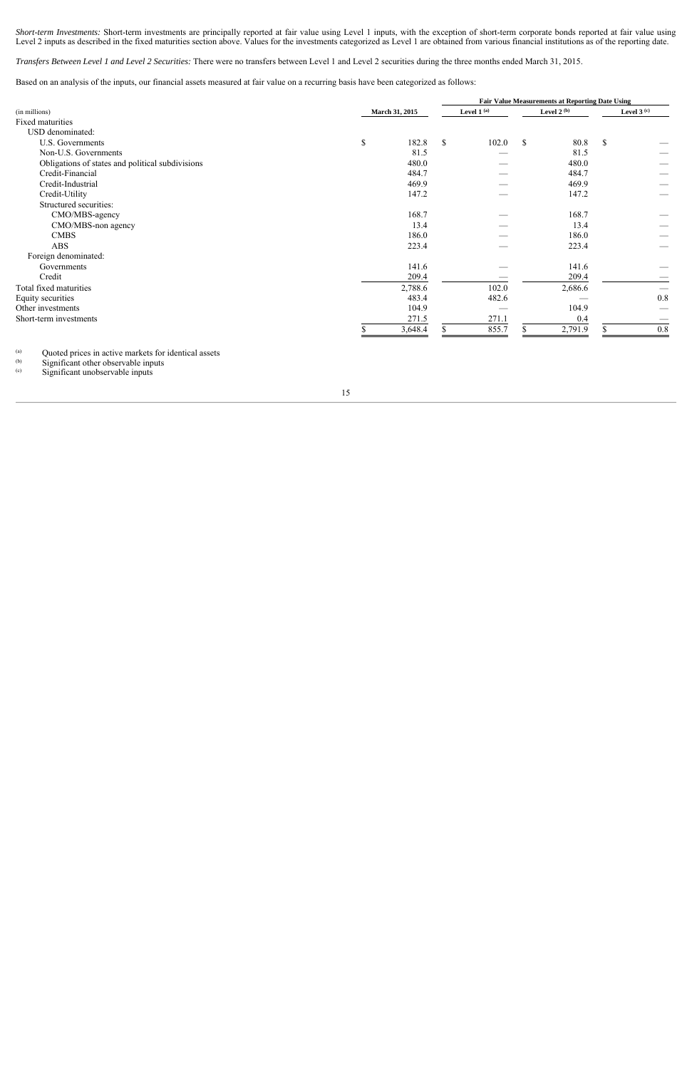*Short-term Investments:* Short-term investments are principally reported at fair value using Level 1 inputs, with the exception of short-term corporate bonds reported at fair value using Level 2 inputs as described in the fixed maturities section above. Values for the investments categorized as Level 1 are obtained from various financial institutions as of the reporting date.

*Transfers Between Level 1 and Level 2 Securities:* There were no transfers between Level 1 and Level 2 securities during the three months ended March 31, 2015.

Based on an analysis of the inputs, our financial assets measured at fair value on a recurring basis have been categorized as follows:

|                                                  |                |         | <b>Fair Value Measurements at Reporting Date Using</b> |              |             |               |              |     |
|--------------------------------------------------|----------------|---------|--------------------------------------------------------|--------------|-------------|---------------|--------------|-----|
| (in millions)                                    | March 31, 2015 |         |                                                        | Level $1(a)$ |             | Level 2 $(b)$ | Level $3(c)$ |     |
| Fixed maturities                                 |                |         |                                                        |              |             |               |              |     |
| USD denominated:                                 |                |         |                                                        |              |             |               |              |     |
| U.S. Governments                                 | \$             | 182.8   | \$                                                     | 102.0        | $\sqrt{\ }$ | 80.8          | \$           |     |
| Non-U.S. Governments                             |                | 81.5    |                                                        |              |             | 81.5          |              |     |
| Obligations of states and political subdivisions |                | 480.0   |                                                        |              |             | 480.0         |              |     |
| Credit-Financial                                 |                | 484.7   |                                                        |              |             | 484.7         |              |     |
| Credit-Industrial                                |                | 469.9   |                                                        |              |             | 469.9         |              |     |
| Credit-Utility                                   |                | 147.2   |                                                        |              |             | 147.2         |              |     |
| Structured securities:                           |                |         |                                                        |              |             |               |              |     |
| CMO/MBS-agency                                   |                | 168.7   |                                                        |              |             | 168.7         |              |     |
| CMO/MBS-non agency                               |                | 13.4    |                                                        |              |             | 13.4          |              |     |
| <b>CMBS</b>                                      |                | 186.0   |                                                        |              |             | 186.0         |              |     |
| <b>ABS</b>                                       |                | 223.4   |                                                        |              |             | 223.4         |              |     |
| Foreign denominated:                             |                |         |                                                        |              |             |               |              |     |
| Governments                                      |                | 141.6   |                                                        |              |             | 141.6         |              |     |
| Credit                                           |                | 209.4   |                                                        |              |             | 209.4         |              |     |
| Total fixed maturities                           |                | 2,788.6 |                                                        | 102.0        |             | 2,686.6       |              |     |
| Equity securities                                |                | 483.4   |                                                        | 482.6        |             |               |              | 0.8 |
| Other investments                                |                | 104.9   |                                                        |              |             | 104.9         |              |     |
| Short-term investments                           |                | 271.5   |                                                        | 271.1        |             | 0.4           |              |     |
|                                                  |                | 3,648.4 |                                                        | 855.7        |             | 2,791.9       |              | 0.8 |

 $(a)$ (a)  $\frac{1}{2}$  Quoted prices in active markets for identical assets (b) Significant other observable inputs

 $(6)$  Significant other observable inputs<br> $(6)$  Significant unobservable inputs

Significant unobservable inputs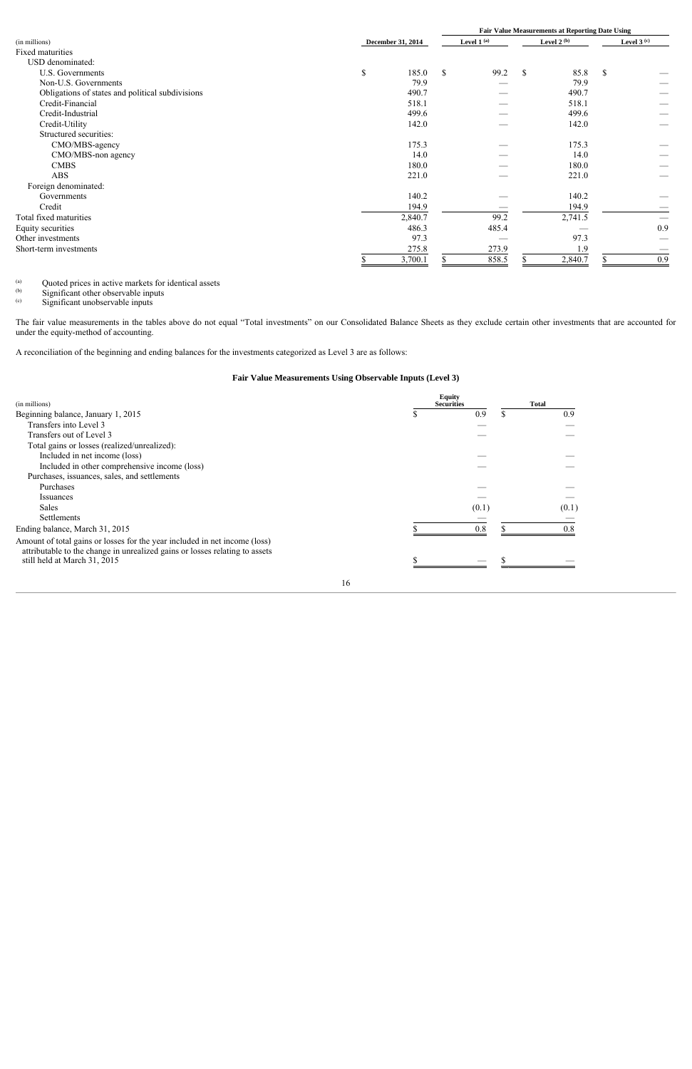|                                                  |                          |              |    |       | <b>Fair Value Measurements at Reporting Date Using</b> |              |               |     |  |
|--------------------------------------------------|--------------------------|--------------|----|-------|--------------------------------------------------------|--------------|---------------|-----|--|
| (in millions)                                    | <b>December 31, 2014</b> | Level $1(a)$ |    |       | Level 2 $(b)$                                          | Level $3(c)$ |               |     |  |
| Fixed maturities                                 |                          |              |    |       |                                                        |              |               |     |  |
| USD denominated:                                 |                          |              |    |       |                                                        |              |               |     |  |
| U.S. Governments                                 | \$                       | 185.0        | \$ | 99.2  | \$                                                     | 85.8         | \$            |     |  |
| Non-U.S. Governments                             |                          | 79.9         |    |       |                                                        | 79.9         |               |     |  |
| Obligations of states and political subdivisions |                          | 490.7        |    |       |                                                        | 490.7        |               |     |  |
| Credit-Financial                                 |                          | 518.1        |    |       |                                                        | 518.1        |               |     |  |
| Credit-Industrial                                |                          | 499.6        |    |       |                                                        | 499.6        |               |     |  |
| Credit-Utility                                   |                          | 142.0        |    |       |                                                        | 142.0        |               |     |  |
| Structured securities:                           |                          |              |    |       |                                                        |              |               |     |  |
| CMO/MBS-agency                                   |                          | 175.3        |    |       |                                                        | 175.3        |               |     |  |
| CMO/MBS-non agency                               |                          | 14.0         |    |       |                                                        | 14.0         |               |     |  |
| <b>CMBS</b>                                      |                          | 180.0        |    |       |                                                        | 180.0        |               |     |  |
| <b>ABS</b>                                       |                          | 221.0        |    |       |                                                        | 221.0        |               |     |  |
| Foreign denominated:                             |                          |              |    |       |                                                        |              |               |     |  |
| Governments                                      |                          | 140.2        |    |       |                                                        | 140.2        |               |     |  |
| Credit                                           |                          | 194.9        |    |       |                                                        | 194.9        |               |     |  |
| Total fixed maturities                           |                          | 2,840.7      |    | 99.2  |                                                        | 2,741.5      |               |     |  |
| Equity securities                                |                          | 486.3        |    | 485.4 |                                                        |              |               | 0.9 |  |
| Other investments                                |                          | 97.3         |    |       |                                                        | 97.3         |               |     |  |
| Short-term investments                           |                          | 275.8        |    | 273.9 |                                                        | 1.9          |               |     |  |
|                                                  |                          | 3,700.1      |    | 858.5 |                                                        | 2,840.7      | <sup>\$</sup> | 0.9 |  |

 $(a)$ (a) Quoted prices in active markets for identical assets

(b) Significant other observable inputs

(c) Significant unobservable inputs

The fair value measurements in the tables above do not equal "Total investments" on our Consolidated Balance Sheets as they exclude certain other investments that are accounted for under the equity-method of accounting.

A reconciliation of the beginning and ending balances for the investments categorized as Level 3 are as follows:

## **Fair Value Measurements Using Observable Inputs (Level 3)**

| (in millions)                                                                                                                                             |    | <b>Equity</b><br><b>Securities</b> | <b>Total</b> |
|-----------------------------------------------------------------------------------------------------------------------------------------------------------|----|------------------------------------|--------------|
| Beginning balance, January 1, 2015                                                                                                                        |    | 0.9                                | \$<br>0.9    |
| Transfers into Level 3                                                                                                                                    |    |                                    |              |
| Transfers out of Level 3                                                                                                                                  |    |                                    |              |
| Total gains or losses (realized/unrealized):                                                                                                              |    |                                    |              |
| Included in net income (loss)                                                                                                                             |    |                                    |              |
| Included in other comprehensive income (loss)                                                                                                             |    |                                    |              |
| Purchases, issuances, sales, and settlements                                                                                                              |    |                                    |              |
| Purchases                                                                                                                                                 |    |                                    |              |
| <i>Issuances</i>                                                                                                                                          |    |                                    |              |
| <b>Sales</b>                                                                                                                                              |    | (0.1)                              | (0.1)        |
| <b>Settlements</b>                                                                                                                                        |    |                                    |              |
| Ending balance, March 31, 2015                                                                                                                            |    | 08                                 | 08           |
| Amount of total gains or losses for the year included in net income (loss)<br>attributable to the change in unrealized gains or losses relating to assets |    |                                    |              |
| still held at March 31, 2015                                                                                                                              |    |                                    |              |
|                                                                                                                                                           | 16 |                                    |              |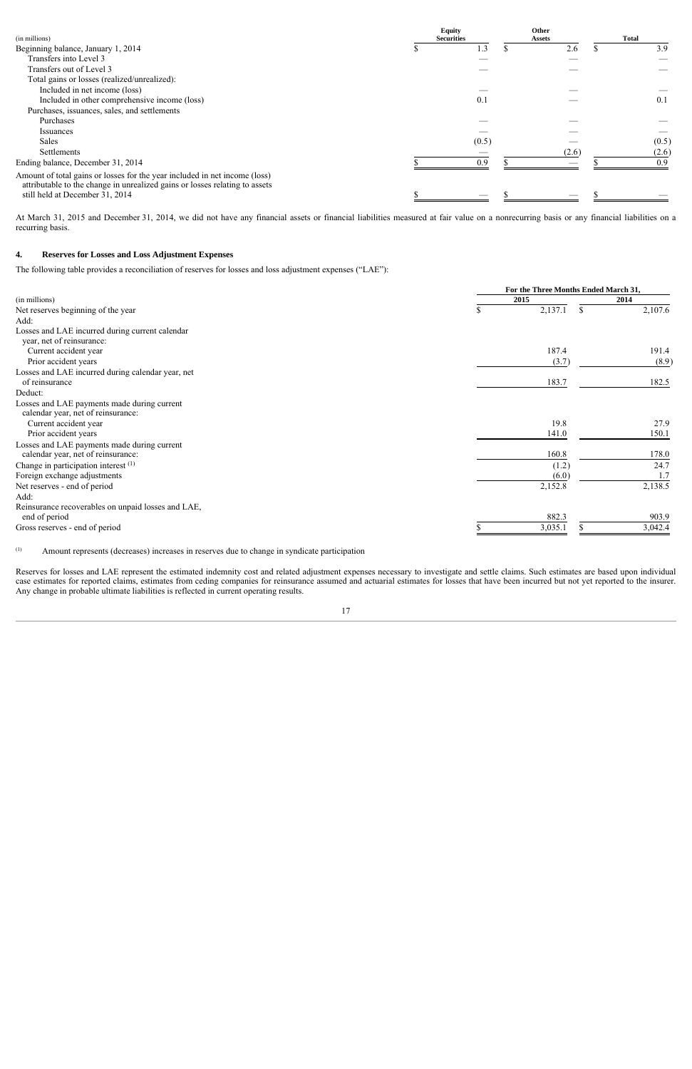| (in millions)                                                                                                                                             | <b>Equity</b><br><b>Securities</b> | Other<br><b>Assets</b> | <b>Total</b> |
|-----------------------------------------------------------------------------------------------------------------------------------------------------------|------------------------------------|------------------------|--------------|
| Beginning balance, January 1, 2014                                                                                                                        | $\cdot$ .3                         | 2.6                    | 3.9          |
| Transfers into Level 3                                                                                                                                    |                                    |                        |              |
| Transfers out of Level 3                                                                                                                                  |                                    |                        |              |
| Total gains or losses (realized/unrealized):                                                                                                              |                                    |                        |              |
| Included in net income (loss)                                                                                                                             |                                    |                        |              |
| Included in other comprehensive income (loss)                                                                                                             | 0.1                                |                        | 0.1          |
| Purchases, issuances, sales, and settlements                                                                                                              |                                    |                        |              |
| Purchases                                                                                                                                                 |                                    |                        |              |
| Issuances                                                                                                                                                 |                                    |                        |              |
| <b>Sales</b>                                                                                                                                              | (0.5)                              |                        | (0.5)        |
| Settlements                                                                                                                                               |                                    | (2.6)                  | (2.6)        |
| Ending balance, December 31, 2014                                                                                                                         | 0.9                                |                        | 0.9          |
| Amount of total gains or losses for the year included in net income (loss)<br>attributable to the change in unrealized gains or losses relating to assets |                                    |                        |              |
| still held at December 31, 2014                                                                                                                           | ___                                | --                     |              |

At March 31, 2015 and December 31, 2014, we did not have any financial assets or financial liabilities measured at fair value on a nonrecurring basis or any financial liabilities on a recurring basis.

#### **4. Reserves for Losses and Loss Adjustment Expenses**

The following table provides a reconciliation of reserves for losses and loss adjustment expenses ("LAE"):

|                                                    |               | For the Three Months Ended March 31, |  |  |  |  |  |  |  |
|----------------------------------------------------|---------------|--------------------------------------|--|--|--|--|--|--|--|
| (in millions)                                      | 2015          | 2014                                 |  |  |  |  |  |  |  |
| Net reserves beginning of the year                 | 2,137.1<br>\$ | 2,107.6<br>\$                        |  |  |  |  |  |  |  |
| Add:                                               |               |                                      |  |  |  |  |  |  |  |
| Losses and LAE incurred during current calendar    |               |                                      |  |  |  |  |  |  |  |
| year, net of reinsurance:                          |               |                                      |  |  |  |  |  |  |  |
| Current accident year                              | 187.4         | 191.4                                |  |  |  |  |  |  |  |
| Prior accident years                               | (3.7)         | (8.9)                                |  |  |  |  |  |  |  |
| Losses and LAE incurred during calendar year, net  |               |                                      |  |  |  |  |  |  |  |
| of reinsurance                                     | 183.7         | 182.5                                |  |  |  |  |  |  |  |
| Deduct:                                            |               |                                      |  |  |  |  |  |  |  |
| Losses and LAE payments made during current        |               |                                      |  |  |  |  |  |  |  |
| calendar year, net of reinsurance:                 |               |                                      |  |  |  |  |  |  |  |
| Current accident year                              | 19.8          | 27.9                                 |  |  |  |  |  |  |  |
| Prior accident years                               | 141.0         | 150.1                                |  |  |  |  |  |  |  |
| Losses and LAE payments made during current        |               |                                      |  |  |  |  |  |  |  |
| calendar year, net of reinsurance:                 | 160.8         | 178.0                                |  |  |  |  |  |  |  |
| Change in participation interest (1)               | (1.2)         | 24.7                                 |  |  |  |  |  |  |  |
| Foreign exchange adjustments                       | (6.0)         | 1.7                                  |  |  |  |  |  |  |  |
| Net reserves - end of period                       | 2,152.8       | 2,138.5                              |  |  |  |  |  |  |  |
| Add:                                               |               |                                      |  |  |  |  |  |  |  |
| Reinsurance recoverables on unpaid losses and LAE, |               |                                      |  |  |  |  |  |  |  |
| end of period                                      | 882.3         | 903.9                                |  |  |  |  |  |  |  |
| Gross reserves - end of period                     | 3,035.1       | 3,042.4                              |  |  |  |  |  |  |  |
|                                                    |               |                                      |  |  |  |  |  |  |  |

(1) Amount represents (decreases) increases in reserves due to change in syndicate participation

Reserves for losses and LAE represent the estimated indemnity cost and related adjustment expenses necessary to investigate and settle claims. Such estimates are based upon individual case estimates for reported claims, estimates from ceding companies for reinsurance assumed and actuarial estimates for losses that have been incurred but not yet reported to the insurer. Any change in probable ultimate liabilities is reflected in current operating results.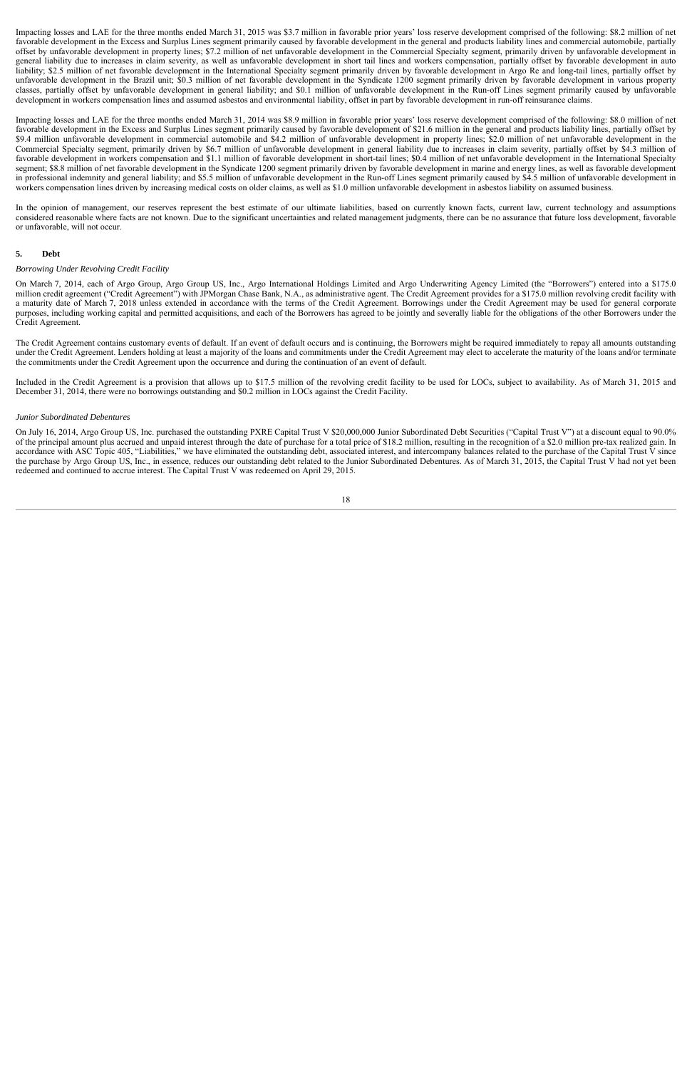Impacting losses and LAE for the three months ended March 31, 2015 was \$3.7 million in favorable prior years' loss reserve development comprised of the following: \$8.2 million of net favorable development in the Excess and Surplus Lines segment primarily caused by favorable development in the general and products liability lines and commercial automobile, partially offset by unfavorable development in property lines; \$7.2 million of net unfavorable development in the Commercial Specialty segment, primarily driven by unfavorable development in general liability due to increases in claim severity, as well as unfavorable development in short tail lines and workers compensation, partially offset by favorable development in auto liability; \$2.5 million of net favorable development in the International Specialty segment primarily driven by favorable development in Argo Re and long-tail lines, partially offset by unfavorable development in the Brazil unit; \$0.3 million of net favorable development in the Syndicate 1200 segment primarily driven by favorable development in various property classes, partially offset by unfavorable development in general liability; and \$0.1 million of unfavorable development in the Run-off Lines segment primarily caused by unfavorable development in workers compensation lines and assumed asbestos and environmental liability, offset in part by favorable development in run-off reinsurance claims.

Impacting losses and LAE for the three months ended March 31, 2014 was \$8.9 million in favorable prior years' loss reserve development comprised of the following: \$8.0 million of net favorable development in the Excess and Surplus Lines segment primarily caused by favorable development of \$21.6 million in the general and products liability lines, partially offset by \$9.4 million unfavorable development in commercial automobile and \$4.2 million of unfavorable development in property lines; \$2.0 million of net unfavorable development in the Commercial Specialty segment, primarily driven by \$6.7 million of unfavorable development in general liability due to increases in claim severity, partially offset by \$4.3 million of favorable development in workers compensation and \$1.1 million of favorable development in short-tail lines; \$0.4 million of net unfavorable development in the International Specialty segment; \$8.8 million of net favorable development in the Syndicate 1200 segment primarily driven by favorable development in marine and energy lines, as well as favorable development in professional indemnity and general liability; and \$5.5 million of unfavorable development in the Run-off Lines segment primarily caused by \$4.5 million of unfavorable development in workers compensation lines driven by increasing medical costs on older claims, as well as \$1.0 million unfavorable development in asbestos liability on assumed business.

In the opinion of management, our reserves represent the best estimate of our ultimate liabilities, based on currently known facts, current law, current technology and assumptions considered reasonable where facts are not known. Due to the significant uncertainties and related management judgments, there can be no assurance that future loss development, favorable or unfavorable, will not occur.

#### **5. Debt**

#### *Borrowing Under Revolving Credit Facility*

On March 7, 2014, each of Argo Group, Argo Group US, Inc., Argo International Holdings Limited and Argo Underwriting Agency Limited (the "Borrowers") entered into a \$175.0 million credit agreement ("Credit Agreement") with JPMorgan Chase Bank, N.A., as administrative agent. The Credit Agreement provides for a \$175.0 million revolving credit facility with a maturity date of March 7, 2018 unless extended in accordance with the terms of the Credit Agreement. Borrowings under the Credit Agreement may be used for general corporate purposes, including working capital and permitted acquisitions, and each of the Borrowers has agreed to be jointly and severally liable for the obligations of the other Borrowers under the Credit Agreement.

The Credit Agreement contains customary events of default. If an event of default occurs and is continuing, the Borrowers might be required immediately to repay all amounts outstanding under the Credit Agreement. Lenders holding at least a majority of the loans and commitments under the Credit Agreement may elect to accelerate the maturity of the loans and/or terminate the commitments under the Credit Agreement upon the occurrence and during the continuation of an event of default.

Included in the Credit Agreement is a provision that allows up to \$17.5 million of the revolving credit facility to be used for LOCs, subject to availability. As of March 31, 2015 and December 31, 2014, there were no borrowings outstanding and \$0.2 million in LOCs against the Credit Facility.

#### *Junior Subordinated Debentures*

On July 16, 2014, Argo Group US, Inc. purchased the outstanding PXRE Capital Trust V \$20,000,000 Junior Subordinated Debt Securities ("Capital Trust V") at a discount equal to 90.0% of the principal amount plus accrued and unpaid interest through the date of purchase for a total price of \$18.2 million, resulting in the recognition of a \$2.0 million pre-tax realized gain. In accordance with ASC Topic 405, "Liabilities," we have eliminated the outstanding debt, associated interest, and intercompany balances related to the purchase of the Capital Trust V since the purchase by Argo Group US, Inc., in essence, reduces our outstanding debt related to the Junior Subordinated Debentures. As of March 31, 2015, the Capital Trust V had not yet been redeemed and continued to accrue interest. The Capital Trust V was redeemed on April 29, 2015.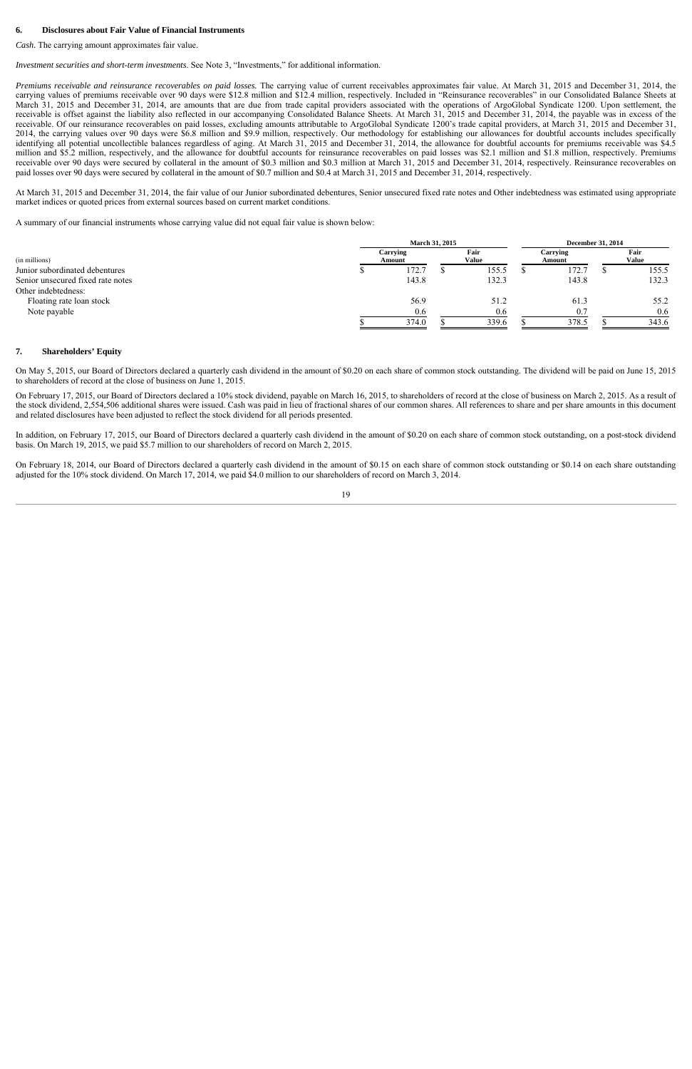#### **6. Disclosures about Fair Value of Financial Instruments**

*Cash.* The carrying amount approximates fair value.

*Investment securities and short-term investments*. See Note 3, "Investments," for additional information.

*Premiums receivable and reinsurance recoverables on paid losses.* The carrying value of current receivables approximates fair value. At March 31, 2015 and December 31, 2014, the carrying values of premiums receivable over 90 days were \$12.8 million and \$12.4 million, respectively. Included in "Reinsurance recoverables" in our Consolidated Balance Sheets at March 31, 2015 and December 31, 2014, are amounts that are due from trade capital providers associated with the operations of ArgoGlobal Syndicate 1200. Upon settlement, the receivable is offset against the liability also reflected in our accompanying Consolidated Balance Sheets. At March 31, 2015 and December 31, 2014, the payable was in excess of the receivable. Of our reinsurance recoverables on paid losses, excluding amounts attributable to ArgoGlobal Syndicate 1200's trade capital providers, at March 31, 2015 and December 31, 2014, the carrying values over 90 days were \$6.8 million and \$9.9 million, respectively. Our methodology for establishing our allowances for doubtful accounts includes specifically identifying all potential uncollectible balances regardless of aging. At March 31, 2015 and December 31, 2014, the allowance for doubtful accounts for premiums receivable was \$4.5 million and \$5.2 million, respectively, and the allowance for doubtful accounts for reinsurance recoverables on paid losses was \$2.1 million and \$1.8 million, respectively. Premiums receivable over 90 days were secured by collateral in the amount of \$0.3 million and \$0.3 million at March 31, 2015 and December 31, 2014, respectively. Reinsurance recoverables on paid losses over 90 days were secured by collateral in the amount of \$0.7 million and \$0.4 at March 31, 2015 and December 31, 2014, respectively.

At March 31, 2015 and December 31, 2014, the fair value of our Junior subordinated debentures, Senior unsecured fixed rate notes and Other indebtedness was estimated using appropriate market indices or quoted prices from external sources based on current market conditions.

A summary of our financial instruments whose carrying value did not equal fair value is shown below:

| <b>March 31, 2015</b> |       |                    |               |  | <b>December 31, 2014</b> |  |                      |  |
|-----------------------|-------|--------------------|---------------|--|--------------------------|--|----------------------|--|
|                       |       |                    | Fair<br>Value |  | Carrying<br>Amount       |  | Fair<br><b>Value</b> |  |
|                       | 172.7 |                    | 155.5         |  | 172.7                    |  | 155.5                |  |
|                       | 143.8 |                    | 132.3         |  | 143.8                    |  | 132.3                |  |
|                       |       |                    |               |  |                          |  |                      |  |
|                       | 56.9  |                    | 51.2          |  | 61.3                     |  | 55.2                 |  |
|                       | 0.6   |                    | 0.6           |  | 0.7                      |  | 0.6                  |  |
|                       | 374.0 |                    | 339.6         |  | 378.5                    |  | 343.6                |  |
|                       |       | Carrying<br>Amount |               |  |                          |  |                      |  |

#### **7. Shareholders' Equity**

On May 5, 2015, our Board of Directors declared a quarterly cash dividend in the amount of \$0.20 on each share of common stock outstanding. The dividend will be paid on June 15, 2015 to shareholders of record at the close of business on June 1, 2015.

On February 17, 2015, our Board of Directors declared a 10% stock dividend, payable on March 16, 2015, to shareholders of record at the close of business on March 2, 2015. As a result of the stock dividend, 2,554,506 additional shares were issued. Cash was paid in lieu of fractional shares of our common shares. All references to share and per share amounts in this document and related disclosures have been adjusted to reflect the stock dividend for all periods presented.

In addition, on February 17, 2015, our Board of Directors declared a quarterly cash dividend in the amount of \$0.20 on each share of common stock outstanding, on a post-stock dividend basis. On March 19, 2015, we paid \$5.7 million to our shareholders of record on March 2, 2015.

On February 18, 2014, our Board of Directors declared a quarterly cash dividend in the amount of \$0.15 on each share of common stock outstanding or \$0.14 on each share outstanding adjusted for the 10% stock dividend. On March 17, 2014, we paid \$4.0 million to our shareholders of record on March 3, 2014.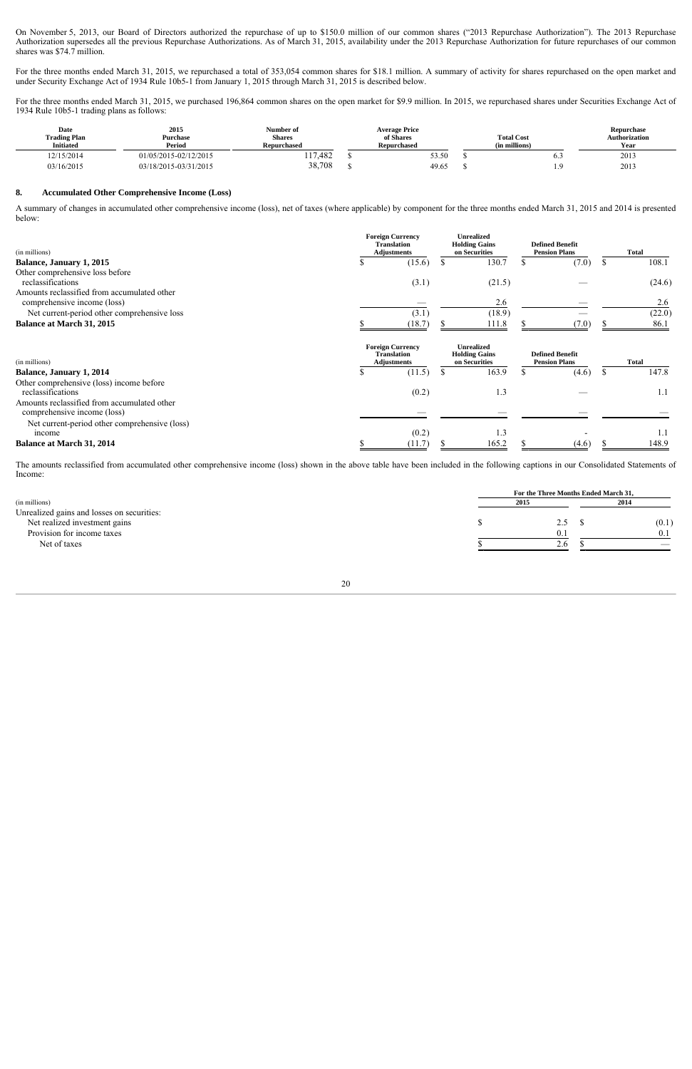On November 5, 2013, our Board of Directors authorized the repurchase of up to \$150.0 million of our common shares ("2013 Repurchase Authorization"). The 2013 Repurchase Authorization supersedes all the previous Repurchase Authorizations. As of March 31, 2015, availability under the 2013 Repurchase Authorization for future repurchases of our common shares was \$74.7 million.

For the three months ended March 31, 2015, we repurchased a total of 353,054 common shares for \$18.1 million. A summary of activity for shares repurchased on the open market and under Security Exchange Act of 1934 Rule 10b5-1 from January 1, 2015 through March 31, 2015 is described below.

For the three months ended March 31, 2015, we purchased 196,864 common shares on the open market for \$9.9 million. In 2015, we repurchased shares under Securities Exchange Act of 1934 Rule 10b5-1 trading plans as follows:

| Date<br><b>Trading Plan</b><br><b>Initiated</b> | 2015<br>Purchase<br>Period | Number of<br><b>Shares</b><br><b>Repurchased</b> | <b>Average Price</b><br>of Shares<br><b>Repurchased</b> | <b>Total Cost</b><br>(in millions) | Repurchase<br><b>Authorization</b><br>Year |
|-------------------------------------------------|----------------------------|--------------------------------------------------|---------------------------------------------------------|------------------------------------|--------------------------------------------|
| 12/15/2014                                      | 01/05/2015-02/12/2015      | 117,482                                          | 53.50                                                   | 0.3                                | 2013                                       |
| 03/16/2015                                      | 03/18/2015-03/31/2015      | 38,708                                           | 49.65                                                   |                                    | 2013                                       |

#### **8. Accumulated Other Comprehensive Income (Loss)**

A summary of changes in accumulated other comprehensive income (loss), net of taxes (where applicable) by component for the three months ended March 31, 2015 and 2014 is presented below:

| (in millions)                                                              |    | <b>Foreign Currency</b><br><b>Translation</b><br><b>Adjustments</b> |               | <b>Unrealized</b><br><b>Holding Gains</b><br>on Securities |                                                | <b>Defined Benefit</b><br><b>Pension Plans</b> |    | Total        |
|----------------------------------------------------------------------------|----|---------------------------------------------------------------------|---------------|------------------------------------------------------------|------------------------------------------------|------------------------------------------------|----|--------------|
| Balance, January 1, 2015                                                   | ъ  | (15.6)                                                              | S             | 130.7                                                      |                                                | (7.0)                                          | S  | 108.1        |
| Other comprehensive loss before                                            |    |                                                                     |               |                                                            |                                                |                                                |    |              |
| reclassifications                                                          |    | (3.1)                                                               |               | (21.5)                                                     |                                                |                                                |    | (24.6)       |
| Amounts reclassified from accumulated other                                |    |                                                                     |               |                                                            |                                                |                                                |    |              |
| comprehensive income (loss)                                                |    |                                                                     |               | 2.6                                                        |                                                |                                                |    | 2.6          |
| Net current-period other comprehensive loss                                |    | (3.1)                                                               |               | (18.9)                                                     |                                                |                                                |    | (22.0)       |
| <b>Balance at March 31, 2015</b><br>(in millions)                          |    | (18.7)                                                              |               | 111.8                                                      |                                                | (7.0)                                          |    | 86.1         |
|                                                                            |    | <b>Foreign Currency</b><br><b>Translation</b><br><b>Adjustments</b> |               | <b>Unrealized</b><br><b>Holding Gains</b><br>on Securities | <b>Defined Benefit</b><br><b>Pension Plans</b> |                                                |    | <b>Total</b> |
| Balance, January 1, 2014                                                   | S  | (11.5)                                                              | <sup>\$</sup> | 163.9                                                      | \$.                                            | (4.6)                                          | S. | 147.8        |
| Other comprehensive (loss) income before                                   |    |                                                                     |               |                                                            |                                                |                                                |    |              |
| reclassifications                                                          |    | (0.2)                                                               |               | 1.3                                                        |                                                |                                                |    | 1.1          |
| Amounts reclassified from accumulated other<br>comprehensive income (loss) |    |                                                                     |               |                                                            |                                                |                                                |    |              |
| Net current-period other comprehensive (loss)<br>income                    |    | (0.2)                                                               |               | 1.3                                                        |                                                |                                                |    | 1.1          |
| <b>Balance at March 31, 2014</b>                                           | \$ | (11.7)                                                              |               | 165.2                                                      |                                                | (4.6)                                          |    | 148.9        |

The amounts reclassified from accumulated other comprehensive income (loss) shown in the above table have been included in the following captions in our Consolidated Statements of Income:

|                                            | For the Three Months Ended March 31, |       |  |  |  |  |  |
|--------------------------------------------|--------------------------------------|-------|--|--|--|--|--|
| (in millions)                              | 2015                                 | 2014  |  |  |  |  |  |
| Unrealized gains and losses on securities: |                                      |       |  |  |  |  |  |
| Net realized investment gains              | 2.5                                  | (0.1) |  |  |  |  |  |
| Provision for income taxes                 | $0$ .                                | 0.1   |  |  |  |  |  |
| Net of taxes                               | 2.6                                  |       |  |  |  |  |  |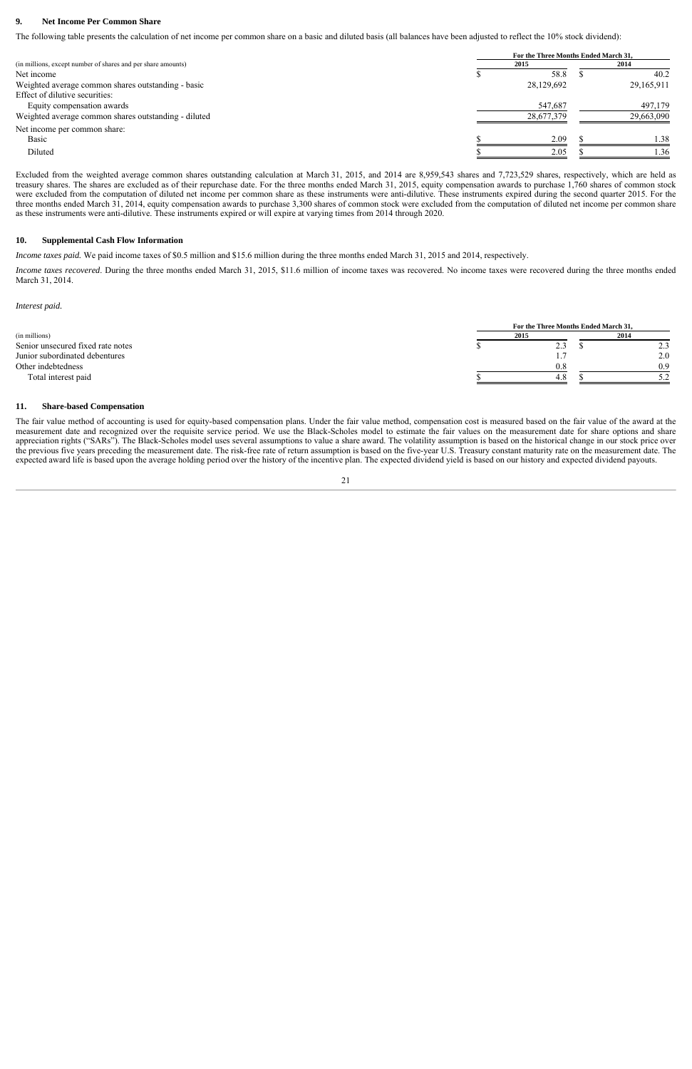#### **9. Net Income Per Common Share**

The following table presents the calculation of net income per common share on a basic and diluted basis (all balances have been adjusted to reflect the 10% stock dividend):

|                                                              | For the Three Months Ended March 31, |  |                  |  |  |  |  |
|--------------------------------------------------------------|--------------------------------------|--|------------------|--|--|--|--|
| (in millions, except number of shares and per share amounts) | 2015                                 |  |                  |  |  |  |  |
| Net income                                                   | 58.8                                 |  | 40.2             |  |  |  |  |
| Weighted average common shares outstanding - basic           | 28,129,692                           |  | 29,165,911       |  |  |  |  |
| Effect of dilutive securities:                               |                                      |  |                  |  |  |  |  |
| Equity compensation awards                                   | 547,687                              |  | 497,179          |  |  |  |  |
| Weighted average common shares outstanding - diluted         | 28,677,379                           |  | 29,663,090       |  |  |  |  |
| Net income per common share:                                 |                                      |  |                  |  |  |  |  |
| Basic                                                        | 2.09                                 |  | 1.38             |  |  |  |  |
| Diluted                                                      | 2.05                                 |  | $\overline{.}36$ |  |  |  |  |

Excluded from the weighted average common shares outstanding calculation at March 31, 2015, and 2014 are 8,959,543 shares and 7,723,529 shares, respectively, which are held as treasury shares. The shares are excluded as of their repurchase date. For the three months ended March 31, 2015, equity compensation awards to purchase 1,760 shares of common stock were excluded from the computation of diluted net income per common share as these instruments were anti-dilutive. These instruments expired during the second quarter 2015. For the three months ended March 31, 2014, equity compensation awards to purchase 3,300 shares of common stock were excluded from the computation of diluted net income per common share as these instruments were anti-dilutive. These instruments expired or will expire at varying times from 2014 through 2020.

#### **10. Supplemental Cash Flow Information**

*Income taxes paid.* We paid income taxes of \$0.5 million and \$15.6 million during the three months ended March 31, 2015 and 2014, respectively.

*Income taxes recovered*. During the three months ended March 31, 2015, \$11.6 million of income taxes was recovered. No income taxes were recovered during the three months ended March 31, 2014.

*Interest paid.*

|                                   | For the Three Months Ended March 31. |  |       |  |  |  |  |  |
|-----------------------------------|--------------------------------------|--|-------|--|--|--|--|--|
| (in millions)                     | 2015                                 |  | 2014  |  |  |  |  |  |
| Senior unsecured fixed rate notes | $\mathcal{L}.\mathcal{I}$            |  | ر . ب |  |  |  |  |  |
| Junior subordinated debentures    |                                      |  | 2.0   |  |  |  |  |  |
| Other indebtedness                | 0.8                                  |  | 0.9   |  |  |  |  |  |
| Total interest paid               | 4.8                                  |  |       |  |  |  |  |  |

#### **11. Share-based Compensation**

The fair value method of accounting is used for equity-based compensation plans. Under the fair value method, compensation cost is measured based on the fair value of the award at the measurement date and recognized over the requisite service period. We use the Black-Scholes model to estimate the fair values on the measurement date for share options and share appreciation rights ("SARs"). The Black-Scholes model uses several assumptions to value a share award. The volatility assumption is based on the historical change in our stock price over the previous five years preceding the measurement date. The risk-free rate of return assumption is based on the five-year U.S. Treasury constant maturity rate on the measurement date. The expected award life is based upon the average holding period over the history of the incentive plan. The expected dividend yield is based on our history and expected dividend payouts.

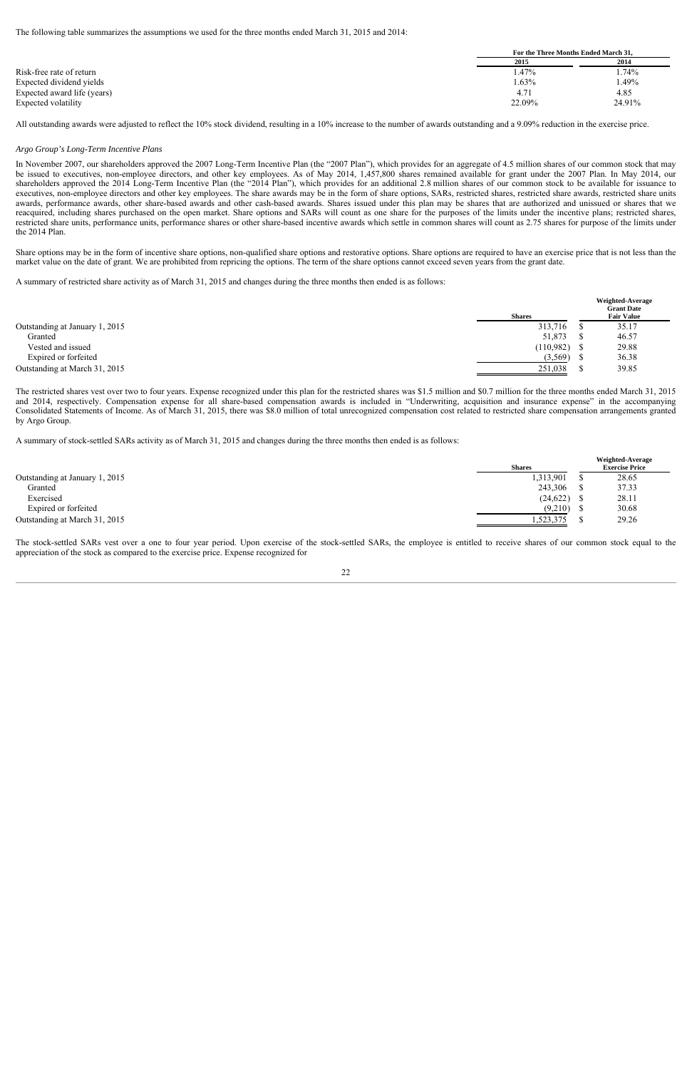The following table summarizes the assumptions we used for the three months ended March 31, 2015 and 2014:

|                             | For the Three Months Ended March 31, |        |
|-----------------------------|--------------------------------------|--------|
|                             | 2015                                 | 2014   |
| Risk-free rate of return    | . 47%                                | .74%   |
| Expected dividend yields    | $.63\%$                              | .49%   |
| Expected award life (years) | 4.71                                 | 4.85   |
| Expected volatility         | 22.09%                               | 24.91% |

All outstanding awards were adjusted to reflect the 10% stock dividend, resulting in a 10% increase to the number of awards outstanding and a 9.09% reduction in the exercise price.

#### *Argo Group's Long-Term Incentive Plans*

In November 2007, our shareholders approved the 2007 Long-Term Incentive Plan (the "2007 Plan"), which provides for an aggregate of 4.5 million shares of our common stock that may be issued to executives, non-employee directors, and other key employees. As of May 2014, 1,457,800 shares remained available for grant under the 2007 Plan. In May 2014, our shareholders approved the 2014 Long-Term Incentive Plan (the "2014 Plan"), which provides for an additional 2.8 million shares of our common stock to be available for issuance to executives, non-employee directors and other key employees. The share awards may be in the form of share options, SARs, restricted shares, restricted share awards, restricted share units awards, performance awards, other share-based awards and other cash-based awards. Shares issued under this plan may be shares that are authorized and unissued or shares that we reacquired, including shares purchased on the open market. Share options and SARs will count as one share for the purposes of the limits under the incentive plans; restricted shares, restricted share units, performance units, performance shares or other share-based incentive awards which settle in common shares will count as 2.75 shares for purpose of the limits under the 2014 Plan.

Share options may be in the form of incentive share options, non-qualified share options and restorative options. Share options are required to have an exercise price that is not less than the market value on the date of grant. We are prohibited from repricing the options. The term of the share options cannot exceed seven years from the grant date.

A summary of restricted share activity as of March 31, 2015 and changes during the three months then ended is as follows:

|                                | <b>Shares</b> | Weighted-Average<br><b>Grant Date</b><br><b>Fair Value</b> |
|--------------------------------|---------------|------------------------------------------------------------|
| Outstanding at January 1, 2015 | 313,716       | 35.17                                                      |
| Granted                        | 51,873        | 46.57                                                      |
| Vested and issued              | (110,982)     | 29.88                                                      |
| Expired or forfeited           | (3,569)       | 36.38                                                      |
| Outstanding at March 31, 2015  | 251,038       | 39.85                                                      |
|                                |               |                                                            |

The restricted shares vest over two to four years. Expense recognized under this plan for the restricted shares was \$1.5 million and \$0.7 million for the three months ended March 31, 2015 and 2014, respectively. Compensation expense for all share-based compensation awards is included in "Underwriting, acquisition and insurance expense" in the accompanying Consolidated Statements of Income. As of March 31, 2015, there was \$8.0 million of total unrecognized compensation cost related to restricted share compensation arrangements granted by Argo Group.

A summary of stock-settled SARs activity as of March 31, 2015 and changes during the three months then ended is as follows:

|                                |               | <b>Weighted-Average</b> |
|--------------------------------|---------------|-------------------------|
|                                | <b>Shares</b> | <b>Exercise Price</b>   |
| Outstanding at January 1, 2015 | 1,313,901     | 28.65                   |
| Granted                        | 243,306       | 37.33                   |
| Exercised                      | $(24,622)$ \$ | 28.11                   |
| Expired or forfeited           | (9,210)       | 30.68                   |
| Outstanding at March 31, 2015  | 1,523,375     | 29.26                   |

The stock-settled SARs vest over a one to four year period. Upon exercise of the stock-settled SARs, the employee is entitled to receive shares of our common stock equal to the appreciation of the stock as compared to the exercise price. Expense recognized for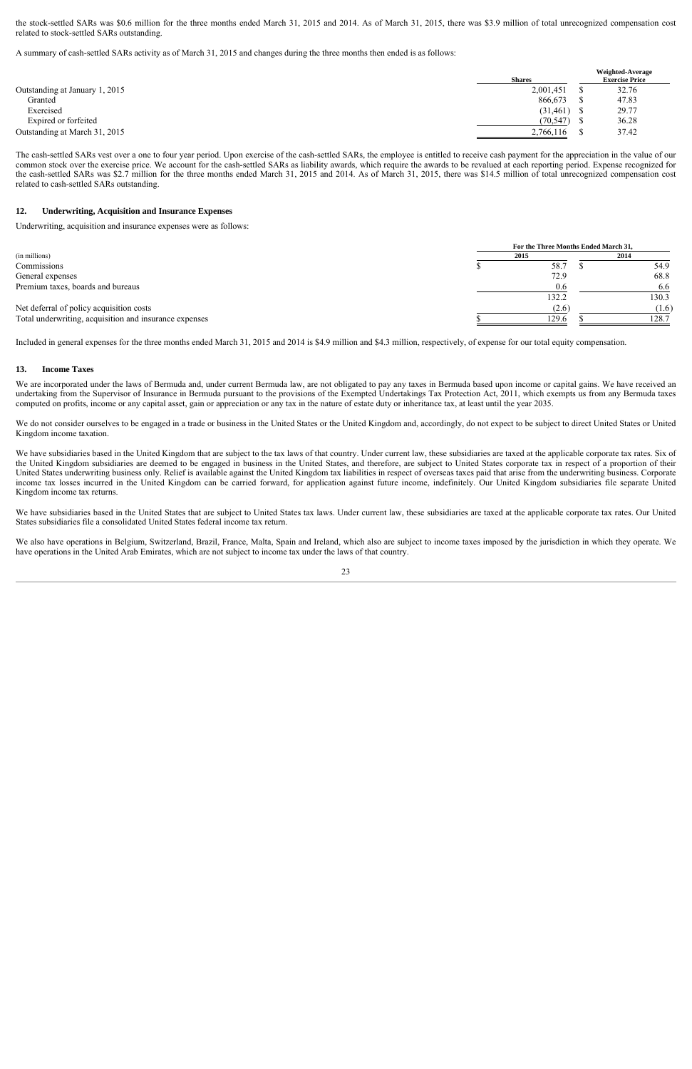the stock-settled SARs was \$0.6 million for the three months ended March 31, 2015 and 2014. As of March 31, 2015, there was \$3.9 million of total unrecognized compensation cost related to stock-settled SARs outstanding.

A summary of cash-settled SARs activity as of March 31, 2015 and changes during the three months then ended is as follows:

|                                | Weighted-Average |  |                       |
|--------------------------------|------------------|--|-----------------------|
|                                | <b>Shares</b>    |  | <b>Exercise Price</b> |
| Outstanding at January 1, 2015 | 2,001,451        |  | 32.76                 |
| Granted                        | 866,673          |  | 47.83                 |
| Exercised                      | (31, 461)        |  | 29.77                 |
| Expired or forfeited           | (70, 547)        |  | 36.28                 |
| Outstanding at March 31, 2015  | 2,766,116        |  | 37.42                 |

The cash-settled SARs vest over a one to four year period. Upon exercise of the cash-settled SARs, the employee is entitled to receive cash payment for the appreciation in the value of our common stock over the exercise price. We account for the cash-settled SARs as liability awards, which require the awards to be revalued at each reporting period. Expense recognized for the cash-settled SARs was \$2.7 million for the three months ended March 31, 2015 and 2014. As of March 31, 2015, there was \$14.5 million of total unrecognized compensation cost related to cash-settled SARs outstanding.

#### **12. Underwriting, Acquisition and Insurance Expenses**

Underwriting, acquisition and insurance expenses were as follows:

|                                                        | For the Three Months Ended March 31, |       |  |       |  |
|--------------------------------------------------------|--------------------------------------|-------|--|-------|--|
| (in millions)                                          | 2015                                 |       |  | 2014  |  |
| Commissions                                            |                                      | 58.7  |  | 54.9  |  |
| General expenses                                       |                                      | 72.9  |  | 68.8  |  |
| Premium taxes, boards and bureaus                      |                                      | 0.6   |  | 6.6   |  |
|                                                        |                                      | 132.2 |  | 130.3 |  |
| Net deferral of policy acquisition costs               |                                      | (2.6) |  | (1.6) |  |
| Total underwriting, acquisition and insurance expenses |                                      | 129.6 |  | 128.7 |  |

Included in general expenses for the three months ended March 31, 2015 and 2014 is \$4.9 million and \$4.3 million, respectively, of expense for our total equity compensation.

#### **13. Income Taxes**

We are incorporated under the laws of Bermuda and, under current Bermuda law, are not obligated to pay any taxes in Bermuda based upon income or capital gains. We have received an undertaking from the Supervisor of Insurance in Bermuda pursuant to the provisions of the Exempted Undertakings Tax Protection Act, 2011, which exempts us from any Bermuda taxes computed on profits, income or any capital asset, gain or appreciation or any tax in the nature of estate duty or inheritance tax, at least until the year 2035.

We do not consider ourselves to be engaged in a trade or business in the United States or the United Kingdom and, accordingly, do not expect to be subject to direct United States or United Kingdom income taxation.

We have subsidiaries based in the United Kingdom that are subject to the tax laws of that country. Under current law, these subsidiaries are taxed at the applicable corporate tax rates. Six of the United Kingdom subsidiaries are deemed to be engaged in business in the United States, and therefore, are subject to United States corporate tax in respect of a proportion of their United States underwriting business only. Relief is available against the United Kingdom tax liabilities in respect of overseas taxes paid that arise from the underwriting business. Corporate income tax losses incurred in the United Kingdom can be carried forward, for application against future income, indefinitely. Our United Kingdom subsidiaries file separate United Kingdom income tax returns.

We have subsidiaries based in the United States that are subject to United States tax laws. Under current law, these subsidiaries are taxed at the applicable corporate tax rates. Our United States subsidiaries file a consolidated United States federal income tax return.

We also have operations in Belgium, Switzerland, Brazil, France, Malta, Spain and Ireland, which also are subject to income taxes imposed by the jurisdiction in which they operate. We have operations in the United Arab Emirates, which are not subject to income tax under the laws of that country.

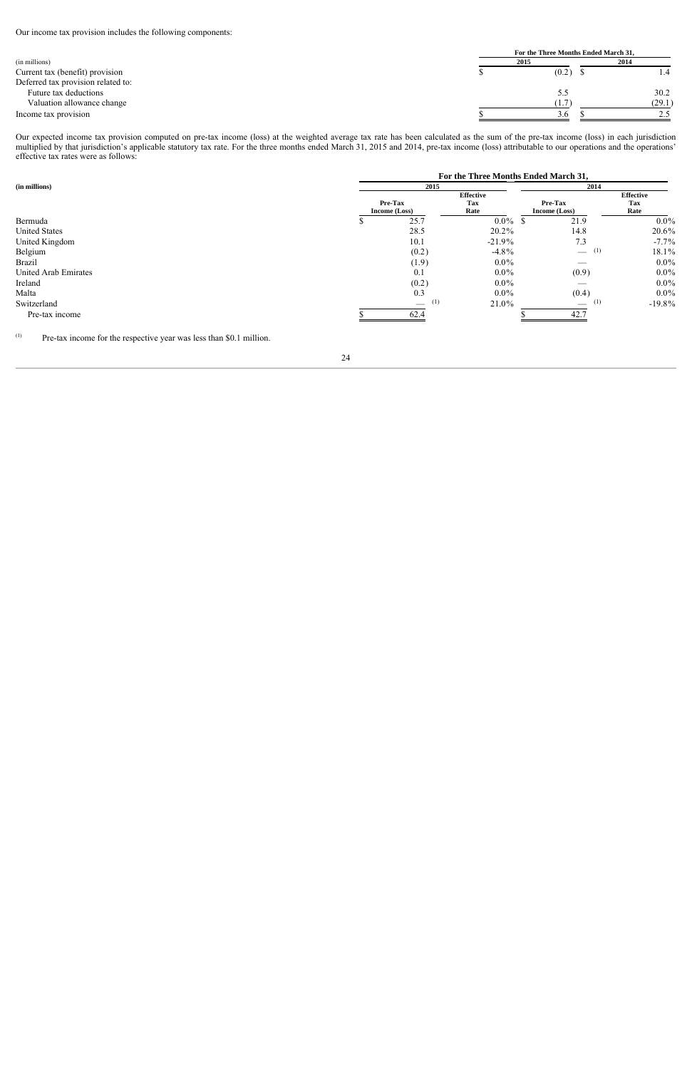Our income tax provision includes the following components:

|                                    |      | For the Three Months Ended March 31, |        |  |  |
|------------------------------------|------|--------------------------------------|--------|--|--|
| (in millions)                      | 2015 |                                      | 2014   |  |  |
| Current tax (benefit) provision    |      | (0.2)                                |        |  |  |
| Deferred tax provision related to: |      |                                      |        |  |  |
| Future tax deductions              |      |                                      | 30.2   |  |  |
| Valuation allowance change         |      | 1.7                                  | (29.1) |  |  |
| Income tax provision               |      | 3.6                                  |        |  |  |

Our expected income tax provision computed on pre-tax income (loss) at the weighted average tax rate has been calculated as the sum of the pre-tax income (loss) in each jurisdiction multiplied by that jurisdiction's applicable statutory tax rate. For the three months ended March 31, 2015 and 2014, pre-tax income (loss) attributable to our operations and the operations' effective tax rates were as follows:

|                      |               | For the Three Months Ended March 31, |                  |                                      |                  |  |  |
|----------------------|---------------|--------------------------------------|------------------|--------------------------------------|------------------|--|--|
| (in millions)        |               | 2015                                 |                  | 2014                                 |                  |  |  |
|                      |               |                                      | <b>Effective</b> |                                      | <b>Effective</b> |  |  |
|                      | Pre-Tax       |                                      | Tax              | Pre-Tax                              | Tax              |  |  |
|                      | Income (Loss) |                                      | Rate             | Income (Loss)                        | Rate             |  |  |
| Bermuda              |               | 25.7                                 | $0.0\%$ \$       | 21.9                                 | $0.0\%$          |  |  |
| <b>United States</b> |               | 28.5                                 | 20.2%            | 14.8                                 | 20.6%            |  |  |
| United Kingdom       |               | 10.1                                 | $-21.9%$         | 7.3                                  | $-7.7\%$         |  |  |
| Belgium              |               | (0.2)                                | $-4.8\%$         | $\qquad \qquad$ (1)                  | 18.1%            |  |  |
| <b>Brazil</b>        |               | (1.9)                                | $0.0\%$          |                                      | $0.0\%$          |  |  |
| United Arab Emirates |               | 0.1                                  | $0.0\%$          | (0.9)                                | $0.0\%$          |  |  |
| Ireland              |               | (0.2)                                | $0.0\%$          |                                      | $0.0\%$          |  |  |
| Malta                |               | 0.3                                  | $0.0\%$          | (0.4)                                | $0.0\%$          |  |  |
| Switzerland          |               | (1)                                  | 21.0%            | (1)<br>$\overbrace{\phantom{aaaaa}}$ | $-19.8%$         |  |  |
| Pre-tax income       |               | 62.4                                 |                  | 42.7                                 |                  |  |  |
|                      |               |                                      |                  |                                      |                  |  |  |

(1) Pre-tax income for the respective year was less than \$0.1 million.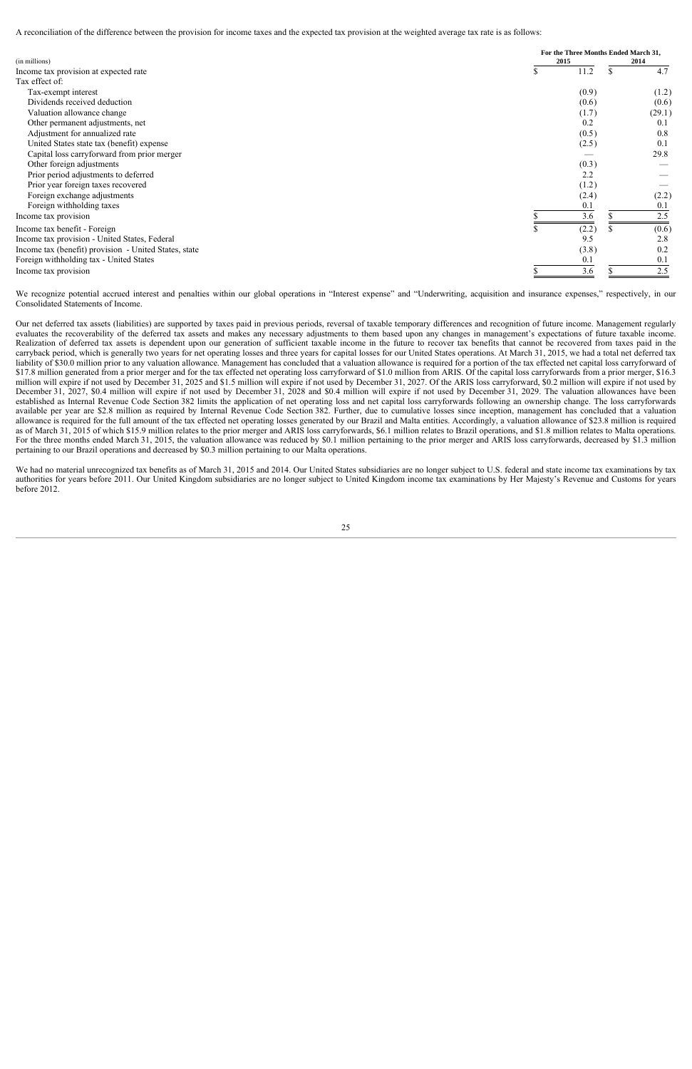A reconciliation of the difference between the provision for income taxes and the expected tax provision at the weighted average tax rate is as follows:

| (in millions)                                         | 2015  | For the Three Months Ended March 31,<br>2014 |  |
|-------------------------------------------------------|-------|----------------------------------------------|--|
| Income tax provision at expected rate                 | 11.2  | 4.7                                          |  |
| Tax effect of:                                        |       |                                              |  |
| Tax-exempt interest                                   | (0.9) | (1.2)                                        |  |
| Dividends received deduction                          | (0.6) | (0.6)                                        |  |
| Valuation allowance change                            | (1.7) | (29.1)                                       |  |
| Other permanent adjustments, net                      | 0.2   | 0.1                                          |  |
| Adjustment for annualized rate                        | (0.5) | 0.8                                          |  |
| United States state tax (benefit) expense             | (2.5) | 0.1                                          |  |
| Capital loss carryforward from prior merger           |       | 29.8                                         |  |
| Other foreign adjustments                             | (0.3) |                                              |  |
| Prior period adjustments to deferred                  | 2.2   |                                              |  |
| Prior year foreign taxes recovered                    | (1.2) |                                              |  |
| Foreign exchange adjustments                          | (2.4) | (2.2)                                        |  |
| Foreign withholding taxes                             | 0.1   | 0.1                                          |  |
| Income tax provision                                  | 3.6   | 2.5                                          |  |
| Income tax benefit - Foreign                          | (2.2) | (0.6)                                        |  |
| Income tax provision - United States, Federal         | 9.5   | 2.8                                          |  |
| Income tax (benefit) provision - United States, state | (3.8) | 0.2                                          |  |
| Foreign withholding tax - United States               | 0.1   | 0.1                                          |  |
| Income tax provision                                  | 3.6   | 2.5                                          |  |

We recognize potential accrued interest and penalties within our global operations in "Interest expense" and "Underwriting, acquisition and insurance expenses," respectively, in our Consolidated Statements of Income.

Our net deferred tax assets (liabilities) are supported by taxes paid in previous periods, reversal of taxable temporary differences and recognition of future income. Management regularly evaluates the recoverability of the deferred tax assets and makes any necessary adjustments to them based upon any changes in management's expectations of future taxable income. Realization of deferred tax assets is dependent upon our generation of sufficient taxable income in the future to recover tax benefits that cannot be recovered from taxes paid in the carryback period, which is generally two years for net operating losses and three years for capital losses for our United States operations. At March 31, 2015, we had a total net deferred tax liability of \$30.0 million prior to any valuation allowance. Management has concluded that a valuation allowance is required for a portion of the tax effected net capital loss carryforward of \$17.8 million generated from a prior merger and for the tax effected net operating loss carryforward of \$1.0 million from ARIS. Of the capital loss carryforwards from a prior merger, \$16.3 million will expire if not used by December 31, 2025 and \$1.5 million will expire if not used by December 31, 2027. Of the ARIS loss carryforward, \$0.2 million will expire if not used by December 31, 2027, \$0.4 million will expire if not used by December 31, 2028 and \$0.4 million will expire if not used by December 31, 2029. The valuation allowances have been established as Internal Revenue Code Section 382 limits the application of net operating loss and net capital loss carryforwards following an ownership change. The loss carryforwards available per year are \$2.8 million as required by Internal Revenue Code Section 382. Further, due to cumulative losses since inception, management has concluded that a valuation allowance is required for the full amount of the tax effected net operating losses generated by our Brazil and Malta entities. Accordingly, a valuation allowance of \$23.8 million is required as of March 31, 2015 of which \$15.9 million relates to the prior merger and ARIS loss carryforwards, \$6.1 million relates to Brazil operations, and \$1.8 million relates to Malta operations. For the three months ended March 31, 2015, the valuation allowance was reduced by \$0.1 million pertaining to the prior merger and ARIS loss carryforwards, decreased by \$1.3 million pertaining to our Brazil operations and decreased by \$0.3 million pertaining to our Malta operations.

We had no material unrecognized tax benefits as of March 31, 2015 and 2014. Our United States subsidiaries are no longer subject to U.S. federal and state income tax examinations by tax authorities for years before 2011. Our United Kingdom subsidiaries are no longer subject to United Kingdom income tax examinations by Her Majesty's Revenue and Customs for years before 2012.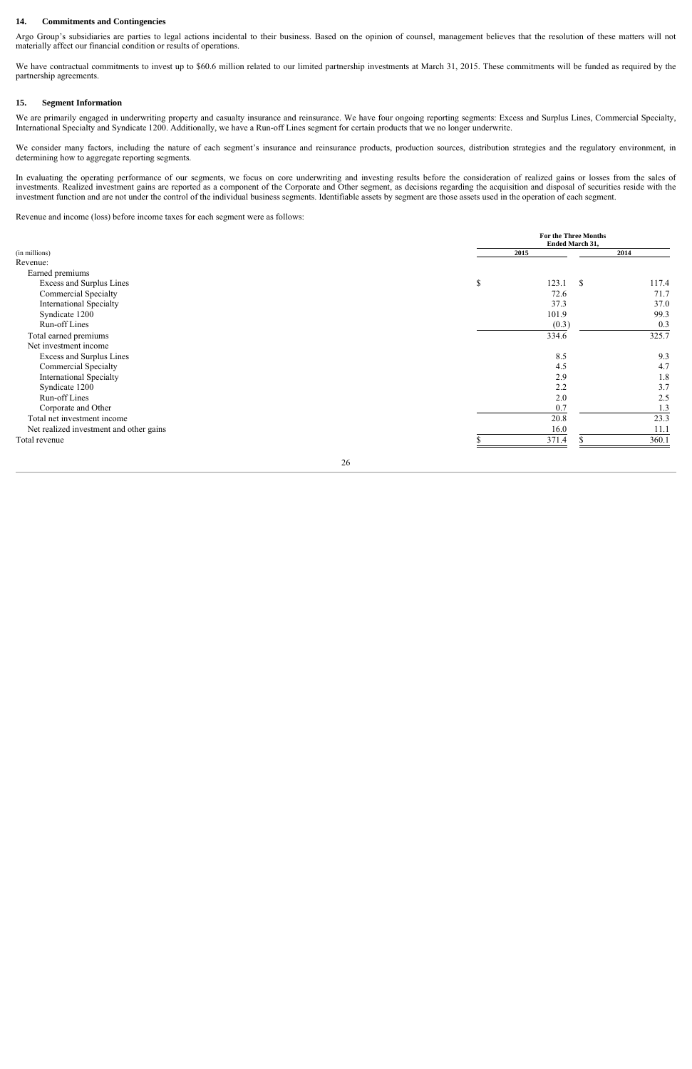#### 14. Commitments and Contingencies

Argo Group's subsidiaries are parties to legal actions incidental to their business. Based on the opinion of counsel, management believes that the resolution of these matters will not materially affect our financial condition or results of operations.

We have contractual commitments to invest up to \$60.6 million related to our limited partnership investments at March 31, 2015. These commitments will be funded as required by the partnership agreements.

#### **15. gment Information**

We are primarily engaged in underwriting property and casualty insurance and reinsurance. We have four ongoing reporting segments: Excess and Surplus Lines, Commercial Specialty, International Specialty and Syndicate 1200. Additionally, we have a Run-off Lines segment for certain products that we no longer underwrite.

We consider many factors, including the nature of each segment's insurance and reinsurance products, production sources, distribution strategies and the regulatory environment, in determining how to aggregate reporting segments.

In evaluating the operating performance of our segments, we focus on core underwriting and investing results before the consideration of realized gains or losses from the sales of investments. Realized investment gains are reported as a component of the Corporate and Other segment, as decisions regarding the acquisition and disposal of securities reside with the investment function and are not under the control of the individual business segments. Identifiable assets by segment are those assets used in the operation of each segment.

Revenue and income (loss) before income taxes for each segment were as follows:

|                                         |             | For the Three Months<br><b>Ended March 31,</b> |       |  |
|-----------------------------------------|-------------|------------------------------------------------|-------|--|
| (in millions)                           | 2015        |                                                | 2014  |  |
| Revenue:                                |             |                                                |       |  |
| Earned premiums                         |             |                                                |       |  |
| Excess and Surplus Lines                | $\mathbb S$ | 123.1<br><sup>\$</sup>                         | 117.4 |  |
| Commercial Specialty                    |             | 72.6                                           | 71.7  |  |
| <b>International Specialty</b>          |             | 37.3                                           | 37.0  |  |
| Syndicate 1200                          |             | 101.9                                          | 99.3  |  |
| Run-off Lines                           |             | (0.3)                                          | 0.3   |  |
| Total earned premiums                   |             | 334.6                                          | 325.7 |  |
| Net investment income                   |             |                                                |       |  |
| Excess and Surplus Lines                |             | 8.5                                            | 9.3   |  |
| Commercial Specialty                    |             | 4.5                                            | 4.7   |  |
| <b>International Specialty</b>          |             | 2.9                                            | 1.8   |  |
| Syndicate 1200                          |             | 2.2                                            | 3.7   |  |
| Run-off Lines                           |             | 2.0                                            | 2.5   |  |
| Corporate and Other                     |             | 0.7                                            | 1.3   |  |
| Total net investment income             |             | 20.8                                           | 23.3  |  |
| Net realized investment and other gains |             | 16.0                                           | 11.1  |  |
| Total revenue                           |             | 371.4                                          | 360.1 |  |
|                                         |             |                                                |       |  |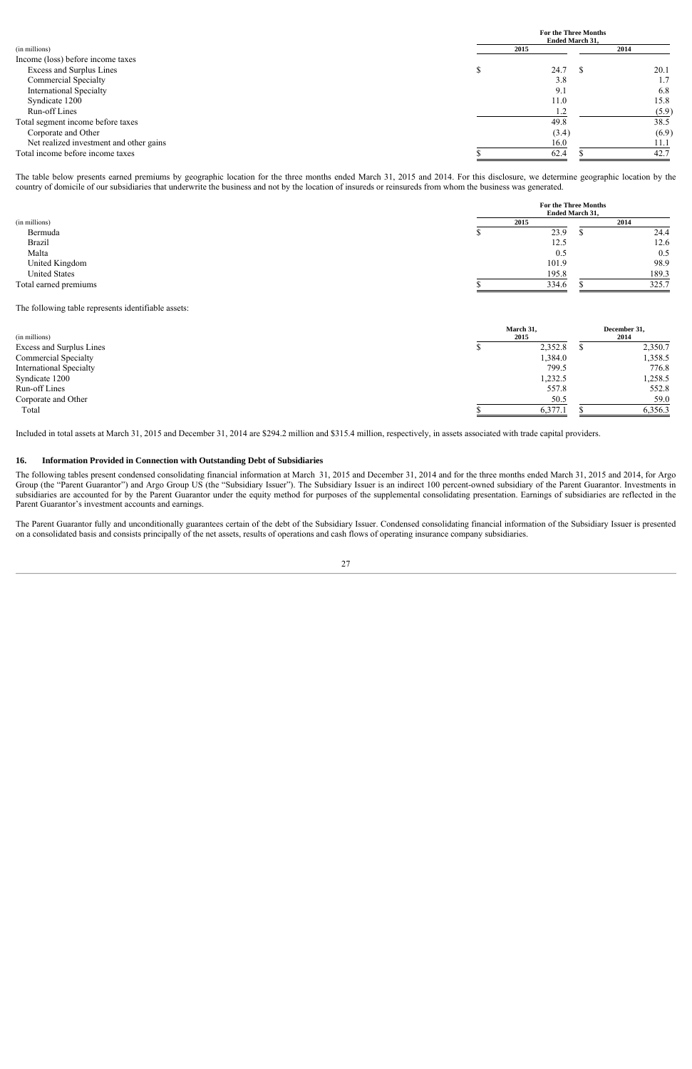|                                         |      | <b>For the Three Months</b><br><b>Ended March 31.</b> |       |  |  |
|-----------------------------------------|------|-------------------------------------------------------|-------|--|--|
| (in millions)                           | 2015 |                                                       | 2014  |  |  |
| Income (loss) before income taxes       |      |                                                       |       |  |  |
| Excess and Surplus Lines                |      | 24.7                                                  | 20.1  |  |  |
| <b>Commercial Specialty</b>             |      | 3.8                                                   | 1.7   |  |  |
| <b>International Specialty</b>          |      | 9.1                                                   | 6.8   |  |  |
| Syndicate 1200                          |      | 11.0                                                  | 15.8  |  |  |
| Run-off Lines                           |      | 1.2                                                   | (5.9) |  |  |
| Total segment income before taxes       |      | 49.8                                                  | 38.5  |  |  |
| Corporate and Other                     |      | (3.4)                                                 | (6.9) |  |  |
| Net realized investment and other gains |      | 16.0                                                  | 11.1  |  |  |
| Total income before income taxes        |      | 62.4                                                  | 42.7  |  |  |

The table below presents earned premiums by geographic location for the three months ended March 31, 2015 and 2014. For this disclosure, we determine geographic location by the country of domicile of our subsidiaries that underwrite the business and not by the location of insureds or reinsureds from whom the business was generated.

|                       |      |       | For the Three Months<br><b>Ended March 31,</b> |       |  |
|-----------------------|------|-------|------------------------------------------------|-------|--|
| (in millions)         | 2015 |       |                                                | 2014  |  |
| Bermuda               |      | 23.9  |                                                | 24.4  |  |
| <b>Brazil</b>         |      | 12.5  |                                                | 12.6  |  |
| Malta                 |      | 0.5   |                                                | 0.5   |  |
| United Kingdom        |      | 101.9 |                                                | 98.9  |  |
| <b>United States</b>  |      | 195.8 |                                                | 189.3 |  |
| Total earned premiums |      | 334.6 |                                                | 325.7 |  |

The following table represents identifiable assets:

| March 31,<br>(in millions)<br>2015 |  |         | December 31,<br>2014 |         |
|------------------------------------|--|---------|----------------------|---------|
| Excess and Surplus Lines           |  | 2,352.8 |                      | 2,350.7 |
| <b>Commercial Specialty</b>        |  | 1,384.0 |                      | 1,358.5 |
| <b>International Specialty</b>     |  | 799.5   |                      | 776.8   |
| Syndicate 1200                     |  | 1,232.5 |                      | 1,258.5 |
| Run-off Lines                      |  | 557.8   |                      | 552.8   |
| Corporate and Other                |  | 50.5    |                      | 59.0    |
| Total                              |  | 6,377.1 |                      | 6,356.3 |

Included in total assets at March 31, 2015 and December 31, 2014 are \$294.2 million and \$315.4 million, respectively, in assets associated with trade capital providers.

#### **16. Information Provided in Connection with Outstanding Debt of Subsidiaries**

The following tables present condensed consolidating financial information at March 31, 2015 and December 31, 2014 and for the three months ended March 31, 2015 and 2014, for Argo Group (the "Parent Guarantor") and Argo Group US (the "Subsidiary Issuer"). The Subsidiary Issuer is an indirect 100 percent-owned subsidiary of the Parent Guarantor. Investments in subsidiaries are accounted for by the Parent Guarantor under the equity method for purposes of the supplemental consolidating presentation. Earnings of subsidiaries are reflected in the Parent Guarantor's investment accounts and earnings.

The Parent Guarantor fully and unconditionally guarantees certain of the debt of the Subsidiary Issuer. Condensed consolidating financial information of the Subsidiary Issuer is presented on a consolidated basis and consists principally of the net assets, results of operations and cash flows of operating insurance company subsidiaries.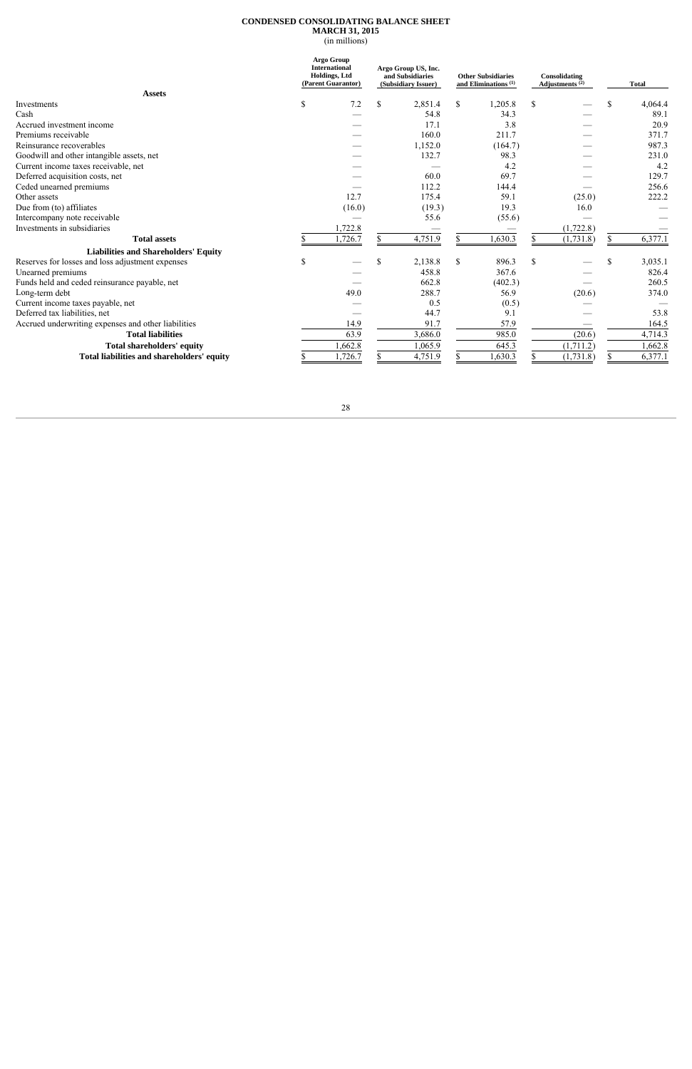## **CONDENSED CONSOLIDATING BALANCE SHEET MARCH 31, 2015**

(in millions)

|                                                     | Argo Group<br><b>International</b><br>Argo Group US, Inc.<br><b>Holdings</b> , Ltd<br>and Subsidiaries<br>(Parent Guarantor)<br>(Subsidiary Issuer) |         | Consolidating<br><b>Other Subsidiaries</b><br>and Eliminations $(1)$<br>Adjustments $(2)$ |               |     | <b>Total</b> |               |         |
|-----------------------------------------------------|-----------------------------------------------------------------------------------------------------------------------------------------------------|---------|-------------------------------------------------------------------------------------------|---------------|-----|--------------|---------------|---------|
| <b>Assets</b>                                       |                                                                                                                                                     |         |                                                                                           |               |     |              |               |         |
| Investments                                         | S                                                                                                                                                   | 7.2     | \$<br>2,851.4                                                                             | \$<br>1,205.8 | \$  |              | <sup>\$</sup> | 4,064.4 |
| Cash                                                |                                                                                                                                                     |         | 54.8                                                                                      | 34.3          |     |              |               | 89.1    |
| Accrued investment income                           |                                                                                                                                                     |         | 17.1                                                                                      | 3.8           |     |              |               | 20.9    |
| Premiums receivable                                 |                                                                                                                                                     |         | 160.0                                                                                     | 211.7         |     |              |               | 371.7   |
| Reinsurance recoverables                            |                                                                                                                                                     |         | 1,152.0                                                                                   | (164.7)       |     |              |               | 987.3   |
| Goodwill and other intangible assets, net           |                                                                                                                                                     |         | 132.7                                                                                     | 98.3          |     |              |               | 231.0   |
| Current income taxes receivable, net                |                                                                                                                                                     |         |                                                                                           | 4.2           |     |              |               | 4.2     |
| Deferred acquisition costs, net                     |                                                                                                                                                     |         | 60.0                                                                                      | 69.7          |     |              |               | 129.7   |
| Ceded unearned premiums                             |                                                                                                                                                     |         | 112.2                                                                                     | 144.4         |     |              |               | 256.6   |
| Other assets                                        |                                                                                                                                                     | 12.7    | 175.4                                                                                     | 59.1          |     | (25.0)       |               | 222.2   |
| Due from (to) affiliates                            |                                                                                                                                                     | (16.0)  | (19.3)                                                                                    | 19.3          |     | 16.0         |               |         |
| Intercompany note receivable                        |                                                                                                                                                     |         | 55.6                                                                                      | (55.6)        |     |              |               |         |
| Investments in subsidiaries                         |                                                                                                                                                     | 1,722.8 |                                                                                           |               |     | (1, 722.8)   |               |         |
| <b>Total assets</b>                                 |                                                                                                                                                     | 1,726.7 | 4,751.9                                                                                   | 1,630.3       |     | (1,731.8)    | $\mathcal{S}$ | 6,377.1 |
| <b>Liabilities and Shareholders' Equity</b>         |                                                                                                                                                     |         |                                                                                           |               |     |              |               |         |
| Reserves for losses and loss adjustment expenses    | \$.                                                                                                                                                 |         | \$<br>2,138.8                                                                             | \$<br>896.3   | \$. |              | S             | 3,035.1 |
| Unearned premiums                                   |                                                                                                                                                     |         | 458.8                                                                                     | 367.6         |     |              |               | 826.4   |
| Funds held and ceded reinsurance payable, net       |                                                                                                                                                     |         | 662.8                                                                                     | (402.3)       |     |              |               | 260.5   |
| Long-term debt                                      |                                                                                                                                                     | 49.0    | 288.7                                                                                     | 56.9          |     | (20.6)       |               | 374.0   |
| Current income taxes payable, net                   |                                                                                                                                                     |         | 0.5                                                                                       | (0.5)         |     |              |               |         |
| Deferred tax liabilities, net                       |                                                                                                                                                     |         | 44.7                                                                                      | 9.1           |     |              |               | 53.8    |
| Accrued underwriting expenses and other liabilities |                                                                                                                                                     | 14.9    | 91.7                                                                                      | 57.9          |     |              |               | 164.5   |
| <b>Total liabilities</b>                            |                                                                                                                                                     | 63.9    | 3,686.0                                                                                   | 985.0         |     | (20.6)       |               | 4,714.3 |
| <b>Total shareholders' equity</b>                   |                                                                                                                                                     | 1,662.8 | 1,065.9                                                                                   | 645.3         |     | (1,711.2)    |               | 1,662.8 |
| Total liabilities and shareholders' equity          |                                                                                                                                                     | 1,726.7 | 4,751.9                                                                                   | .630.3        |     | (1,731.8)    |               | 6,377.1 |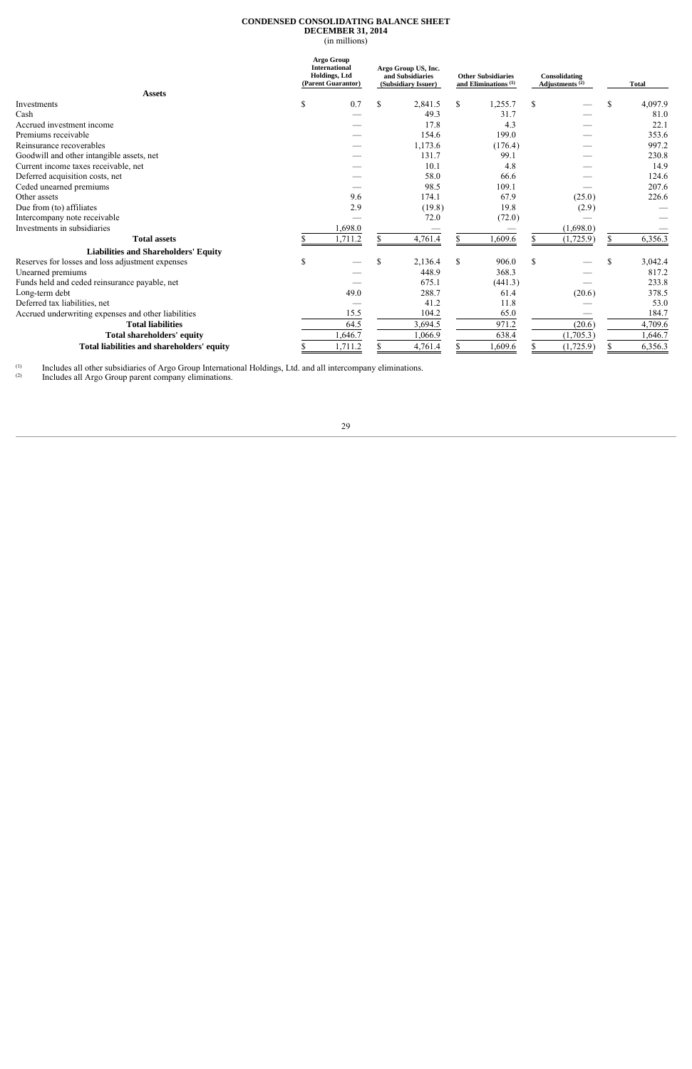## **CONDENSED CONSOLIDATING BALANCE SHEET DECEMBER 31, 2014**

(in millions)

|                                                     | <b>Argo Group</b><br><b>International</b><br>Argo Group US, Inc.<br><b>Holdings</b> , Ltd<br>and Subsidiaries<br>(Parent Guarantor)<br>(Subsidiary Issuer) |    |         | <b>Other Subsidiaries</b><br>and Eliminations $(1)$ |         | Consolidating<br>Adjustments $(2)$ |           | <b>Total</b> |         |
|-----------------------------------------------------|------------------------------------------------------------------------------------------------------------------------------------------------------------|----|---------|-----------------------------------------------------|---------|------------------------------------|-----------|--------------|---------|
| <b>Assets</b>                                       |                                                                                                                                                            |    |         |                                                     |         |                                    |           |              |         |
| Investments                                         | \$<br>0.7                                                                                                                                                  | \$ | 2,841.5 | \$                                                  | 1,255.7 | \$                                 |           | \$           | 4,097.9 |
| Cash                                                |                                                                                                                                                            |    | 49.3    |                                                     | 31.7    |                                    |           |              | 81.0    |
| Accrued investment income                           |                                                                                                                                                            |    | 17.8    |                                                     | 4.3     |                                    |           |              | 22.1    |
| Premiums receivable                                 |                                                                                                                                                            |    | 154.6   |                                                     | 199.0   |                                    |           |              | 353.6   |
| Reinsurance recoverables                            |                                                                                                                                                            |    | 1,173.6 |                                                     | (176.4) |                                    |           |              | 997.2   |
| Goodwill and other intangible assets, net           |                                                                                                                                                            |    | 131.7   | 99.1                                                |         |                                    |           |              | 230.8   |
| Current income taxes receivable, net                |                                                                                                                                                            |    | 10.1    |                                                     | 4.8     |                                    |           |              | 14.9    |
| Deferred acquisition costs, net                     |                                                                                                                                                            |    | 58.0    |                                                     | 66.6    |                                    |           |              | 124.6   |
| Ceded unearned premiums                             |                                                                                                                                                            |    | 98.5    |                                                     | 109.1   |                                    |           |              | 207.6   |
| Other assets                                        | 9.6                                                                                                                                                        |    | 174.1   |                                                     | 67.9    |                                    | (25.0)    |              | 226.6   |
| Due from (to) affiliates                            | 2.9                                                                                                                                                        |    | (19.8)  |                                                     | 19.8    |                                    | (2.9)     |              |         |
| Intercompany note receivable                        |                                                                                                                                                            |    | 72.0    |                                                     | (72.0)  |                                    |           |              |         |
| Investments in subsidiaries                         | 1,698.0                                                                                                                                                    |    |         |                                                     |         |                                    | (1,698.0) |              |         |
| <b>Total assets</b>                                 | 1,711.2                                                                                                                                                    |    | 4,761.4 | \$                                                  | ,609.6  |                                    | (1,725.9) |              | 6,356.3 |
| <b>Liabilities and Shareholders' Equity</b>         |                                                                                                                                                            |    |         |                                                     |         |                                    |           |              |         |
| Reserves for losses and loss adjustment expenses    | \$                                                                                                                                                         | \$ | 2,136.4 | \$                                                  | 906.0   | \$                                 |           | \$           | 3,042.4 |
| Unearned premiums                                   |                                                                                                                                                            |    | 448.9   |                                                     | 368.3   |                                    |           |              | 817.2   |
| Funds held and ceded reinsurance payable, net       |                                                                                                                                                            |    | 675.1   |                                                     | (441.3) |                                    |           |              | 233.8   |
| Long-term debt                                      | 49.0                                                                                                                                                       |    | 288.7   |                                                     | 61.4    |                                    | (20.6)    |              | 378.5   |
| Deferred tax liabilities, net                       |                                                                                                                                                            |    | 41.2    |                                                     | 11.8    |                                    |           |              | 53.0    |
| Accrued underwriting expenses and other liabilities | 15.5                                                                                                                                                       |    | 104.2   |                                                     | 65.0    |                                    |           |              | 184.7   |
| <b>Total liabilities</b>                            | 64.5                                                                                                                                                       |    | 3,694.5 |                                                     | 971.2   |                                    | (20.6)    |              | 4,709.6 |
| <b>Total shareholders' equity</b>                   | ,646.7                                                                                                                                                     |    | 1,066.9 |                                                     | 638.4   |                                    | (1,705.3) |              | 1,646.7 |
| Total liabilities and shareholders' equity          | 1,711.2                                                                                                                                                    |    | 4,761.4 |                                                     | ,609.6  |                                    | (1,725.9) |              | 6,356.3 |

 $(1)$ (1) Includes all other subsidiaries of Argo Group International Holdings, Ltd. and all intercompany eliminations.

 $\Omega$  Includes all Argo Group parent company eliminations.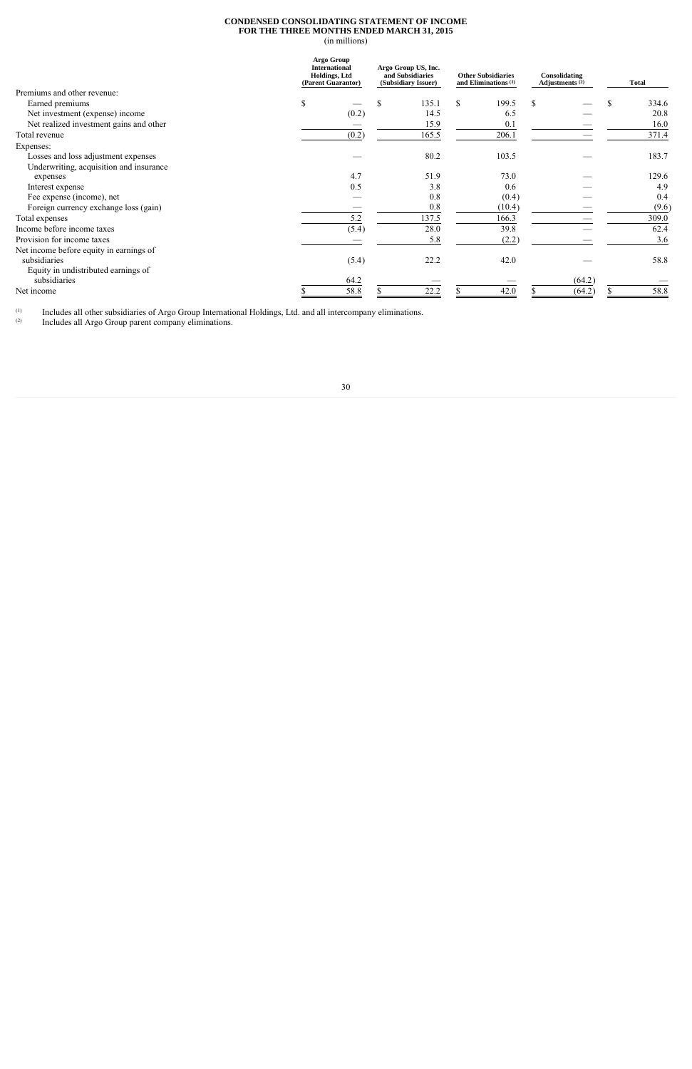## **CONDENSED CONSOLIDATING STATEMENT OF INCOME FOR THE THREE MONTHS ENDED MARCH 31, 2015**

(in millions)

|                                         | <b>Argo Group</b><br><b>International</b><br>Holdings, Ltd<br>(Parent Guarantor) | Argo Group US, Inc.<br>and Subsidiaries<br>(Subsidiary Issuer) | <b>Other Subsidiaries</b><br>and Eliminations $(1)$ |        | Consolidating<br>Adjustments $(2)$ |  | <b>Total</b> |
|-----------------------------------------|----------------------------------------------------------------------------------|----------------------------------------------------------------|-----------------------------------------------------|--------|------------------------------------|--|--------------|
| Premiums and other revenue:             |                                                                                  |                                                                |                                                     |        |                                    |  |              |
| Earned premiums                         | \$                                                                               | \$<br>135.1                                                    | $\mathbb{S}$                                        | 199.5  | S                                  |  | 334.6<br>S   |
| Net investment (expense) income         | (0.2)                                                                            | 14.5                                                           |                                                     | 6.5    |                                    |  | 20.8         |
| Net realized investment gains and other |                                                                                  | 15.9                                                           |                                                     | 0.1    |                                    |  | 16.0         |
| Total revenue                           | (0.2)                                                                            | 165.5                                                          |                                                     | 206.1  |                                    |  | 371.4        |
| Expenses:                               |                                                                                  |                                                                |                                                     |        |                                    |  |              |
| Losses and loss adjustment expenses     |                                                                                  | 80.2                                                           |                                                     | 103.5  |                                    |  | 183.7        |
| Underwriting, acquisition and insurance |                                                                                  |                                                                |                                                     |        |                                    |  |              |
| expenses                                | 4.7                                                                              | 51.9                                                           |                                                     | 73.0   |                                    |  | 129.6        |
| Interest expense                        | 0.5                                                                              | 3.8                                                            |                                                     | 0.6    |                                    |  | 4.9          |
| Fee expense (income), net               |                                                                                  | 0.8                                                            |                                                     | (0.4)  |                                    |  | 0.4          |
| Foreign currency exchange loss (gain)   |                                                                                  | 0.8                                                            |                                                     | (10.4) |                                    |  | (9.6)        |
| Total expenses                          | 5.2                                                                              | 137.5                                                          |                                                     | 166.3  |                                    |  | 309.0        |
| Income before income taxes              | (5.4)                                                                            | 28.0                                                           |                                                     | 39.8   |                                    |  | 62.4         |
| Provision for income taxes              |                                                                                  | 5.8                                                            |                                                     | (2.2)  |                                    |  | 3.6          |
| Net income before equity in earnings of |                                                                                  |                                                                |                                                     |        |                                    |  |              |
| subsidiaries                            | (5.4)                                                                            | 22.2                                                           |                                                     | 42.0   |                                    |  | 58.8         |
| Equity in undistributed earnings of     |                                                                                  |                                                                |                                                     |        |                                    |  |              |
| subsidiaries                            | 64.2                                                                             |                                                                |                                                     |        | (64.2)                             |  |              |
| Net income                              | 58.8                                                                             | 22.2                                                           |                                                     | 42.0   | (64.2)                             |  | 58.8         |

 $(1)$  $(1)$  Includes all other subsidiaries of Argo Group International Holdings, Ltd. and all intercompany eliminations.

(2) Includes all Argo Group parent company eliminations.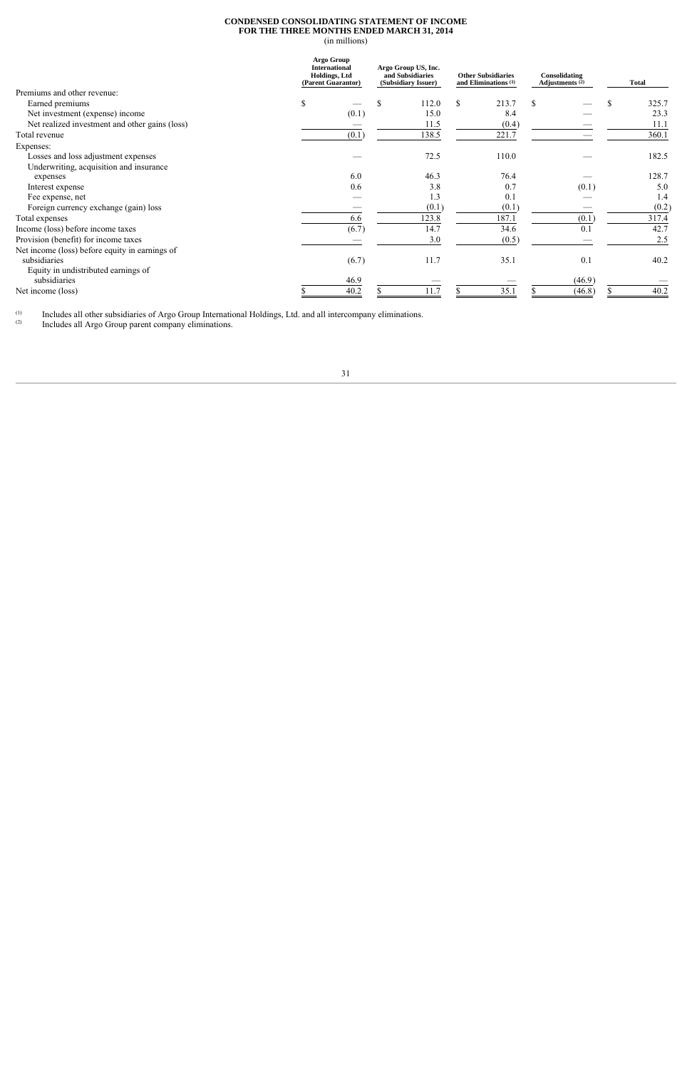## **CONDENSED CONSOLIDATING STATEMENT OF INCOME FOR THE THREE MONTHS ENDED MARCH 31, 2014**

(in millions)

|                                                | <b>Argo Group</b><br><b>International</b><br>Argo Group US, Inc.<br>Holdings, Ltd<br>and Subsidiaries<br>(Parent Guarantor)<br>(Subsidiary Issuer) |       | <b>Other Subsidiaries</b><br>and Eliminations $(1)$ |             | Consolidating<br>Adjustments <sup>(2)</sup> | <b>Total</b> |   |       |
|------------------------------------------------|----------------------------------------------------------------------------------------------------------------------------------------------------|-------|-----------------------------------------------------|-------------|---------------------------------------------|--------------|---|-------|
| Premiums and other revenue:                    |                                                                                                                                                    |       |                                                     |             |                                             |              |   |       |
| Earned premiums                                | \$                                                                                                                                                 |       | \$<br>112.0                                         | \$<br>213.7 | S.                                          |              | S | 325.7 |
| Net investment (expense) income                |                                                                                                                                                    | (0.1) | 15.0                                                | 8.4         |                                             |              |   | 23.3  |
| Net realized investment and other gains (loss) |                                                                                                                                                    |       | 11.5                                                | (0.4)       |                                             |              |   | 11.1  |
| Total revenue                                  |                                                                                                                                                    | (0.1) | 138.5                                               | 221.7       |                                             |              |   | 360.1 |
| Expenses:                                      |                                                                                                                                                    |       |                                                     |             |                                             |              |   |       |
| Losses and loss adjustment expenses            |                                                                                                                                                    |       | 72.5                                                | 110.0       |                                             |              |   | 182.5 |
| Underwriting, acquisition and insurance        |                                                                                                                                                    |       |                                                     |             |                                             |              |   |       |
| expenses                                       |                                                                                                                                                    | 6.0   | 46.3                                                | 76.4        |                                             |              |   | 128.7 |
| Interest expense                               |                                                                                                                                                    | 0.6   | 3.8                                                 | 0.7         |                                             | (0.1)        |   | 5.0   |
| Fee expense, net                               |                                                                                                                                                    |       | 1.3                                                 | 0.1         |                                             |              |   | 1.4   |
| Foreign currency exchange (gain) loss          |                                                                                                                                                    |       | (0.1)                                               | (0.1)       |                                             |              |   | (0.2) |
| Total expenses                                 |                                                                                                                                                    | 6.6   | 123.8                                               | 187.1       |                                             | (0.1)        |   | 317.4 |
| Income (loss) before income taxes              |                                                                                                                                                    | (6.7) | 14.7                                                | 34.6        |                                             | 0.1          |   | 42.7  |
| Provision (benefit) for income taxes           |                                                                                                                                                    |       | 3.0                                                 | (0.5)       |                                             |              |   | 2.5   |
| Net income (loss) before equity in earnings of |                                                                                                                                                    |       |                                                     |             |                                             |              |   |       |
| subsidiaries                                   |                                                                                                                                                    | (6.7) | 11.7                                                | 35.1        |                                             | 0.1          |   | 40.2  |
| Equity in undistributed earnings of            |                                                                                                                                                    |       |                                                     |             |                                             |              |   |       |
| subsidiaries                                   |                                                                                                                                                    | 46.9  |                                                     |             |                                             | (46.9)       |   |       |
| Net income (loss)                              |                                                                                                                                                    | 40.2  | 11.7                                                | 35.1        |                                             | (46.8)       |   | 40.2  |

 $(1)$  $(1)$  Includes all other subsidiaries of Argo Group International Holdings, Ltd. and all intercompany eliminations.

(2) Includes all Argo Group parent company eliminations.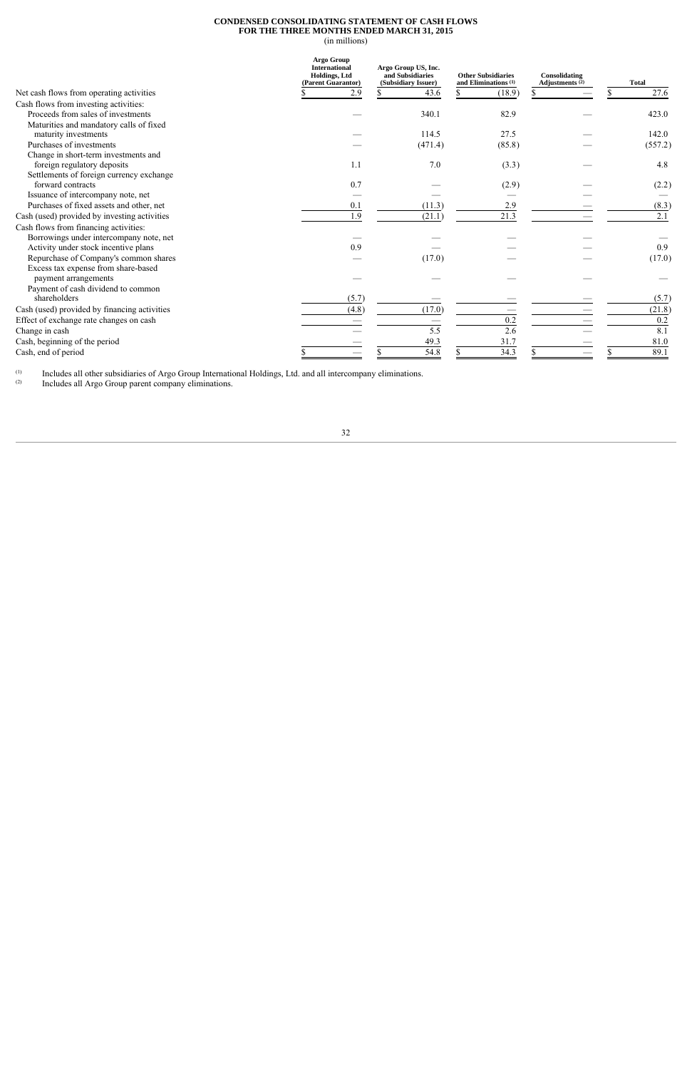### **CONDENSED CONSOLIDATING STATEMENT OF CASH FLOWS FOR THE THREE MONTHS ENDED MARCH 31, 2015**

(in millions)

|                                              | <b>Argo Group</b><br><b>International</b><br><b>Holdings</b> , Ltd<br>(Parent Guarantor) | Argo Group US, Inc.<br>and Subsidiaries<br>(Subsidiary Issuer) | <b>Other Subsidiaries</b><br>and Eliminations $(1)$ | Consolidating<br>Adjustments $(2)$ | <b>Total</b> |
|----------------------------------------------|------------------------------------------------------------------------------------------|----------------------------------------------------------------|-----------------------------------------------------|------------------------------------|--------------|
| Net cash flows from operating activities     | 2.9                                                                                      | 43.6                                                           | (18.9)                                              |                                    | 27.6         |
| Cash flows from investing activities:        |                                                                                          |                                                                |                                                     |                                    |              |
| Proceeds from sales of investments           |                                                                                          | 340.1                                                          | 82.9                                                |                                    | 423.0        |
| Maturities and mandatory calls of fixed      |                                                                                          |                                                                |                                                     |                                    |              |
| maturity investments                         |                                                                                          | 114.5                                                          | 27.5                                                |                                    | 142.0        |
| Purchases of investments                     |                                                                                          | (471.4)                                                        | (85.8)                                              |                                    | (557.2)      |
| Change in short-term investments and         |                                                                                          |                                                                |                                                     |                                    |              |
| foreign regulatory deposits                  | 1.1                                                                                      | 7.0                                                            | (3.3)                                               |                                    | 4.8          |
| Settlements of foreign currency exchange     |                                                                                          |                                                                |                                                     |                                    |              |
| forward contracts                            | 0.7                                                                                      |                                                                | (2.9)                                               |                                    | (2.2)        |
| Issuance of intercompany note, net           |                                                                                          |                                                                |                                                     |                                    |              |
| Purchases of fixed assets and other, net     | 0.1                                                                                      | (11.3)                                                         | 2.9                                                 |                                    | (8.3)        |
| Cash (used) provided by investing activities | 1.9                                                                                      | (21.1)                                                         | 21.3                                                |                                    | 2.1          |
| Cash flows from financing activities:        |                                                                                          |                                                                |                                                     |                                    |              |
| Borrowings under intercompany note, net      |                                                                                          |                                                                |                                                     |                                    |              |
| Activity under stock incentive plans         | 0.9                                                                                      |                                                                |                                                     |                                    | 0.9          |
| Repurchase of Company's common shares        |                                                                                          | (17.0)                                                         |                                                     |                                    | (17.0)       |
| Excess tax expense from share-based          |                                                                                          |                                                                |                                                     |                                    |              |
| payment arrangements                         |                                                                                          |                                                                |                                                     |                                    |              |
| Payment of cash dividend to common           |                                                                                          |                                                                |                                                     |                                    |              |
| shareholders                                 | (5.7)                                                                                    |                                                                |                                                     |                                    | (5.7)        |
| Cash (used) provided by financing activities | (4.8)                                                                                    | (17.0)                                                         |                                                     |                                    | (21.8)       |
| Effect of exchange rate changes on cash      |                                                                                          |                                                                | 0.2                                                 |                                    | 0.2          |
| Change in cash                               |                                                                                          | 5.5                                                            | 2.6                                                 |                                    | 8.1          |
| Cash, beginning of the period                |                                                                                          | 49.3                                                           | 31.7                                                |                                    | 81.0         |
| Cash, end of period                          |                                                                                          | 54.8                                                           | 34.3                                                |                                    | 89.1         |

 $\left( 1\right)$  $(1)$  Includes all other subsidiaries of Argo Group International Holdings, Ltd. and all intercompany eliminations.

(2) Includes all Argo Group parent company eliminations.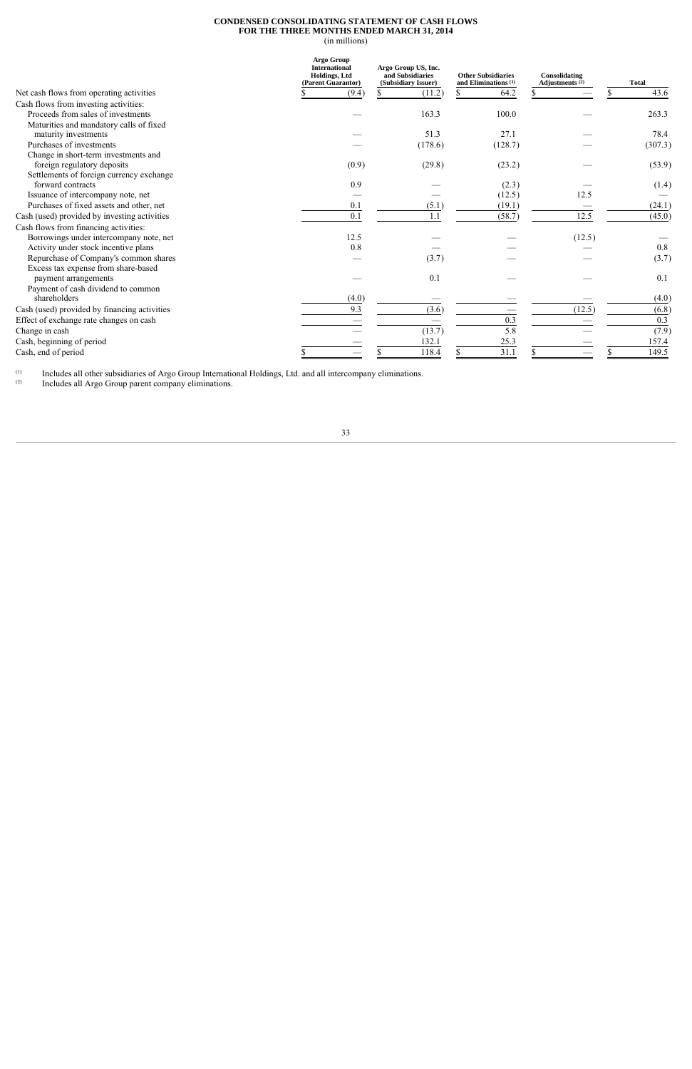### **CONDENSED CONSOLIDATING STATEMENT OF CASH FLOWS FOR THE THREE MONTHS ENDED MARCH 31, 2014**

(in millions)

|                                              | Argo Group<br><b>International</b><br><b>Holdings</b> , Ltd<br>(Parent Guarantor) | Argo Group US, Inc.<br><b>Other Subsidiaries</b><br>and Subsidiaries<br>and Eliminations <sup>(1)</sup><br>(Subsidiary Issuer) |         | Consolidating<br>Adjustments $(2)$ | <b>Total</b> |
|----------------------------------------------|-----------------------------------------------------------------------------------|--------------------------------------------------------------------------------------------------------------------------------|---------|------------------------------------|--------------|
| Net cash flows from operating activities     | (9.4)                                                                             | (11.2)                                                                                                                         | 64.2    |                                    | 43.6         |
| Cash flows from investing activities:        |                                                                                   |                                                                                                                                |         |                                    |              |
| Proceeds from sales of investments           |                                                                                   | 163.3                                                                                                                          | 100.0   |                                    | 263.3        |
| Maturities and mandatory calls of fixed      |                                                                                   |                                                                                                                                |         |                                    |              |
| maturity investments                         |                                                                                   | 51.3                                                                                                                           | 27.1    |                                    | 78.4         |
| Purchases of investments                     |                                                                                   | (178.6)                                                                                                                        | (128.7) |                                    | (307.3)      |
| Change in short-term investments and         |                                                                                   |                                                                                                                                |         |                                    |              |
| foreign regulatory deposits                  | (0.9)                                                                             | (29.8)                                                                                                                         | (23.2)  |                                    | (53.9)       |
| Settlements of foreign currency exchange     |                                                                                   |                                                                                                                                |         |                                    |              |
| forward contracts                            | 0.9                                                                               |                                                                                                                                | (2.3)   |                                    | (1.4)        |
| Issuance of intercompany note, net           |                                                                                   |                                                                                                                                | (12.5)  | 12.5                               |              |
| Purchases of fixed assets and other, net     | 0.1                                                                               | (5.1)                                                                                                                          | (19.1)  |                                    | (24.1)       |
| Cash (used) provided by investing activities | 0.1                                                                               | 1.1                                                                                                                            | (58.7)  | 12.5                               | (45.0)       |
| Cash flows from financing activities:        |                                                                                   |                                                                                                                                |         |                                    |              |
| Borrowings under intercompany note, net      | 12.5                                                                              |                                                                                                                                |         | (12.5)                             |              |
| Activity under stock incentive plans         | 0.8                                                                               |                                                                                                                                |         |                                    | 0.8          |
| Repurchase of Company's common shares        |                                                                                   | (3.7)                                                                                                                          |         |                                    | (3.7)        |
| Excess tax expense from share-based          |                                                                                   |                                                                                                                                |         |                                    |              |
| payment arrangements                         |                                                                                   | 0.1                                                                                                                            |         |                                    | 0.1          |
| Payment of cash dividend to common           |                                                                                   |                                                                                                                                |         |                                    |              |
| shareholders                                 | (4.0)                                                                             |                                                                                                                                |         |                                    | (4.0)        |
| Cash (used) provided by financing activities | 9.3                                                                               | (3.6)                                                                                                                          |         | (12.5)                             | (6.8)        |
| Effect of exchange rate changes on cash      |                                                                                   |                                                                                                                                | 0.3     |                                    | 0.3          |
| Change in cash                               |                                                                                   | (13.7)                                                                                                                         | 5.8     |                                    | (7.9)        |
| Cash, beginning of period                    |                                                                                   | 132.1                                                                                                                          | 25.3    |                                    | 157.4        |
| Cash, end of period                          |                                                                                   | 118.4                                                                                                                          | 31.1    |                                    | 149.5        |

 $\left( 1\right)$  $(1)$  Includes all other subsidiaries of Argo Group International Holdings, Ltd. and all intercompany eliminations.

(2) Includes all Argo Group parent company eliminations.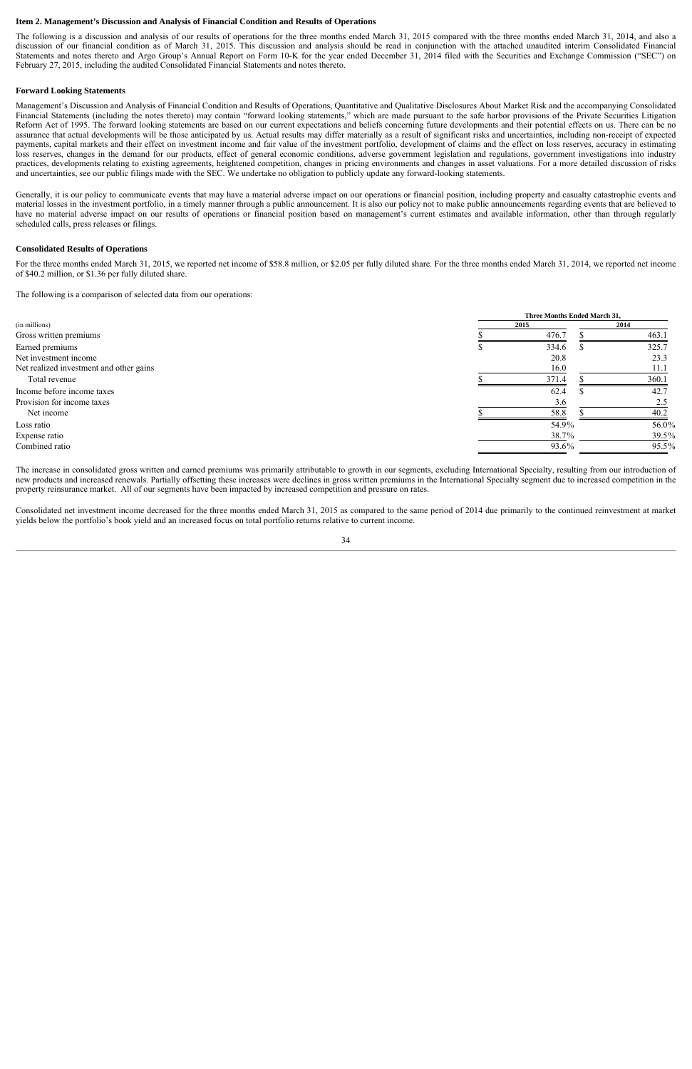#### **Item 2. Management's Discussion and Analysis of Financial Condition and Results of Operations**

The following is a discussion and analysis of our results of operations for the three months ended March 31, 2015 compared with the three months ended March 31, 2014, and also a discussion of our financial condition as of March 31, 2015. This discussion and analysis should be read in conjunction with the attached unaudited interim Consolidated Financial Statements and notes thereto and Argo Group's Annual Report on Form 10-K for the year ended December 31, 2014 filed with the Securities and Exchange Commission ("SEC") on February 27, 2015, including the audited Consolidated Financial Statements and notes thereto.

#### **Forward Looking Statements**

Management's Discussion and Analysis of Financial Condition and Results of Operations, Quantitative and Qualitative Disclosures About Market Risk and the accompanying Consolidated Financial Statements (including the notes thereto) may contain "forward looking statements," which are made pursuant to the safe harbor provisions of the Private Securities Litigation Reform Act of 1995. The forward looking statements are based on our current expectations and beliefs concerning future developments and their potential effects on us. There can be no assurance that actual developments will be those anticipated by us. Actual results may differ materially as a result of significant risks and uncertainties, including non-receipt of expected payments, capital markets and their effect on investment income and fair value of the investment portfolio, development of claims and the effect on loss reserves, accuracy in estimating loss reserves, changes in the demand for our products, effect of general economic conditions, adverse government legislation and regulations, government investigations into industry practices, developments relating to existing agreements, heightened competition, changes in pricing environments and changes in asset valuations. For a more detailed discussion of risks and uncertainties, see our public filings made with the SEC. We undertake no obligation to publicly update any forward-looking statements.

Generally, it is our policy to communicate events that may have a material adverse impact on our operations or financial position, including property and casualty catastrophic events and material losses in the investment portfolio, in a timely manner through a public announcement. It is also our policy not to make public announcements regarding events that are believed to have no material adverse impact on our results of operations or financial position based on management's current estimates and available information, other than through regularly scheduled calls, press releases or filings.

#### **Consolidated Results of Operations**

For the three months ended March 31, 2015, we reported net income of \$58.8 million, or \$2.05 per fully diluted share. For the three months ended March 31, 2014, we reported net income of \$40.2 million, or \$1.36 per fully diluted share.

The following is a comparison of selected data from our operations:

|                                         |      | Three Months Ended March 31, |       |  |  |  |  |
|-----------------------------------------|------|------------------------------|-------|--|--|--|--|
| (in millions)                           | 2015 |                              | 2014  |  |  |  |  |
| Gross written premiums                  |      | 476.7                        | 463.1 |  |  |  |  |
| Earned premiums                         |      | 334.6                        | 325.7 |  |  |  |  |
| Net investment income                   |      | 20.8                         | 23.3  |  |  |  |  |
| Net realized investment and other gains |      | 16.0                         | 11.1  |  |  |  |  |
| Total revenue                           |      | 371.4                        | 360.1 |  |  |  |  |
| Income before income taxes              |      | 62.4                         | 42.7  |  |  |  |  |
| Provision for income taxes              |      | 3.6                          | 2.5   |  |  |  |  |
| Net income                              |      | 58.8                         | 40.2  |  |  |  |  |
| Loss ratio                              |      | 54.9%                        | 56.0% |  |  |  |  |
| Expense ratio                           |      | 38.7%                        | 39.5% |  |  |  |  |
| Combined ratio                          |      | 93.6%                        | 95.5% |  |  |  |  |

The increase in consolidated gross written and earned premiums was primarily attributable to growth in our segments, excluding International Specialty, resulting from our introduction of new products and increased renewals. Partially offsetting these increases were declines in gross written premiums in the International Specialty segment due to increased competition in the property reinsurance market. All of our segments have been impacted by increased competition and pressure on rates.

Consolidated net investment income decreased for the three months ended March 31, 2015 as compared to the same period of 2014 due primarily to the continued reinvestment at market yields below the portfolio's book yield and an increased focus on total portfolio returns relative to current income.

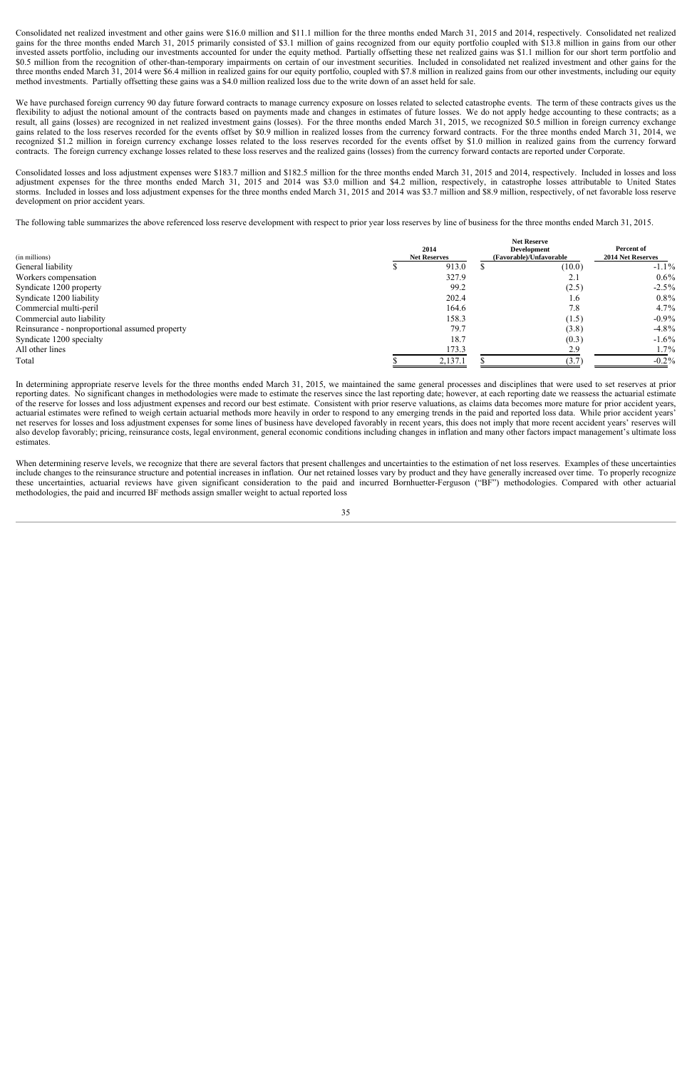Consolidated net realized investment and other gains were \$16.0 million and \$11.1 million for the three months ended March 31, 2015 and 2014, respectively. Consolidated net realized gains for the three months ended March 31, 2015 primarily consisted of \$3.1 million of gains recognized from our equity portfolio coupled with \$13.8 million in gains from our other invested assets portfolio, including our investments accounted for under the equity method. Partially offsetting these net realized gains was \$1.1 million for our short term portfolio and \$0.5 million from the recognition of other-than-temporary impairments on certain of our investment securities. Included in consolidated net realized investment and other gains for the three months ended March 31, 2014 were \$6.4 million in realized gains for our equity portfolio, coupled with \$7.8 million in realized gains from our other investments, including our equity method investments. Partially offsetting these gains was a \$4.0 million realized loss due to the write down of an asset held for sale.

We have purchased foreign currency 90 day future forward contracts to manage currency exposure on losses related to selected catastrophe events. The term of these contracts gives us the flexibility to adjust the notional amount of the contracts based on payments made and changes in estimates of future losses. We do not apply hedge accounting to these contracts; as a result, all gains (losses) are recognized in net realized investment gains (losses). For the three months ended March 31, 2015, we recognized \$0.5 million in foreign currency exchange gains related to the loss reserves recorded for the events offset by \$0.9 million in realized losses from the currency forward contracts. For the three months ended March 31, 2014, we recognized \$1.2 million in foreign currency exchange losses related to the loss reserves recorded for the events offset by \$1.0 million in realized gains from the currency forward contracts. The foreign currency exchange losses related to these loss reserves and the realized gains (losses) from the currency forward contacts are reported under Corporate.

Consolidated losses and loss adjustment expenses were \$183.7 million and \$182.5 million for the three months ended March 31, 2015 and 2014, respectively. Included in losses and loss adjustment expenses for the three months ended March 31, 2015 and 2014 was \$3.0 million and \$4.2 million, respectively, in catastrophe losses attributable to United States storms. Included in losses and loss adjustment expenses for the three months ended March 31, 2015 and 2014 was \$3.7 million and \$8.9 million, respectively, of net favorable loss reserve development on prior accident years.

The following table summarizes the above referenced loss reserve development with respect to prior year loss reserves by line of business for the three months ended March 31, 2015.

|                                                | <b>Net Reserve</b>  |  |                         |                   |  |  |  |
|------------------------------------------------|---------------------|--|-------------------------|-------------------|--|--|--|
|                                                | 2014                |  | <b>Development</b>      | Percent of        |  |  |  |
| (in millions)                                  | <b>Net Reserves</b> |  | (Favorable)/Unfavorable | 2014 Net Reserves |  |  |  |
| General liability                              | 913.0               |  | (10.0)                  | $-1.1\%$          |  |  |  |
| Workers compensation                           | 327.9               |  | 2.1                     | $0.6\%$           |  |  |  |
| Syndicate 1200 property                        | 99.2                |  | (2.5)                   | $-2.5\%$          |  |  |  |
| Syndicate 1200 liability                       | 202.4               |  | 1.6                     | $0.8\%$           |  |  |  |
| Commercial multi-peril                         | 164.6               |  | 7.8                     | $4.7\%$           |  |  |  |
| Commercial auto liability                      | 158.3               |  | (1.5)                   | $-0.9\%$          |  |  |  |
| Reinsurance - nonproportional assumed property | 79.7                |  | (3.8)                   | $-4.8\%$          |  |  |  |
| Syndicate 1200 specialty                       | 18.7                |  | (0.3)                   | $-1.6\%$          |  |  |  |
| All other lines                                | 173.3               |  | 2.9                     | $1.7\%$           |  |  |  |
| Total                                          | 2,137.1             |  | (3.7)                   | $-0.2\%$          |  |  |  |
|                                                |                     |  |                         |                   |  |  |  |

In determining appropriate reserve levels for the three months ended March 31, 2015, we maintained the same general processes and disciplines that were used to set reserves at prior reporting dates. No significant changes in methodologies were made to estimate the reserves since the last reporting date; however, at each reporting date we reassess the actuarial estimate of the reserve for losses and loss adjustment expenses and record our best estimate. Consistent with prior reserve valuations, as claims data becomes more mature for prior accident years, actuarial estimates were refined to weigh certain actuarial methods more heavily in order to respond to any emerging trends in the paid and reported loss data. While prior accident years' net reserves for losses and loss adjustment expenses for some lines of business have developed favorably in recent years, this does not imply that more recent accident years' reserves will also develop favorably; pricing, reinsurance costs, legal environment, general economic conditions including changes in inflation and many other factors impact management's ultimate loss estimates.

When determining reserve levels, we recognize that there are several factors that present challenges and uncertainties to the estimation of net loss reserves. Examples of these uncertainties include changes to the reinsurance structure and potential increases in inflation. Our net retained losses vary by product and they have generally increased over time. To properly recognize these uncertainties, actuarial reviews have given significant consideration to the paid and incurred Bornhuetter-Ferguson ("BF") methodologies. Compared with other actuarial methodologies, the paid and incurred BF methods assign smaller weight to actual reported loss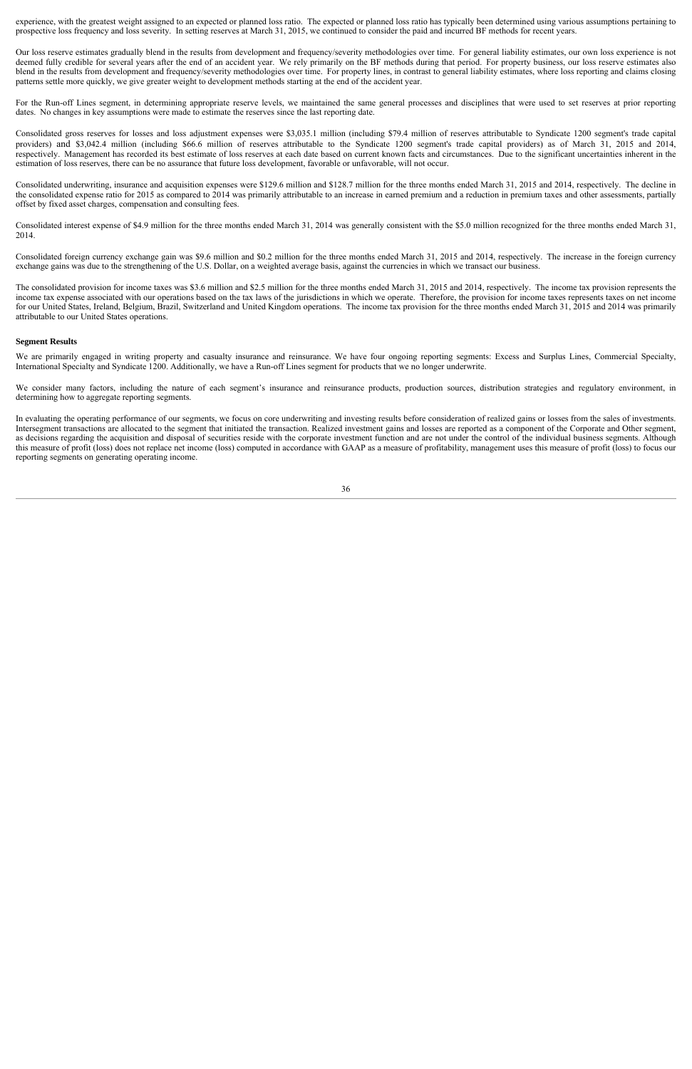experience, with the greatest weight assigned to an expected or planned loss ratio. The expected or planned loss ratio has typically been determined using various assumptions pertaining to prospective loss frequency and loss severity. In setting reserves at March 31, 2015, we continued to consider the paid and incurred BF methods for recent years.

Our loss reserve estimates gradually blend in the results from development and frequency/severity methodologies over time. For general liability estimates, our own loss experience is not deemed fully credible for several years after the end of an accident year. We rely primarily on the BF methods during that period. For property business, our loss reserve estimates also blend in the results from development and frequency/severity methodologies over time. For property lines, in contrast to general liability estimates, where loss reporting and claims closing patterns settle more quickly, we give greater weight to development methods starting at the end of the accident year.

For the Run-off Lines segment, in determining appropriate reserve levels, we maintained the same general processes and disciplines that were used to set reserves at prior reporting dates. No changes in key assumptions were made to estimate the reserves since the last reporting date.

Consolidated gross reserves for losses and loss adjustment expenses were \$3,035.1 million (including \$79.4 million of reserves attributable to Syndicate 1200 segment's trade capital providers) and \$3,042.4 million (including \$66.6 million of reserves attributable to the Syndicate 1200 segment's trade capital providers) as of March 31, 2015 and 2014, respectively. Management has recorded its best estimate of loss reserves at each date based on current known facts and circumstances. Due to the significant uncertainties inherent in the estimation of loss reserves, there can be no assurance that future loss development, favorable or unfavorable, will not occur.

Consolidated underwriting, insurance and acquisition expenses were \$129.6 million and \$128.7 million for the three months ended March 31, 2015 and 2014, respectively. The decline in the consolidated expense ratio for 2015 as compared to 2014 was primarily attributable to an increase in earned premium and a reduction in premium taxes and other assessments, partially offset by fixed asset charges, compensation and consulting fees.

Consolidated interest expense of \$4.9 million for the three months ended March 31, 2014 was generally consistent with the \$5.0 million recognized for the three months ended March 31, 2014.

Consolidated foreign currency exchange gain was \$9.6 million and \$0.2 million for the three months ended March 31, 2015 and 2014, respectively. The increase in the foreign currency exchange gains was due to the strengthening of the U.S. Dollar, on a weighted average basis, against the currencies in which we transact our business.

The consolidated provision for income taxes was \$3.6 million and \$2.5 million for the three months ended March 31, 2015 and 2014, respectively. The income tax provision represents the income tax expense associated with our operations based on the tax laws of the jurisdictions in which we operate. Therefore, the provision for income taxes represents taxes on net income for our United States, Ireland, Belgium, Brazil, Switzerland and United Kingdom operations. The income tax provision for the three months ended March 31, 2015 and 2014 was primarily attributable to our United States operations.

#### **Segment Results**

We are primarily engaged in writing property and casualty insurance and reinsurance. We have four ongoing reporting segments: Excess and Surplus Lines, Commercial Specialty, International Specialty and Syndicate 1200. Additionally, we have a Run-off Lines segment for products that we no longer underwrite.

We consider many factors, including the nature of each segment's insurance and reinsurance products, production sources, distribution strategies and regulatory environment, in determining how to aggregate reporting segments.

In evaluating the operating performance of our segments, we focus on core underwriting and investing results before consideration of realized gains or losses from the sales of investments. Intersegment transactions are allocated to the segment that initiated the transaction. Realized investment gains and losses are reported as a component of the Corporate and Other segment, as decisions regarding the acquisition and disposal of securities reside with the corporate investment function and are not under the control of the individual business segments. Although this measure of profit (loss) does not replace net income (loss) computed in accordance with GAAP as a measure of profitability, management uses this measure of profit (loss) to focus our reporting segments on generating operating income.

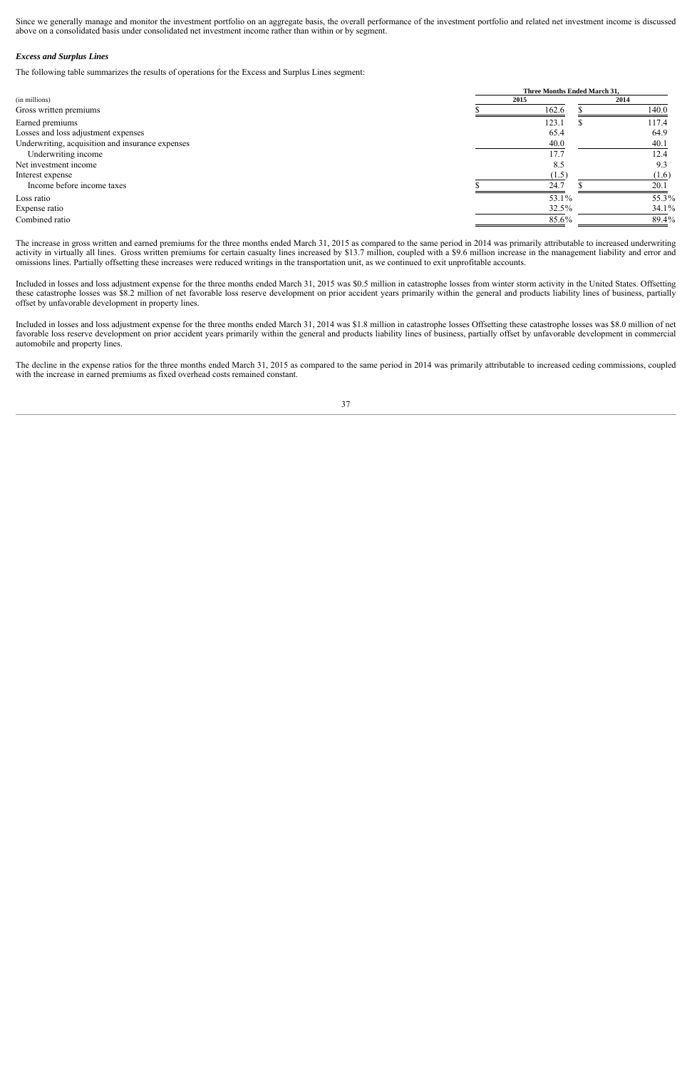Since we generally manage and monitor the investment portfolio on an aggregate basis, the overall performance of the investment portfolio and related net investment income is discussed above on a consolidated basis under consolidated net investment income rather than within or by segment.

#### *Excess and Surplus Lines*

The following table summarizes the results of operations for the Excess and Surplus Lines segment:

|                                                  |      | Three Months Ended March 31, |       |  |  |  |  |
|--------------------------------------------------|------|------------------------------|-------|--|--|--|--|
| (in millions)                                    | 2015 |                              | 2014  |  |  |  |  |
| Gross written premiums                           |      | 162.6                        | 140.0 |  |  |  |  |
| Earned premiums                                  |      | 123.1                        | 117.4 |  |  |  |  |
| Losses and loss adjustment expenses              |      | 65.4                         | 64.9  |  |  |  |  |
| Underwriting, acquisition and insurance expenses |      | 40.0                         | 40.1  |  |  |  |  |
| Underwriting income                              |      | 17.7                         | 12.4  |  |  |  |  |
| Net investment income                            |      | 8.5                          | 9.3   |  |  |  |  |
| Interest expense                                 |      | (1.5)                        | (1.6) |  |  |  |  |
| Income before income taxes                       |      | 24.7                         | 20.1  |  |  |  |  |
| Loss ratio                                       |      | 53.1%                        | 55.3% |  |  |  |  |
| Expense ratio                                    |      | 32.5%                        | 34.1% |  |  |  |  |
| Combined ratio                                   |      | 85.6%                        | 89.4% |  |  |  |  |
|                                                  |      |                              |       |  |  |  |  |

The increase in gross written and earned premiums for the three months ended March 31, 2015 as compared to the same period in 2014 was primarily attributable to increased underwriting activity in virtually all lines. Gross written premiums for certain casualty lines increased by \$13.7 million, coupled with a \$9.6 million increase in the management liability and error and omissions lines. Partially offsetting these increases were reduced writings in the transportation unit, as we continued to exit unprofitable accounts.

Included in losses and loss adjustment expense for the three months ended March 31, 2015 was \$0.5 million in catastrophe losses from winter storm activity in the United States. Offsetting these catastrophe losses was \$8.2 million of net favorable loss reserve development on prior accident years primarily within the general and products liability lines of business, partially offset by unfavorable development in property lines.

Included in losses and loss adjustment expense for the three months ended March 31, 2014 was \$1.8 million in catastrophe losses Offsetting these catastrophe losses was \$8.0 million of net favorable loss reserve development on prior accident years primarily within the general and products liability lines of business, partially offset by unfavorable development in commercial automobile and property lines.

The decline in the expense ratios for the three months ended March 31, 2015 as compared to the same period in 2014 was primarily attributable to increased ceding commissions, coupled with the increase in earned premiums as fixed overhead costs remained constant.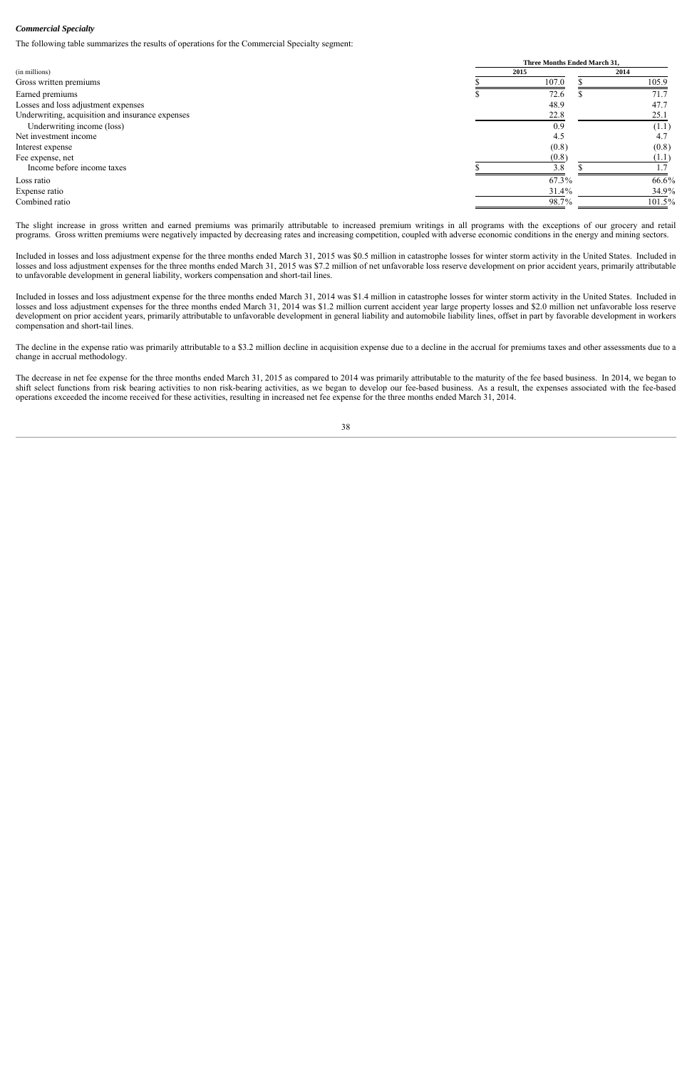#### *Commercial Specialty*

The following table summarizes the results of operations for the Commercial Specialty segment:

|                                                  |      | <b>Three Months Ended March 31.</b> |      |        |  |  |  |
|--------------------------------------------------|------|-------------------------------------|------|--------|--|--|--|
| (in millions)                                    | 2015 |                                     | 2014 |        |  |  |  |
| Gross written premiums                           |      | 107.0                               |      | 105.9  |  |  |  |
| Earned premiums                                  |      | 72.6                                |      | 71.7   |  |  |  |
| Losses and loss adjustment expenses              |      | 48.9                                |      | 47.7   |  |  |  |
| Underwriting, acquisition and insurance expenses |      | 22.8                                |      | 25.1   |  |  |  |
| Underwriting income (loss)                       |      | 0.9                                 |      | (1.1)  |  |  |  |
| Net investment income                            |      | 4.5                                 |      | 4.1    |  |  |  |
| Interest expense                                 |      | (0.8)                               |      | (0.8)  |  |  |  |
| Fee expense, net                                 |      | (0.8)                               |      | H.I    |  |  |  |
| Income before income taxes                       |      | 3.8                                 |      |        |  |  |  |
| Loss ratio                                       |      | 67.3%                               |      | 66.6%  |  |  |  |
| Expense ratio                                    |      | 31.4%                               |      | 34.9%  |  |  |  |
| Combined ratio                                   |      | 98.7%                               |      | 101.5% |  |  |  |

The slight increase in gross written and earned premiums was primarily attributable to increased premium writings in all programs with the exceptions of our grocery and retail programs. Gross written premiums were negatively impacted by decreasing rates and increasing competition, coupled with adverse economic conditions in the energy and mining sectors.

Included in losses and loss adjustment expense for the three months ended March 31, 2015 was \$0.5 million in catastrophe losses for winter storm activity in the United States. Included in losses and loss adjustment expenses for the three months ended March 31, 2015 was \$7.2 million of net unfavorable loss reserve development on prior accident years, primarily attributable to unfavorable development in general liability, workers compensation and short-tail lines.

Included in losses and loss adjustment expense for the three months ended March 31, 2014 was \$1.4 million in catastrophe losses for winter storm activity in the United States. Included in losses and loss adjustment expenses for the three months ended March 31, 2014 was \$1.2 million current accident year large property losses and \$2.0 million net unfavorable loss reserve development on prior accident years, primarily attributable to unfavorable development in general liability and automobile liability lines, offset in part by favorable development in workers compensation and short-tail lines.

The decline in the expense ratio was primarily attributable to a \$3.2 million decline in acquisition expense due to a decline in the accrual for premiums taxes and other assessments due to a change in accrual methodology.

The decrease in net fee expense for the three months ended March 31, 2015 as compared to 2014 was primarily attributable to the maturity of the fee based business. In 2014, we began to shift select functions from risk bearing activities to non risk-bearing activities, as we began to develop our fee-based business. As a result, the expenses associated with the fee-based operations exceeded the income received for these activities, resulting in increased net fee expense for the three months ended March 31, 2014.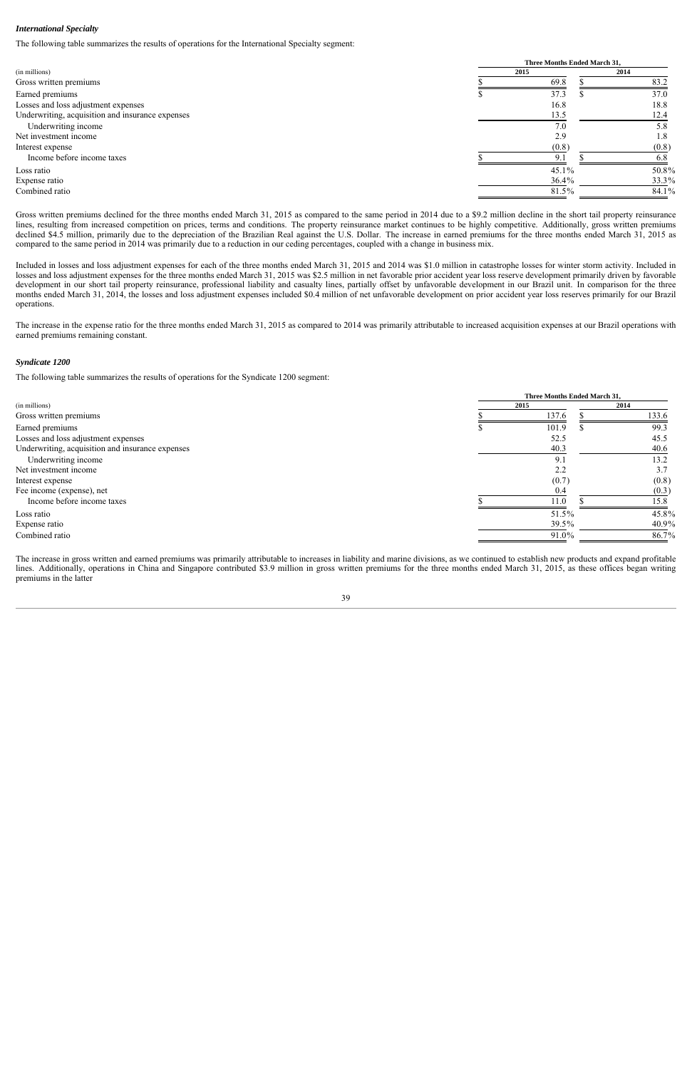#### *International Specialty*

The following table summarizes the results of operations for the International Specialty segment:

|                                                  |      | <b>Three Months Ended March 31.</b> |  |       |  |  |  |
|--------------------------------------------------|------|-------------------------------------|--|-------|--|--|--|
| (in millions)                                    | 2015 |                                     |  | 2014  |  |  |  |
| Gross written premiums                           |      | 69.8                                |  | 83.2  |  |  |  |
| Earned premiums                                  |      | 37.3                                |  | 37.0  |  |  |  |
| Losses and loss adjustment expenses              |      | 16.8                                |  | 18.8  |  |  |  |
| Underwriting, acquisition and insurance expenses |      | 13.5                                |  | 12.4  |  |  |  |
| Underwriting income                              |      | 7.0                                 |  | 5.8   |  |  |  |
| Net investment income                            |      | 2.9                                 |  | 1.8   |  |  |  |
| Interest expense                                 |      | (0.8)                               |  | (0.8) |  |  |  |
| Income before income taxes                       |      | $9_{1}$                             |  | 6.8   |  |  |  |
| Loss ratio                                       |      | 45.1%                               |  | 50.8% |  |  |  |
| Expense ratio                                    |      | 36.4%                               |  | 33.3% |  |  |  |
| Combined ratio                                   |      | 81.5%                               |  | 84.1% |  |  |  |
|                                                  |      |                                     |  |       |  |  |  |

Gross written premiums declined for the three months ended March 31, 2015 as compared to the same period in 2014 due to a \$9.2 million decline in the short tail property reinsurance lines, resulting from increased competition on prices, terms and conditions. The property reinsurance market continues to be highly competitive. Additionally, gross written premiums declined \$4.5 million, primarily due to the depreciation of the Brazilian Real against the U.S. Dollar. The increase in earned premiums for the three months ended March 31, 2015 as compared to the same period in 2014 was primarily due to a reduction in our ceding percentages, coupled with a change in business mix.

Included in losses and loss adjustment expenses for each of the three months ended March 31, 2015 and 2014 was \$1.0 million in catastrophe losses for winter storm activity. Included in losses and loss adjustment expenses for the three months ended March 31, 2015 was \$2.5 million in net favorable prior accident year loss reserve development primarily driven by favorable development in our short tail property reinsurance, professional liability and casualty lines, partially offset by unfavorable development in our Brazil unit. In comparison for the three months ended March 31, 2014, the losses and loss adjustment expenses included \$0.4 million of net unfavorable development on prior accident year loss reserves primarily for our Brazil operations.

The increase in the expense ratio for the three months ended March 31, 2015 as compared to 2014 was primarily attributable to increased acquisition expenses at our Brazil operations with earned premiums remaining constant.

#### *Syndicate 1200*

The following table summarizes the results of operations for the Syndicate 1200 segment:

|                                                  |      | Three Months Ended March 31, |      |       |  |  |  |
|--------------------------------------------------|------|------------------------------|------|-------|--|--|--|
| (in millions)                                    | 2015 |                              | 2014 |       |  |  |  |
| Gross written premiums                           |      | 137.6                        |      | 133.6 |  |  |  |
| Earned premiums                                  |      | 101.9                        |      | 99.3  |  |  |  |
| Losses and loss adjustment expenses              |      | 52.5                         |      | 45.5  |  |  |  |
| Underwriting, acquisition and insurance expenses |      | 40.3                         |      | 40.6  |  |  |  |
| Underwriting income                              |      | 9.1                          |      | 13.2  |  |  |  |
| Net investment income                            |      | 2.2                          |      | 3.7   |  |  |  |
| Interest expense                                 |      | (0.7)                        |      | (0.8) |  |  |  |
| Fee income (expense), net                        |      | 0.4                          |      | (0.3) |  |  |  |
| Income before income taxes                       |      | 11.0                         |      | 15.8  |  |  |  |
| Loss ratio                                       |      | 51.5%                        |      | 45.8% |  |  |  |
| Expense ratio                                    |      | 39.5%                        |      | 40.9% |  |  |  |
| Combined ratio                                   |      | 91.0%                        |      | 86.7% |  |  |  |

The increase in gross written and earned premiums was primarily attributable to increases in liability and marine divisions, as we continued to establish new products and expand profitable lines. Additionally, operations in China and Singapore contributed \$3.9 million in gross written premiums for the three months ended March 31, 2015, as these offices began writing premiums in the latter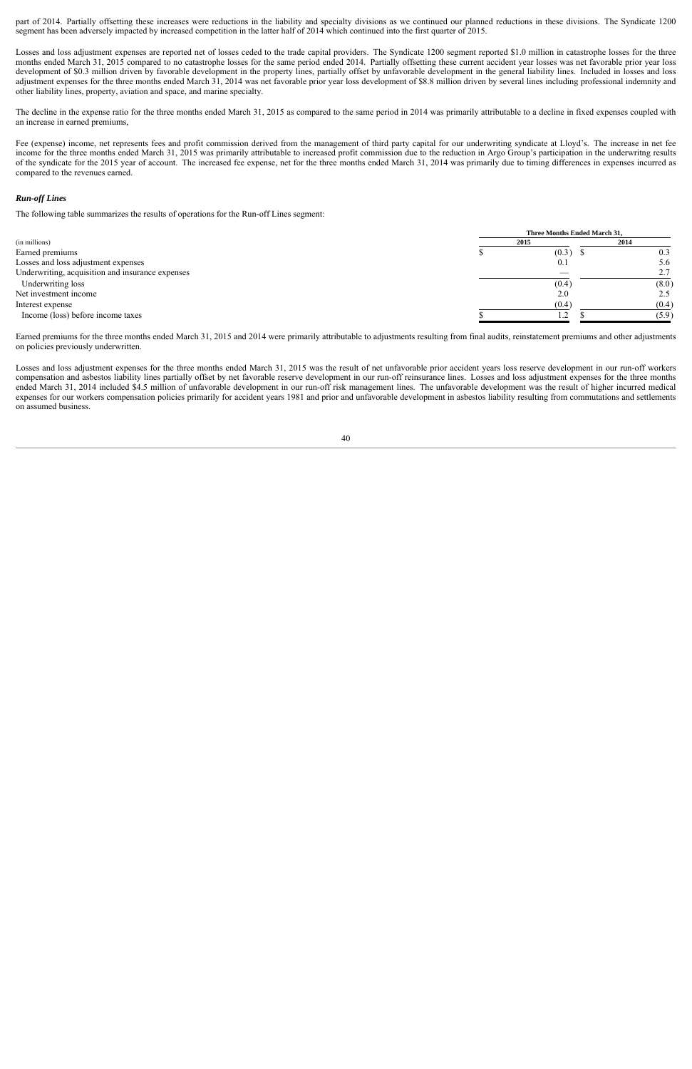part of 2014. Partially offsetting these increases were reductions in the liability and specialty divisions as we continued our planned reductions in these divisions. The Syndicate 1200 segment has been adversely impacted by increased competition in the latter half of 2014 which continued into the first quarter of 2015.

Losses and loss adjustment expenses are reported net of losses ceded to the trade capital providers. The Syndicate 1200 segment reported \$1.0 million in catastrophe losses for the three months ended March 31, 2015 compared to no catastrophe losses for the same period ended 2014. Partially offsetting these current accident year losses was net favorable prior year loss development of \$0.3 million driven by favorable development in the property lines, partially offset by unfavorable development in the general liability lines. Included in losses and loss adjustment expenses for the three months ended March 31, 2014 was net favorable prior year loss development of \$8.8 million driven by several lines including professional indemnity and other liability lines, property, aviation and space, and marine specialty.

The decline in the expense ratio for the three months ended March 31, 2015 as compared to the same period in 2014 was primarily attributable to a decline in fixed expenses coupled with an increase in earned premiums,

Fee (expense) income, net represents fees and profit commission derived from the management of third party capital for our underwriting syndicate at Lloyd's. The increase in net fee income for the three months ended March 31, 2015 was primarily attributable to increased profit commission due to the reduction in Argo Group's participation in the underwritng results of the syndicate for the 2015 year of account. The increased fee expense, net for the three months ended March 31, 2014 was primarily due to timing differences in expenses incurred as compared to the revenues earned.

#### *Run-off Lines*

The following table summarizes the results of operations for the Run-off Lines segment:

|                                                  | Three Months Ended March 31, |       |  |  |
|--------------------------------------------------|------------------------------|-------|--|--|
| (in millions)                                    | 2015                         | 2014  |  |  |
| Earned premiums                                  | (0.3)                        | 0.3   |  |  |
| Losses and loss adjustment expenses              | 0.1                          | 5.6   |  |  |
| Underwriting, acquisition and insurance expenses |                              | 2.7   |  |  |
| Underwriting loss                                | (0.4)                        | (8.0) |  |  |
| Net investment income                            | 2.0                          | 2.5   |  |  |
| Interest expense                                 | (0.4)                        | (0.4) |  |  |
| Income (loss) before income taxes                |                              | (5.9) |  |  |

Earned premiums for the three months ended March 31, 2015 and 2014 were primarily attributable to adjustments resulting from final audits, reinstatement premiums and other adjustments on policies previously underwritten.

Losses and loss adjustment expenses for the three months ended March 31, 2015 was the result of net unfavorable prior accident years loss reserve development in our run-off workers compensation and asbestos liability lines partially offset by net favorable reserve development in our run-off reinsurance lines. Losses and loss adjustment expenses for the three months ended March 31, 2014 included \$4.5 million of unfavorable development in our run-off risk management lines. The unfavorable development was the result of higher incurred medical expenses for our workers compensation policies primarily for accident years 1981 and prior and unfavorable development in asbestos liability resulting from commutations and settlements on assumed business.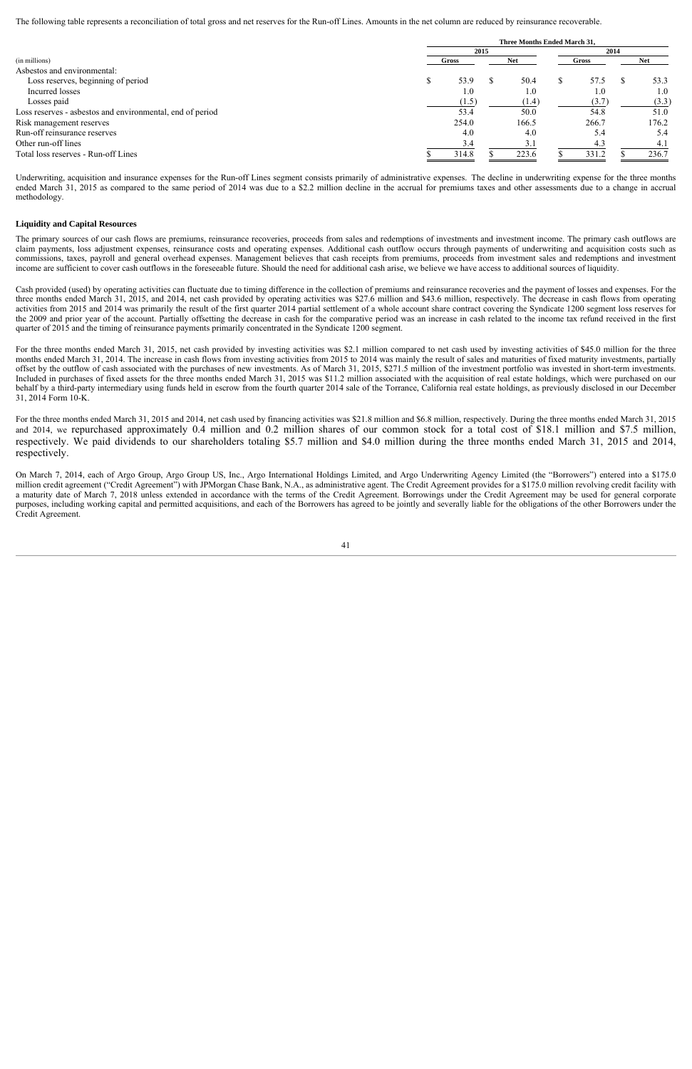The following table represents a reconciliation of total gross and net reserves for the Run-off Lines. Amounts in the net column are reduced by reinsurance recoverable.

|                                                           | Three Months Ended March 31. |       |      |            |       |       |  |       |  |  |  |  |  |
|-----------------------------------------------------------|------------------------------|-------|------|------------|-------|-------|--|-------|--|--|--|--|--|
|                                                           |                              |       | 2014 |            |       |       |  |       |  |  |  |  |  |
| (in millions)                                             | Gross                        |       |      | <b>Net</b> | Gross |       |  | Net   |  |  |  |  |  |
| Asbestos and environmental:                               |                              |       |      |            |       |       |  |       |  |  |  |  |  |
| Loss reserves, beginning of period                        | 53.9                         |       |      | 50.4       |       | 57.5  |  | 53.3  |  |  |  |  |  |
| Incurred losses                                           |                              | 1.0   |      | 1.0        |       | 1.0   |  | 1.0   |  |  |  |  |  |
| Losses paid                                               |                              | (1.5) |      | (1.4)      |       | (3.7) |  | (3.3) |  |  |  |  |  |
| Loss reserves - asbestos and environmental, end of period | 53.4                         |       |      | 50.0       |       | 54.8  |  | 51.0  |  |  |  |  |  |
| Risk management reserves                                  | 254.0                        |       |      | 166.5      |       | 266.7 |  | 176.2 |  |  |  |  |  |
| Run-off reinsurance reserves                              | 4.0                          |       |      | 4.0        |       | 5.4   |  | 5.4   |  |  |  |  |  |
| Other run-off lines                                       |                              | 3.4   |      | 3.1        |       | 4.3   |  | 4.1   |  |  |  |  |  |
| Total loss reserves - Run-off Lines                       | 314.8                        |       |      | 223.6      |       | 331.2 |  | 236.7 |  |  |  |  |  |

Underwriting, acquisition and insurance expenses for the Run-off Lines segment consists primarily of administrative expenses. The decline in underwriting expense for the three months ended March 31, 2015 as compared to the same period of 2014 was due to a \$2.2 million decline in the accrual for premiums taxes and other assessments due to a change in accrual methodology.

## **Liquidity and Capital Resources**

The primary sources of our cash flows are premiums, reinsurance recoveries, proceeds from sales and redemptions of investments and investment income. The primary cash outflows are claim payments, loss adjustment expenses, reinsurance costs and operating expenses. Additional cash outflow occurs through payments of underwriting and acquisition costs such as commissions, taxes, payroll and general overhead expenses. Management believes that cash receipts from premiums, proceeds from investment sales and redemptions and investment income are sufficient to cover cash outflows in the foreseeable future. Should the need for additional cash arise, we believe we have access to additional sources of liquidity.

Cash provided (used) by operating activities can fluctuate due to timing difference in the collection of premiums and reinsurance recoveries and the payment of losses and expenses. For the three months ended March 31, 2015, and 2014, net cash provided by operating activities was \$27.6 million and \$43.6 million, respectively. The decrease in cash flows from operating activities from 2015 and 2014 was primarily the result of the first quarter 2014 partial settlement of a whole account share contract covering the Syndicate 1200 segment loss reserves for the 2009 and prior year of the account. Partially offsetting the decrease in cash for the comparative period was an increase in cash related to the income tax refund received in the first quarter of 2015 and the timing of reinsurance payments primarily concentrated in the Syndicate 1200 segment.

For the three months ended March 31, 2015, net cash provided by investing activities was \$2.1 million compared to net cash used by investing activities of \$45.0 million for the three months ended March 31, 2014. The increase in cash flows from investing activities from 2015 to 2014 was mainly the result of sales and maturities of fixed maturity investments, partially offset by the outflow of cash associated with the purchases of new investments. As of March 31, 2015, \$271.5 million of the investment portfolio was invested in short-term investments. Included in purchases of fixed assets for the three months ended March 31, 2015 was \$11.2 million associated with the acquisition of real estate holdings, which were purchased on our behalf by a third-party intermediary using funds held in escrow from the fourth quarter 2014 sale of the Torrance, California real estate holdings, as previously disclosed in our December 31, 2014 Form 10-K.

For the three months ended March 31, 2015 and 2014, net cash used by financing activities was \$21.8 million and \$6.8 million, respectively. During the three months ended March 31, 2015 and 2014, we repurchased approximately 0.4 million and 0.2 million shares of our common stock for a total cost of \$18.1 million and \$7.5 million, respectively. We paid dividends to our shareholders totaling \$5.7 million and \$4.0 million during the three months ended March 31, 2015 and 2014, respectively.

On March 7, 2014, each of Argo Group, Argo Group US, Inc., Argo International Holdings Limited, and Argo Underwriting Agency Limited (the "Borrowers") entered into a \$175.0 million credit agreement ("Credit Agreement") with JPMorgan Chase Bank, N.A., as administrative agent. The Credit Agreement provides for a \$175.0 million revolving credit facility with a maturity date of March 7, 2018 unless extended in accordance with the terms of the Credit Agreement. Borrowings under the Credit Agreement may be used for general corporate purposes, including working capital and permitted acquisitions, and each of the Borrowers has agreed to be jointly and severally liable for the obligations of the other Borrowers under the Credit Agreement.

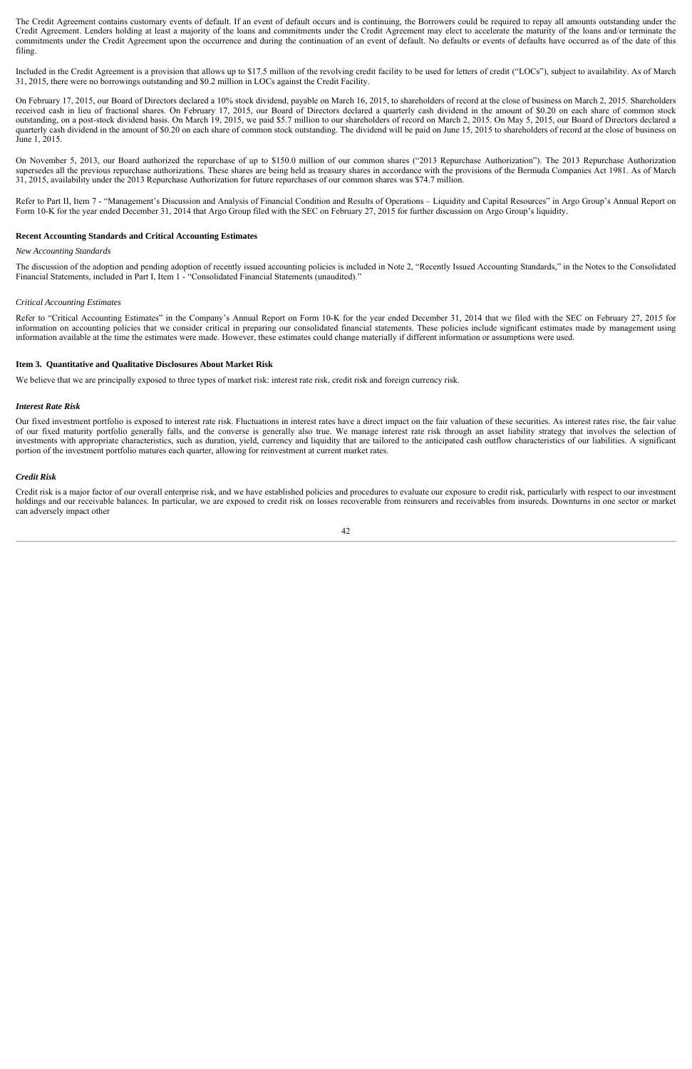The Credit Agreement contains customary events of default. If an event of default occurs and is continuing, the Borrowers could be required to repay all amounts outstanding under the Credit Agreement. Lenders holding at least a majority of the loans and commitments under the Credit Agreement may elect to accelerate the maturity of the loans and/or terminate the commitments under the Credit Agreement upon the occurrence and during the continuation of an event of default. No defaults or events of defaults have occurred as of the date of this filing.

Included in the Credit Agreement is a provision that allows up to \$17.5 million of the revolving credit facility to be used for letters of credit ("LOCs"), subject to availability. As of March 31, 2015, there were no borrowings outstanding and \$0.2 million in LOCs against the Credit Facility.

On February 17, 2015, our Board of Directors declared a 10% stock dividend, payable on March 16, 2015, to shareholders of record at the close of business on March 2, 2015. Shareholders received cash in lieu of fractional shares. On February 17, 2015, our Board of Directors declared a quarterly cash dividend in the amount of \$0.20 on each share of common stock outstanding, on a post-stock dividend basis. On March 19, 2015, we paid \$5.7 million to our shareholders of record on March 2, 2015. On May 5, 2015, our Board of Directors declared a quarterly cash dividend in the amount of \$0.20 on each share of common stock outstanding. The dividend will be paid on June 15, 2015 to shareholders of record at the close of business on June 1, 2015.

On November 5, 2013, our Board authorized the repurchase of up to \$150.0 million of our common shares ("2013 Repurchase Authorization"). The 2013 Repurchase Authorization supersedes all the previous repurchase authorizations. These shares are being held as treasury shares in accordance with the provisions of the Bermuda Companies Act 1981. As of March 31, 2015, availability under the 2013 Repurchase Authorization for future repurchases of our common shares was \$74.7 million.

Refer to Part II, Item 7 - "Management's Discussion and Analysis of Financial Condition and Results of Operations – Liquidity and Capital Resources" in Argo Group's Annual Report on Form 10-K for the year ended December 31, 2014 that Argo Group filed with the SEC on February 27, 2015 for further discussion on Argo Group's liquidity.

#### **Recent Accounting Standards and Critical Accounting Estimates**

#### *New Accounting Standards*

The discussion of the adoption and pending adoption of recently issued accounting policies is included in Note 2, "Recently Issued Accounting Standards," in the Notes to the Consolidated Financial Statements, included in Part I, Item 1 - "Consolidated Financial Statements (unaudited)."

#### *Critical Accounting Estimates*

Refer to "Critical Accounting Estimates" in the Company's Annual Report on Form 10-K for the year ended December 31, 2014 that we filed with the SEC on February 27, 2015 for information on accounting policies that we consider critical in preparing our consolidated financial statements. These policies include significant estimates made by management using information available at the time the estimates were made. However, these estimates could change materially if different information or assumptions were used.

#### **Item 3. Quantitative and Qualitative Disclosures About Market Risk**

We believe that we are principally exposed to three types of market risk: interest rate risk, credit risk and foreign currency risk.

#### *Interest Rate Risk*

Our fixed investment portfolio is exposed to interest rate risk. Fluctuations in interest rates have a direct impact on the fair valuation of these securities. As interest rates rise, the fair value of our fixed maturity portfolio generally falls, and the converse is generally also true. We manage interest rate risk through an asset liability strategy that involves the selection of investments with appropriate characteristics, such as duration, yield, currency and liquidity that are tailored to the anticipated cash outflow characteristics of our liabilities. A significant portion of the investment portfolio matures each quarter, allowing for reinvestment at current market rates.

#### *Credit Risk*

Credit risk is a major factor of our overall enterprise risk, and we have established policies and procedures to evaluate our exposure to credit risk, particularly with respect to our investment holdings and our receivable balances. In particular, we are exposed to credit risk on losses recoverable from reinsurers and receivables from insureds. Downturns in one sector or market can adversely impact other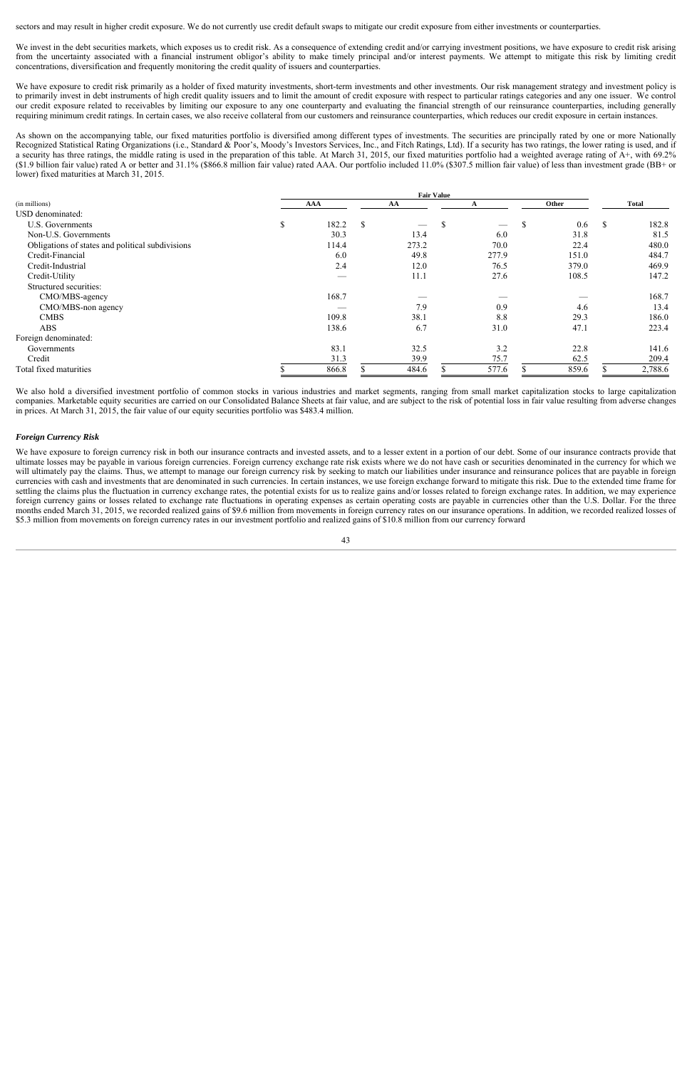sectors and may result in higher credit exposure. We do not currently use credit default swaps to mitigate our credit exposure from either investments or counterparties.

We invest in the debt securities markets, which exposes us to credit risk. As a consequence of extending credit and/or carrying investment positions, we have exposure to credit risk arising from the uncertainty associated with a financial instrument obligor's ability to make timely principal and/or interest payments. We attempt to mitigate this risk by limiting credit concentrations, diversification and frequently monitoring the credit quality of issuers and counterparties.

We have exposure to credit risk primarily as a holder of fixed maturity investments, short-term investments and other investments. Our risk management strategy and investment policy is to primarily invest in debt instruments of high credit quality issuers and to limit the amount of credit exposure with respect to particular ratings categories and any one issuer. We control our credit exposure related to receivables by limiting our exposure to any one counterparty and evaluating the financial strength of our reinsurance counterparties, including generally requiring minimum credit ratings. In certain cases, we also receive collateral from our customers and reinsurance counterparties, which reduces our credit exposure in certain instances.

As shown on the accompanying table, our fixed maturities portfolio is diversified among different types of investments. The securities are principally rated by one or more Nationally Recognized Statistical Rating Organizations (i.e., Standard & Poor's, Moody's Investors Services, Inc., and Fitch Ratings, Ltd). If a security has two ratings, the lower rating is used, and if a security has three ratings, the middle rating is used in the preparation of this table. At March 31, 2015, our fixed maturities portfolio had a weighted average rating of A+, with 69.2% (\$1.9 billion fair value) rated A or better and 31.1% (\$866.8 million fair value) rated AAA. Our portfolio included 11.0% (\$307.5 million fair value) of less than investment grade (BB+ or lower) fixed maturities at March 31, 2015.

|                                                  | <b>Fair Value</b> |    |       |    |       |       |       |              |         |
|--------------------------------------------------|-------------------|----|-------|----|-------|-------|-------|--------------|---------|
| (in millions)                                    | <b>AAA</b><br>AA  |    |       |    |       | Other |       | <b>Total</b> |         |
| USD denominated:                                 |                   |    |       |    |       |       |       |              |         |
| U.S. Governments                                 | \$<br>182.2       | \$ |       | -S |       | -S    | 0.6   | <sup>S</sup> | 182.8   |
| Non-U.S. Governments                             | 30.3              |    | 13.4  |    | 6.0   |       | 31.8  |              | 81.5    |
| Obligations of states and political subdivisions | 114.4             |    | 273.2 |    | 70.0  |       | 22.4  |              | 480.0   |
| Credit-Financial                                 | 6.0               |    | 49.8  |    | 277.9 |       | 151.0 |              | 484.7   |
| Credit-Industrial                                | 2.4               |    | 12.0  |    | 76.5  |       | 379.0 |              | 469.9   |
| Credit-Utility                                   | __                |    | 11.1  |    | 27.6  |       | 108.5 |              | 147.2   |
| Structured securities:                           |                   |    |       |    |       |       |       |              |         |
| CMO/MBS-agency                                   | 168.7             |    |       |    |       |       |       |              | 168.7   |
| CMO/MBS-non agency                               |                   |    | 7.9   |    | 0.9   |       | 4.6   |              | 13.4    |
| <b>CMBS</b>                                      | 109.8             |    | 38.1  |    | 8.8   |       | 29.3  |              | 186.0   |
| <b>ABS</b>                                       | 138.6             |    | 6.7   |    | 31.0  |       | 47.1  |              | 223.4   |
| Foreign denominated:                             |                   |    |       |    |       |       |       |              |         |
| Governments                                      | 83.1              |    | 32.5  |    | 3.2   |       | 22.8  |              | 141.6   |
| Credit                                           | 31.3              |    | 39.9  |    | 75.7  |       | 62.5  |              | 209.4   |
| Total fixed maturities                           | 866.8             |    | 484.6 |    | 577.6 |       | 859.6 |              | 2,788.6 |

We also hold a diversified investment portfolio of common stocks in various industries and market segments, ranging from small market capitalization stocks to large capitalization companies. Marketable equity securities are carried on our Consolidated Balance Sheets at fair value, and are subject to the risk of potential loss in fair value resulting from adverse changes in prices. At March 31, 2015, the fair value of our equity securities portfolio was \$483.4 million.

#### *Foreign Currency Risk*

We have exposure to foreign currency risk in both our insurance contracts and invested assets, and to a lesser extent in a portion of our debt. Some of our insurance contracts provide that ultimate losses may be payable in various foreign currencies. Foreign currency exchange rate risk exists where we do not have cash or securities denominated in the currency for which we will ultimately pay the claims. Thus, we attempt to manage our foreign currency risk by seeking to match our liabilities under insurance and reinsurance polices that are payable in foreign currencies with cash and investments that are denominated in such currencies. In certain instances, we use foreign exchange forward to mitigate this risk. Due to the extended time frame for settling the claims plus the fluctuation in currency exchange rates, the potential exists for us to realize gains and/or losses related to foreign exchange rates. In addition, we may experience foreign currency gains or losses related to exchange rate fluctuations in operating expenses as certain operating costs are payable in currencies other than the U.S. Dollar. For the three months ended March 31, 2015, we recorded realized gains of \$9.6 million from movements in foreign currency rates on our insurance operations. In addition, we recorded realized losses of \$5.3 million from movements on foreign currency rates in our investment portfolio and realized gains of \$10.8 million from our currency forward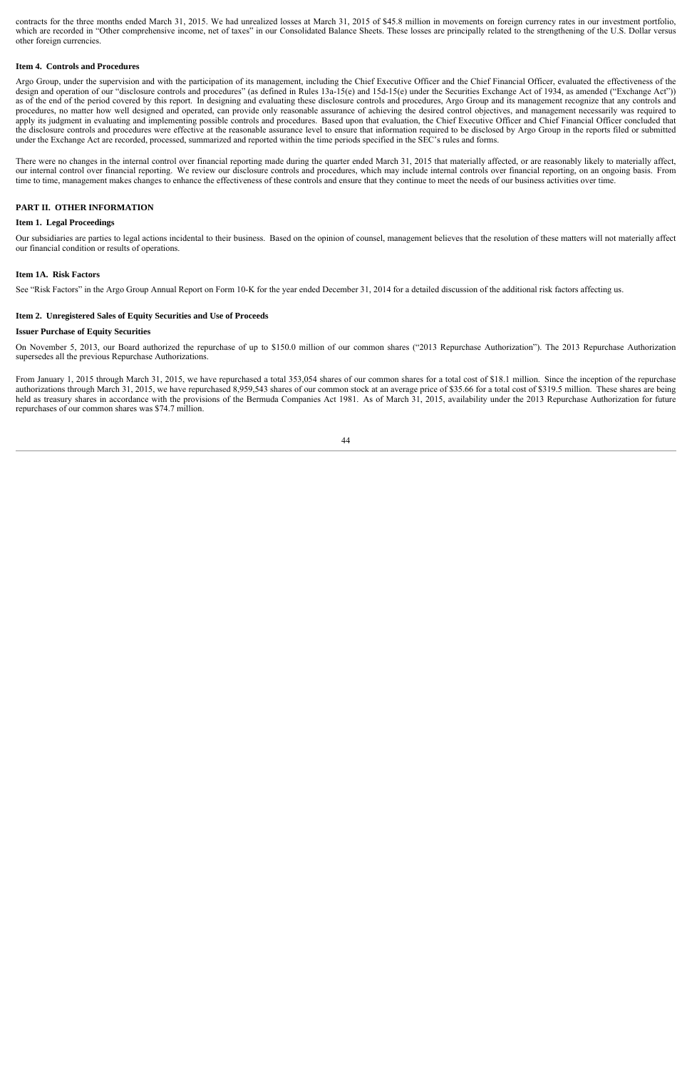contracts for the three months ended March 31, 2015. We had unrealized losses at March 31, 2015 of \$45.8 million in movements on foreign currency rates in our investment portfolio, which are recorded in "Other comprehensive income, net of taxes" in our Consolidated Balance Sheets. These losses are principally related to the strengthening of the U.S. Dollar versus other foreign currencies.

#### **Item 4. Controls and Procedures**

Argo Group, under the supervision and with the participation of its management, including the Chief Executive Officer and the Chief Financial Officer, evaluated the effectiveness of the design and operation of our "disclosure controls and procedures" (as defined in Rules 13a-15(e) and 15d-15(e) under the Securities Exchange Act of 1934, as amended ("Exchange Act")) as of the end of the period covered by this report. In designing and evaluating these disclosure controls and procedures, Argo Group and its management recognize that any controls and procedures, no matter how well designed and operated, can provide only reasonable assurance of achieving the desired control objectives, and management necessarily was required to apply its judgment in evaluating and implementing possible controls and procedures. Based upon that evaluation, the Chief Executive Officer and Chief Financial Officer concluded that the disclosure controls and procedures were effective at the reasonable assurance level to ensure that information required to be disclosed by Argo Group in the reports filed or submitted under the Exchange Act are recorded, processed, summarized and reported within the time periods specified in the SEC's rules and forms.

There were no changes in the internal control over financial reporting made during the quarter ended March 31, 2015 that materially affected, or are reasonably likely to materially affect, our internal control over financial reporting. We review our disclosure controls and procedures, which may include internal controls over financial reporting, on an ongoing basis. From time to time, management makes changes to enhance the effectiveness of these controls and ensure that they continue to meet the needs of our business activities over time.

#### **PART II. OTHER INFORMATION**

#### **Item 1. Legal Proceedings**

Our subsidiaries are parties to legal actions incidental to their business. Based on the opinion of counsel, management believes that the resolution of these matters will not materially affect our financial condition or results of operations.

#### **Item 1A. Risk Factors**

See "Risk Factors" in the Argo Group Annual Report on Form 10-K for the year ended December 31, 2014 for a detailed discussion of the additional risk factors affecting us.

#### **Item 2. Unregistered Sales of Equity Securities and Use of Proceeds**

#### **Issuer Purchase of Equity Securities**

On November 5, 2013, our Board authorized the repurchase of up to \$150.0 million of our common shares ("2013 Repurchase Authorization"). The 2013 Repurchase Authorization supersedes all the previous Repurchase Authorizations.

From January 1, 2015 through March 31, 2015, we have repurchased a total 353,054 shares of our common shares for a total cost of \$18.1 million. Since the inception of the repurchase authorizations through March 31, 2015, we have repurchased 8,959,543 shares of our common stock at an average price of \$35.66 for a total cost of \$319.5 million. These shares are being held as treasury shares in accordance with the provisions of the Bermuda Companies Act 1981. As of March 31, 2015, availability under the 2013 Repurchase Authorization for future repurchases of our common shares was \$74.7 million.

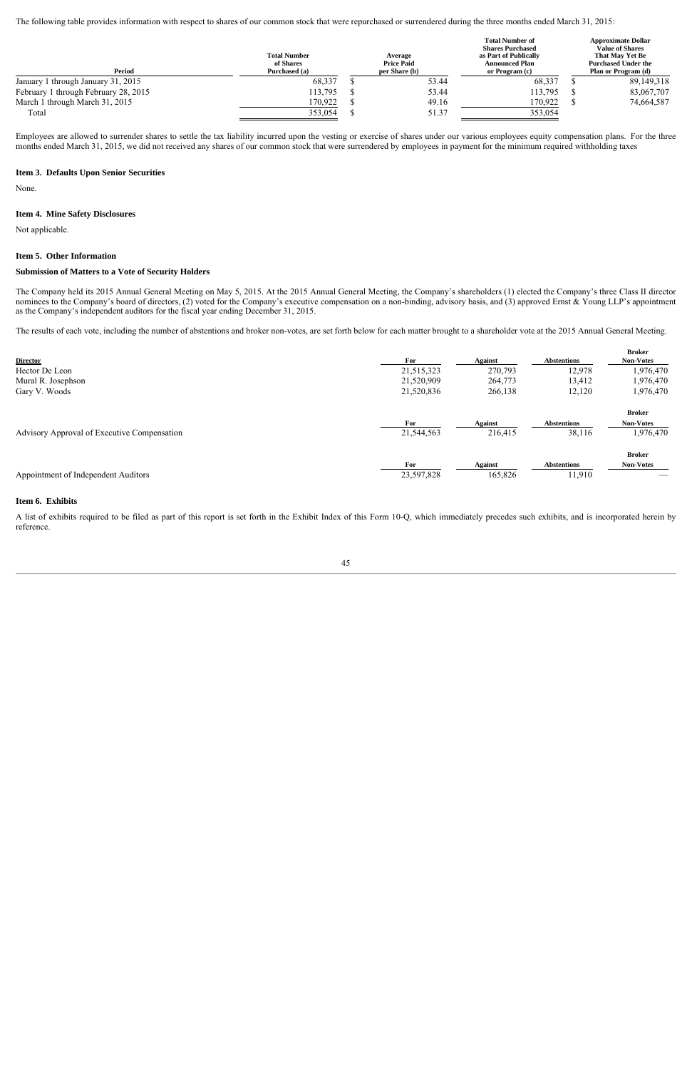The following table provides information with respect to shares of our common stock that were repurchased or surrendered during the three months ended March 31, 2015:

| Period                               | <b>Total Number</b><br>of Shares<br>Purchased (a) | Average<br><b>Price Paid</b><br>per Share (b) | <b>Total Number of</b><br><b>Shares Purchased</b><br>as Part of Publically<br><b>Announced Plan</b><br>or Program (c) | <b>Approximate Dollar</b><br><b>Value of Shares</b><br>That May Yet Be<br><b>Purchased Under the</b><br>Plan or Program (d) |  |  |  |
|--------------------------------------|---------------------------------------------------|-----------------------------------------------|-----------------------------------------------------------------------------------------------------------------------|-----------------------------------------------------------------------------------------------------------------------------|--|--|--|
| January 1 through January 31, 2015   | 68,337                                            | 53.44                                         | 68,337                                                                                                                | 89,149,318                                                                                                                  |  |  |  |
| February 1 through February 28, 2015 | 113,795                                           | 53.44                                         | 113,795                                                                                                               | 83,067,707                                                                                                                  |  |  |  |
| March 1 through March 31, 2015       | 170,922                                           | 49.16                                         | 170,922                                                                                                               | 74,664,587                                                                                                                  |  |  |  |
| Total                                | 353,054                                           | 51.37                                         | 353,054                                                                                                               |                                                                                                                             |  |  |  |

Employees are allowed to surrender shares to settle the tax liability incurred upon the vesting or exercise of shares under our various employees equity compensation plans. For the three months ended March 31, 2015, we did not received any shares of our common stock that were surrendered by employees in payment for the minimum required withholding taxes

#### **Item 3. Defaults Upon Senior Securities**

None.

#### **Item 4. Mine Safety Disclosures**

Not applicable.

## **Item 5. Other Information**

#### **Submission of Matters to a Vote of Security Holders**

The Company held its 2015 Annual General Meeting on May 5, 2015. At the 2015 Annual General Meeting, the Company's shareholders (1) elected the Company's three Class II director nominees to the Company's board of directors, (2) voted for the Company's executive compensation on a non-binding, advisory basis, and (3) approved Ernst & Young LLP's appointment as the Company's independent auditors for the fiscal year ending December 31, 2015.

The results of each vote, including the number of abstentions and broker non-votes, are set forth below for each matter brought to a shareholder vote at the 2015 Annual General Meeting.

| <b>Director</b>                             | For        | <b>Against</b> | <b>Abstentions</b> | <b>Broker</b><br><b>Non-Votes</b> |
|---------------------------------------------|------------|----------------|--------------------|-----------------------------------|
| Hector De Leon                              | 21,515,323 | 270,793        | 12,978             | 1,976,470                         |
| Mural R. Josephson                          | 21,520,909 | 264,773        | 13,412             | 1,976,470                         |
| Gary V. Woods                               | 21,520,836 | 266,138        | 12,120             | 1,976,470                         |
|                                             |            |                |                    | <b>Broker</b>                     |
|                                             | For        | <b>Against</b> | <b>Abstentions</b> | <b>Non-Votes</b>                  |
| Advisory Approval of Executive Compensation | 21,544,563 | 216,415        | 38,116             | 1,976,470                         |
|                                             |            |                |                    | <b>Broker</b>                     |
|                                             | For        | <b>Against</b> | <b>Abstentions</b> | <b>Non-Votes</b>                  |
| Appointment of Independent Auditors         | 23,597,828 | 165,826        | 11,910             |                                   |

#### **Item 6. Exhibits**

A list of exhibits required to be filed as part of this report is set forth in the Exhibit Index of this Form 10-Q, which immediately precedes such exhibits, and is incorporated herein by reference.

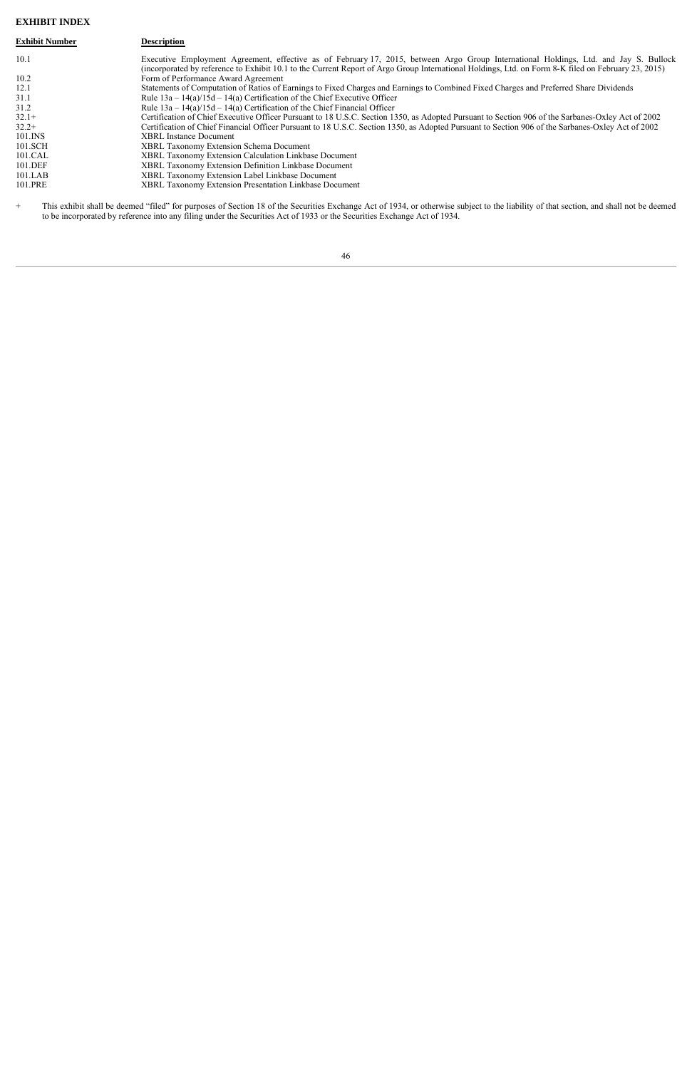## **EXHIBIT INDEX**

| <b>Exhibit Number</b> | <b>Description</b>                                                                                                                                                                                                                                                                           |
|-----------------------|----------------------------------------------------------------------------------------------------------------------------------------------------------------------------------------------------------------------------------------------------------------------------------------------|
| 10.1                  | Executive Employment Agreement, effective as of February 17, 2015, between Argo Group International Holdings, Ltd. and Jay S. Bullock<br>(incorporated by reference to Exhibit 10.1 to the Current Report of Argo Group International Holdings, Ltd. on Form 8-K filed on February 23, 2015) |
| 10.2                  | Form of Performance Award Agreement                                                                                                                                                                                                                                                          |
| 12.1                  | Statements of Computation of Ratios of Earnings to Fixed Charges and Earnings to Combined Fixed Charges and Preferred Share Dividends                                                                                                                                                        |
| 31.1                  | Rule $13a - 14(a)/15d - 14(a)$ Certification of the Chief Executive Officer                                                                                                                                                                                                                  |
| 31.2                  | Rule $13a - 14(a)/15d - 14(a)$ Certification of the Chief Financial Officer                                                                                                                                                                                                                  |
| $32.1+$               | Certification of Chief Executive Officer Pursuant to 18 U.S.C. Section 1350, as Adopted Pursuant to Section 906 of the Sarbanes-Oxley Act of 2002                                                                                                                                            |
| $32.2+$               | Certification of Chief Financial Officer Pursuant to 18 U.S.C. Section 1350, as Adopted Pursuant to Section 906 of the Sarbanes-Oxley Act of 2002                                                                                                                                            |
| $101$ . INS           | <b>XBRL</b> Instance Document                                                                                                                                                                                                                                                                |
| 101.SCH               | <b>XBRL Taxonomy Extension Schema Document</b>                                                                                                                                                                                                                                               |
| 101.CAL               | XBRL Taxonomy Extension Calculation Linkbase Document                                                                                                                                                                                                                                        |
| 101.DEF               | <b>XBRL Taxonomy Extension Definition Linkbase Document</b>                                                                                                                                                                                                                                  |
| 101.LAB               | XBRL Taxonomy Extension Label Linkbase Document                                                                                                                                                                                                                                              |
| 101.PRE               | <b>XBRL Taxonomy Extension Presentation Linkbase Document</b>                                                                                                                                                                                                                                |

 $\ddot{}$ + This exhibit shall be deemed "filed" for purposes of Section 18 of the Securities Exchange Act of 1934, or otherwise subject to the liability of that section, and shall not be deemed to be incorporated by reference into any filing under the Securities Act of 1933 or the Securities Exchange Act of 1934.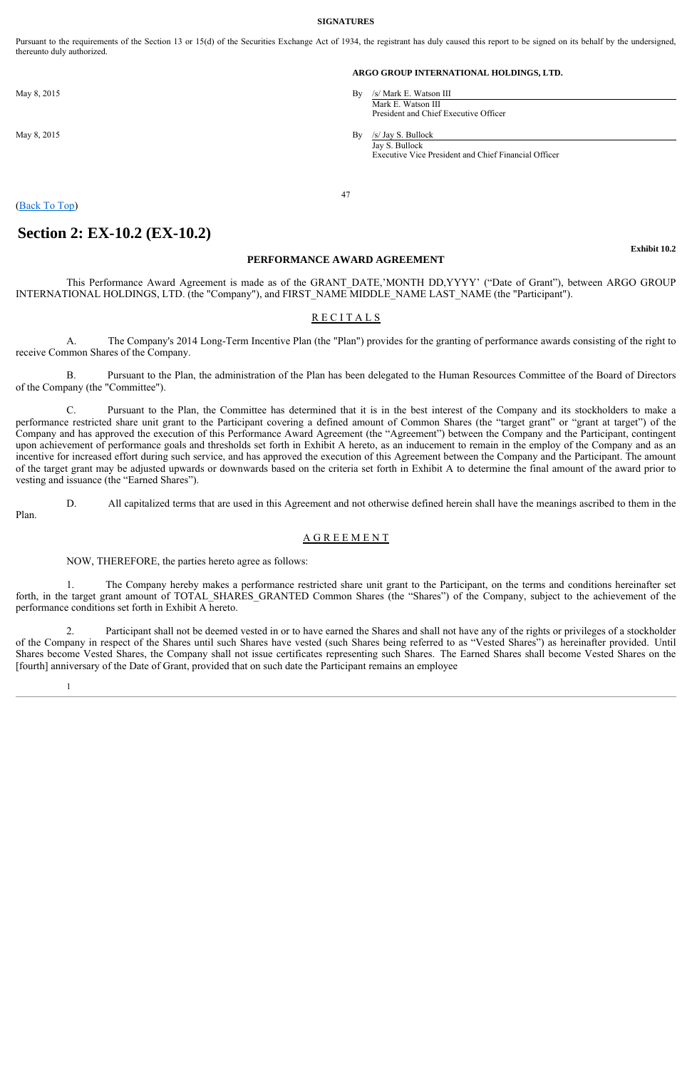#### **SIGNATURES**

Pursuant to the requirements of the Section 13 or 15(d) of the Securities Exchange Act of 1934, the registrant has duly caused this report to be signed on its behalf by the undersigned, thereunto duly authorized.

#### **ARGO GROUP INTERNATIONAL HOLDINGS, LTD.**

May 8, 2015 By /s/ Mark E. Watson III Mark E. Watson III President and Chief Executive Officer

May 8, 2015 By /s/ Jay S. Bullock Jay S. Bullock Executive Vice President and Chief Financial Officer

## (Back To Top)

## **Section 2: EX-10.2 (EX-10.2)**

### **PERFORMANCE AWARD AGREEMENT**

47

This Performance Award Agreement is made as of the GRANT\_DATE,'MONTH DD,YYYY' ("Date of Grant"), between ARGO GROUP INTERNATIONAL HOLDINGS, LTD. (the "Company"), and FIRST\_NAME MIDDLE\_NAME LAST\_NAME (the "Participant").

## R E C I T A L S

A. The Company's 2014 Long-Term Incentive Plan (the "Plan") provides for the granting of performance awards consisting of the right to receive Common Shares of the Company.

B. Pursuant to the Plan, the administration of the Plan has been delegated to the Human Resources Committee of the Board of Directors of the Company (the "Committee").

C. Pursuant to the Plan, the Committee has determined that it is in the best interest of the Company and its stockholders to make a performance restricted share unit grant to the Participant covering a defined amount of Common Shares (the "target grant" or "grant at target") of the Company and has approved the execution of this Performance Award Agreement (the "Agreement") between the Company and the Participant, contingent upon achievement of performance goals and thresholds set forth in Exhibit A hereto, as an inducement to remain in the employ of the Company and as an incentive for increased effort during such service, and has approved the execution of this Agreement between the Company and the Participant. The amount of the target grant may be adjusted upwards or downwards based on the criteria set forth in Exhibit A to determine the final amount of the award prior to vesting and issuance (the "Earned Shares").

D. All capitalized terms that are used in this Agreement and not otherwise defined herein shall have the meanings ascribed to them in the Plan.

## A G R E E M E N T

NOW, THEREFORE, the parties hereto agree as follows:

1. The Company hereby makes a performance restricted share unit grant to the Participant, on the terms and conditions hereinafter set forth, in the target grant amount of TOTAL SHARES GRANTED Common Shares (the "Shares") of the Company, subject to the achievement of the performance conditions set forth in Exhibit A hereto.

2. Participant shall not be deemed vested in or to have earned the Shares and shall not have any of the rights or privileges of a stockholder of the Company in respect of the Shares until such Shares have vested (such Shares being referred to as "Vested Shares") as hereinafter provided. Until Shares become Vested Shares, the Company shall not issue certificates representing such Shares. The Earned Shares shall become Vested Shares on the [fourth] anniversary of the Date of Grant, provided that on such date the Participant remains an employee

1

**Exhibit 10.2**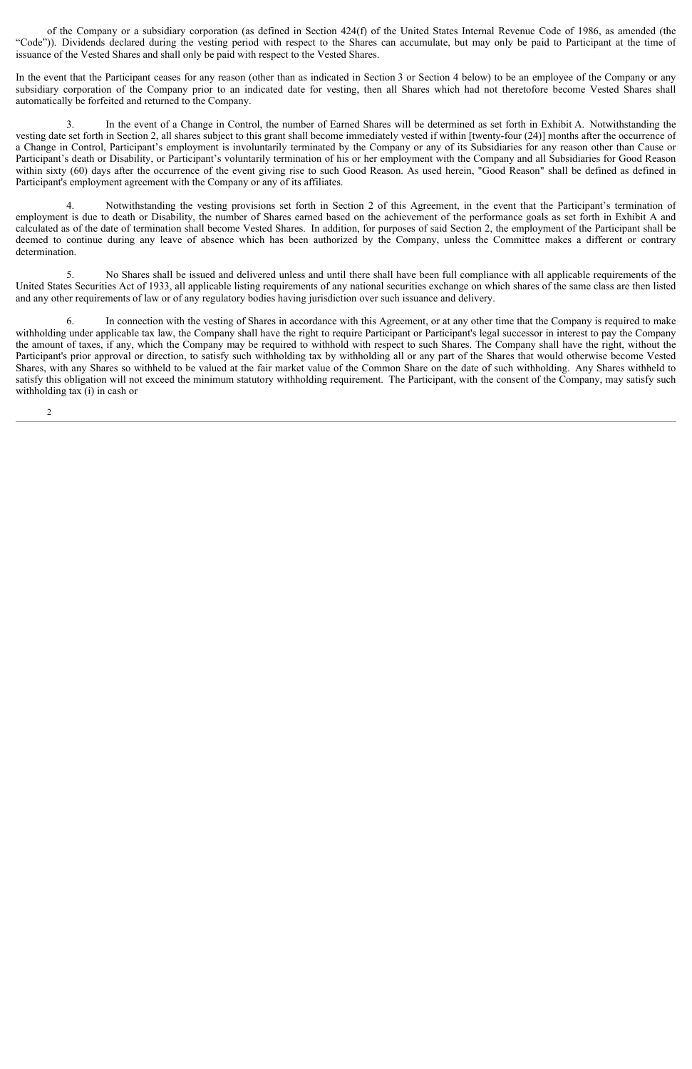of the Company or a subsidiary corporation (as defined in Section 424(f) of the United States Internal Revenue Code of 1986, as amended (the "Code")). Dividends declared during the vesting period with respect to the Shares can accumulate, but may only be paid to Participant at the time of issuance of the Vested Shares and shall only be paid with respect to the Vested Shares.

In the event that the Participant ceases for any reason (other than as indicated in Section 3 or Section 4 below) to be an employee of the Company or any subsidiary corporation of the Company prior to an indicated date for vesting, then all Shares which had not theretofore become Vested Shares shall automatically be forfeited and returned to the Company.

3. In the event of a Change in Control, the number of Earned Shares will be determined as set forth in Exhibit A. Notwithstanding the vesting date set forth in Section 2, all shares subject to this grant shall become immediately vested if within [twenty-four (24)] months after the occurrence of a Change in Control, Participant's employment is involuntarily terminated by the Company or any of its Subsidiaries for any reason other than Cause or Participant's death or Disability, or Participant's voluntarily termination of his or her employment with the Company and all Subsidiaries for Good Reason within sixty (60) days after the occurrence of the event giving rise to such Good Reason. As used herein, "Good Reason" shall be defined as defined in Participant's employment agreement with the Company or any of its affiliates.

4. Notwithstanding the vesting provisions set forth in Section 2 of this Agreement, in the event that the Participant's termination of employment is due to death or Disability, the number of Shares earned based on the achievement of the performance goals as set forth in Exhibit A and calculated as of the date of termination shall become Vested Shares. In addition, for purposes of said Section 2, the employment of the Participant shall be deemed to continue during any leave of absence which has been authorized by the Company, unless the Committee makes a different or contrary determination.

5. No Shares shall be issued and delivered unless and until there shall have been full compliance with all applicable requirements of the United States Securities Act of 1933, all applicable listing requirements of any national securities exchange on which shares of the same class are then listed and any other requirements of law or of any regulatory bodies having jurisdiction over such issuance and delivery.

6. In connection with the vesting of Shares in accordance with this Agreement, or at any other time that the Company is required to make withholding under applicable tax law, the Company shall have the right to require Participant or Participant's legal successor in interest to pay the Company the amount of taxes, if any, which the Company may be required to withhold with respect to such Shares. The Company shall have the right, without the Participant's prior approval or direction, to satisfy such withholding tax by withholding all or any part of the Shares that would otherwise become Vested Shares, with any Shares so withheld to be valued at the fair market value of the Common Share on the date of such withholding. Any Shares withheld to satisfy this obligation will not exceed the minimum statutory withholding requirement. The Participant, with the consent of the Company, may satisfy such withholding tax (i) in cash or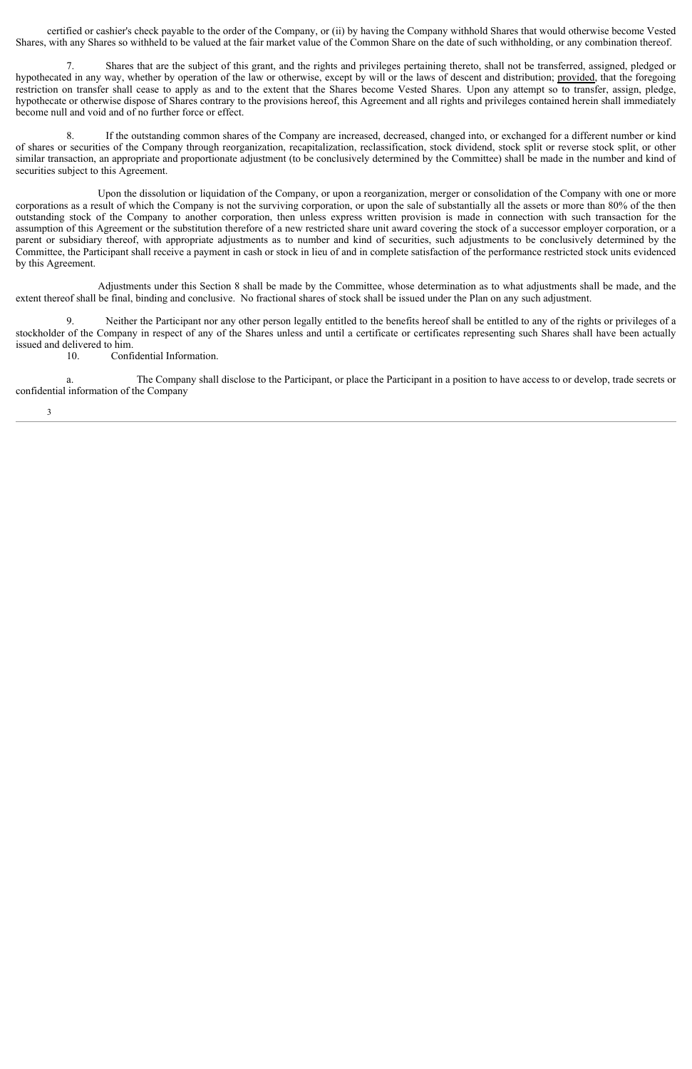certified or cashier's check payable to the order of the Company, or (ii) by having the Company withhold Shares that would otherwise become Vested Shares, with any Shares so withheld to be valued at the fair market value of the Common Share on the date of such withholding, or any combination thereof.

7. Shares that are the subject of this grant, and the rights and privileges pertaining thereto, shall not be transferred, assigned, pledged or hypothecated in any way, whether by operation of the law or otherwise, except by will or the laws of descent and distribution; provided, that the foregoing restriction on transfer shall cease to apply as and to the extent that the Shares become Vested Shares. Upon any attempt so to transfer, assign, pledge, hypothecate or otherwise dispose of Shares contrary to the provisions hereof, this Agreement and all rights and privileges contained herein shall immediately become null and void and of no further force or effect.

8. If the outstanding common shares of the Company are increased, decreased, changed into, or exchanged for a different number or kind of shares or securities of the Company through reorganization, recapitalization, reclassification, stock dividend, stock split or reverse stock split, or other similar transaction, an appropriate and proportionate adjustment (to be conclusively determined by the Committee) shall be made in the number and kind of securities subject to this Agreement.

Upon the dissolution or liquidation of the Company, or upon a reorganization, merger or consolidation of the Company with one or more corporations as a result of which the Company is not the surviving corporation, or upon the sale of substantially all the assets or more than 80% of the then outstanding stock of the Company to another corporation, then unless express written provision is made in connection with such transaction for the assumption of this Agreement or the substitution therefore of a new restricted share unit award covering the stock of a successor employer corporation, or a parent or subsidiary thereof, with appropriate adjustments as to number and kind of securities, such adjustments to be conclusively determined by the Committee, the Participant shall receive a payment in cash or stock in lieu of and in complete satisfaction of the performance restricted stock units evidenced by this Agreement.

Adjustments under this Section 8 shall be made by the Committee, whose determination as to what adjustments shall be made, and the extent thereof shall be final, binding and conclusive. No fractional shares of stock shall be issued under the Plan on any such adjustment.

9. Neither the Participant nor any other person legally entitled to the benefits hereof shall be entitled to any of the rights or privileges of a stockholder of the Company in respect of any of the Shares unless and until a certificate or certificates representing such Shares shall have been actually issued and delivered to him.

10. Confidential Information.

a. The Company shall disclose to the Participant, or place the Participant in a position to have access to or develop, trade secrets or confidential information of the Company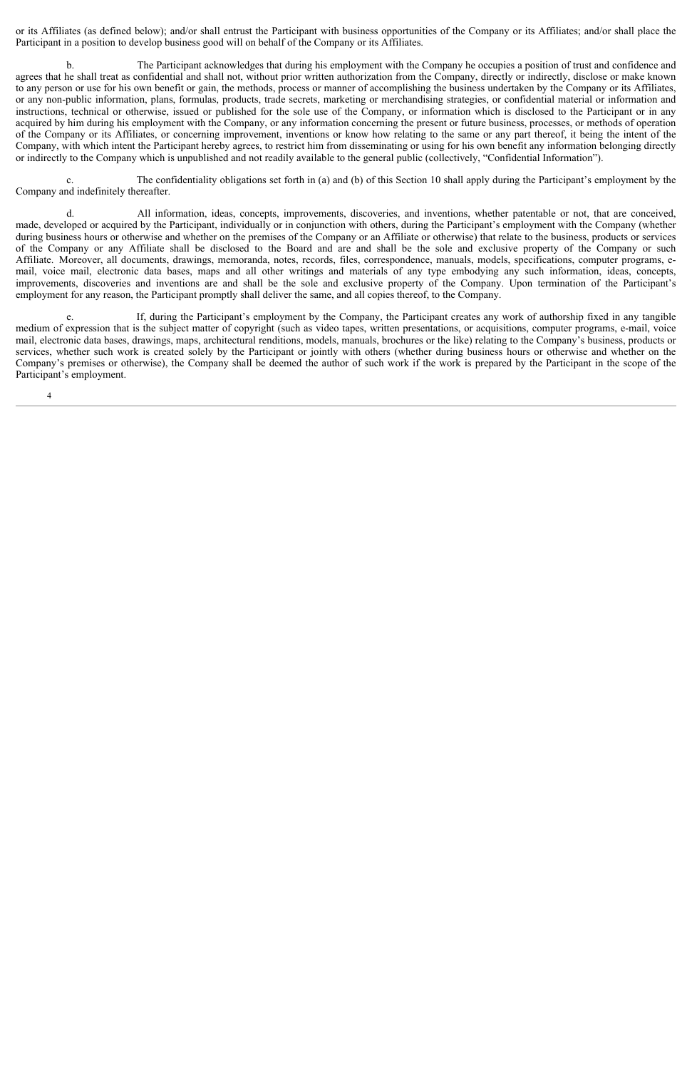or its Affiliates (as defined below); and/or shall entrust the Participant with business opportunities of the Company or its Affiliates; and/or shall place the Participant in a position to develop business good will on behalf of the Company or its Affiliates.

b. The Participant acknowledges that during his employment with the Company he occupies a position of trust and confidence and agrees that he shall treat as confidential and shall not, without prior written authorization from the Company, directly or indirectly, disclose or make known to any person or use for his own benefit or gain, the methods, process or manner of accomplishing the business undertaken by the Company or its Affiliates, or any non-public information, plans, formulas, products, trade secrets, marketing or merchandising strategies, or confidential material or information and instructions, technical or otherwise, issued or published for the sole use of the Company, or information which is disclosed to the Participant or in any acquired by him during his employment with the Company, or any information concerning the present or future business, processes, or methods of operation of the Company or its Affiliates, or concerning improvement, inventions or know how relating to the same or any part thereof, it being the intent of the Company, with which intent the Participant hereby agrees, to restrict him from disseminating or using for his own benefit any information belonging directly or indirectly to the Company which is unpublished and not readily available to the general public (collectively, "Confidential Information").

c. The confidentiality obligations set forth in (a) and (b) of this Section 10 shall apply during the Participant's employment by the Company and indefinitely thereafter.

d. All information, ideas, concepts, improvements, discoveries, and inventions, whether patentable or not, that are conceived, made, developed or acquired by the Participant, individually or in conjunction with others, during the Participant's employment with the Company (whether during business hours or otherwise and whether on the premises of the Company or an Affiliate or otherwise) that relate to the business, products or services of the Company or any Affiliate shall be disclosed to the Board and are and shall be the sole and exclusive property of the Company or such Affiliate. Moreover, all documents, drawings, memoranda, notes, records, files, correspondence, manuals, models, specifications, computer programs, email, voice mail, electronic data bases, maps and all other writings and materials of any type embodying any such information, ideas, concepts, improvements, discoveries and inventions are and shall be the sole and exclusive property of the Company. Upon termination of the Participant's employment for any reason, the Participant promptly shall deliver the same, and all copies thereof, to the Company.

e. If, during the Participant's employment by the Company, the Participant creates any work of authorship fixed in any tangible medium of expression that is the subject matter of copyright (such as video tapes, written presentations, or acquisitions, computer programs, e-mail, voice mail, electronic data bases, drawings, maps, architectural renditions, models, manuals, brochures or the like) relating to the Company's business, products or services, whether such work is created solely by the Participant or jointly with others (whether during business hours or otherwise and whether on the Company's premises or otherwise), the Company shall be deemed the author of such work if the work is prepared by the Participant in the scope of the Participant's employment.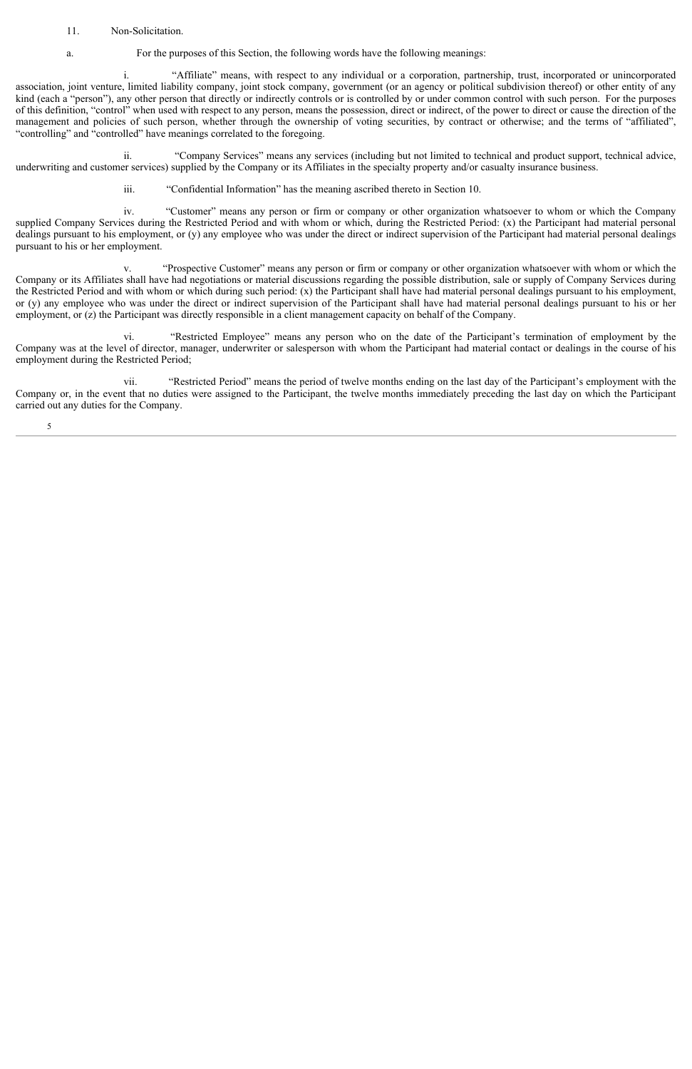## 11. Non-Solicitation.

a. For the purposes of this Section, the following words have the following meanings:

i. "Affiliate" means, with respect to any individual or a corporation, partnership, trust, incorporated or unincorporated association, joint venture, limited liability company, joint stock company, government (or an agency or political subdivision thereof) or other entity of any kind (each a "person"), any other person that directly or indirectly controls or is controlled by or under common control with such person. For the purposes of this definition, "control" when used with respect to any person, means the possession, direct or indirect, of the power to direct or cause the direction of the management and policies of such person, whether through the ownership of voting securities, by contract or otherwise; and the terms of "affiliated", "controlling" and "controlled" have meanings correlated to the foregoing.

ii. "Company Services" means any services (including but not limited to technical and product support, technical advice, underwriting and customer services) supplied by the Company or its Affiliates in the specialty property and/or casualty insurance business.

iii. "Confidential Information" has the meaning ascribed thereto in Section 10.

iv. "Customer" means any person or firm or company or other organization whatsoever to whom or which the Company supplied Company Services during the Restricted Period and with whom or which, during the Restricted Period: (x) the Participant had material personal dealings pursuant to his employment, or (y) any employee who was under the direct or indirect supervision of the Participant had material personal dealings pursuant to his or her employment.

v. "Prospective Customer" means any person or firm or company or other organization whatsoever with whom or which the Company or its Affiliates shall have had negotiations or material discussions regarding the possible distribution, sale or supply of Company Services during the Restricted Period and with whom or which during such period: (x) the Participant shall have had material personal dealings pursuant to his employment, or (y) any employee who was under the direct or indirect supervision of the Participant shall have had material personal dealings pursuant to his or her employment, or (z) the Participant was directly responsible in a client management capacity on behalf of the Company.

vi. "Restricted Employee" means any person who on the date of the Participant's termination of employment by the Company was at the level of director, manager, underwriter or salesperson with whom the Participant had material contact or dealings in the course of his employment during the Restricted Period;

vii. "Restricted Period" means the period of twelve months ending on the last day of the Participant's employment with the Company or, in the event that no duties were assigned to the Participant, the twelve months immediately preceding the last day on which the Participant carried out any duties for the Company.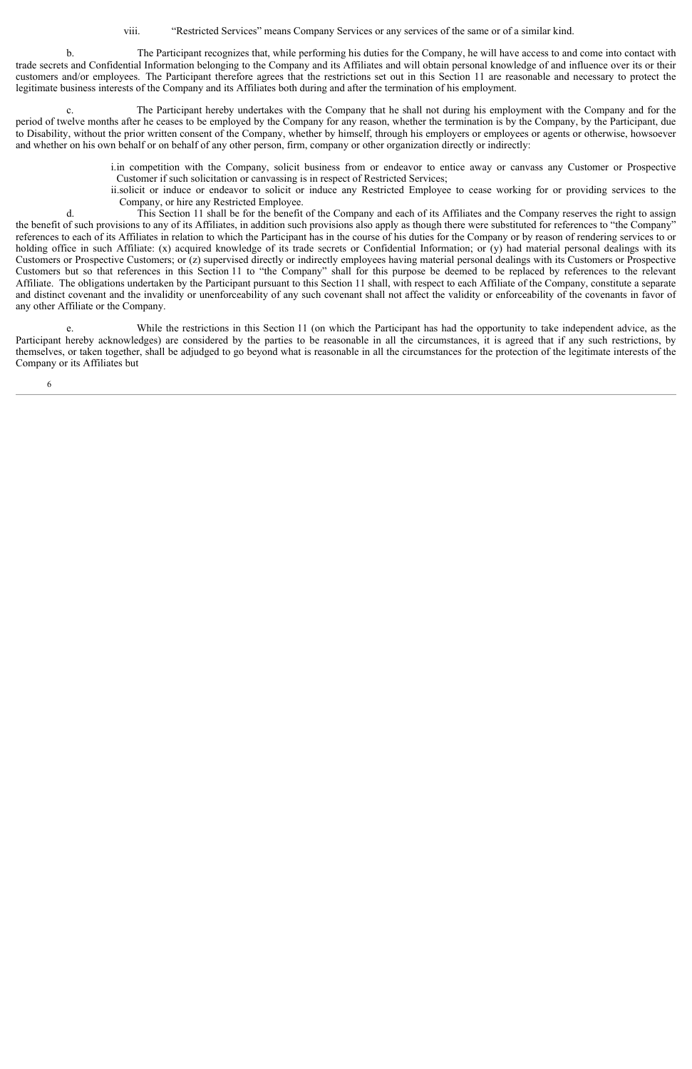viii. "Restricted Services" means Company Services or any services of the same or of a similar kind.

b. The Participant recognizes that, while performing his duties for the Company, he will have access to and come into contact with trade secrets and Confidential Information belonging to the Company and its Affiliates and will obtain personal knowledge of and influence over its or their customers and/or employees. The Participant therefore agrees that the restrictions set out in this Section 11 are reasonable and necessary to protect the legitimate business interests of the Company and its Affiliates both during and after the termination of his employment.

c. The Participant hereby undertakes with the Company that he shall not during his employment with the Company and for the period of twelve months after he ceases to be employed by the Company for any reason, whether the termination is by the Company, by the Participant, due to Disability, without the prior written consent of the Company, whether by himself, through his employers or employees or agents or otherwise, howsoever and whether on his own behalf or on behalf of any other person, firm, company or other organization directly or indirectly:

> i. in competition with the Company, solicit business from or endeavor to entice away or canvass any Customer or Prospective Customer if such solicitation or canvassing is in respect of Restricted Services;

> ii.solicit or induce or endeavor to solicit or induce any Restricted Employee to cease working for or providing services to the Company, or hire any Restricted Employee.

d. This Section 11 shall be for the benefit of the Company and each of its Affiliates and the Company reserves the right to assign the benefit of such provisions to any of its Affiliates, in addition such provisions also apply as though there were substituted for references to "the Company" references to each of its Affiliates in relation to which the Participant has in the course of his duties for the Company or by reason of rendering services to or holding office in such Affiliate: (x) acquired knowledge of its trade secrets or Confidential Information; or (y) had material personal dealings with its Customers or Prospective Customers; or (z) supervised directly or indirectly employees having material personal dealings with its Customers or Prospective Customers but so that references in this Section 11 to "the Company" shall for this purpose be deemed to be replaced by references to the relevant Affiliate. The obligations undertaken by the Participant pursuant to this Section 11 shall, with respect to each Affiliate of the Company, constitute a separate and distinct covenant and the invalidity or unenforceability of any such covenant shall not affect the validity or enforceability of the covenants in favor of any other Affiliate or the Company.

e. While the restrictions in this Section 11 (on which the Participant has had the opportunity to take independent advice, as the Participant hereby acknowledges) are considered by the parties to be reasonable in all the circumstances, it is agreed that if any such restrictions, by themselves, or taken together, shall be adjudged to go beyond what is reasonable in all the circumstances for the protection of the legitimate interests of the Company or its Affiliates but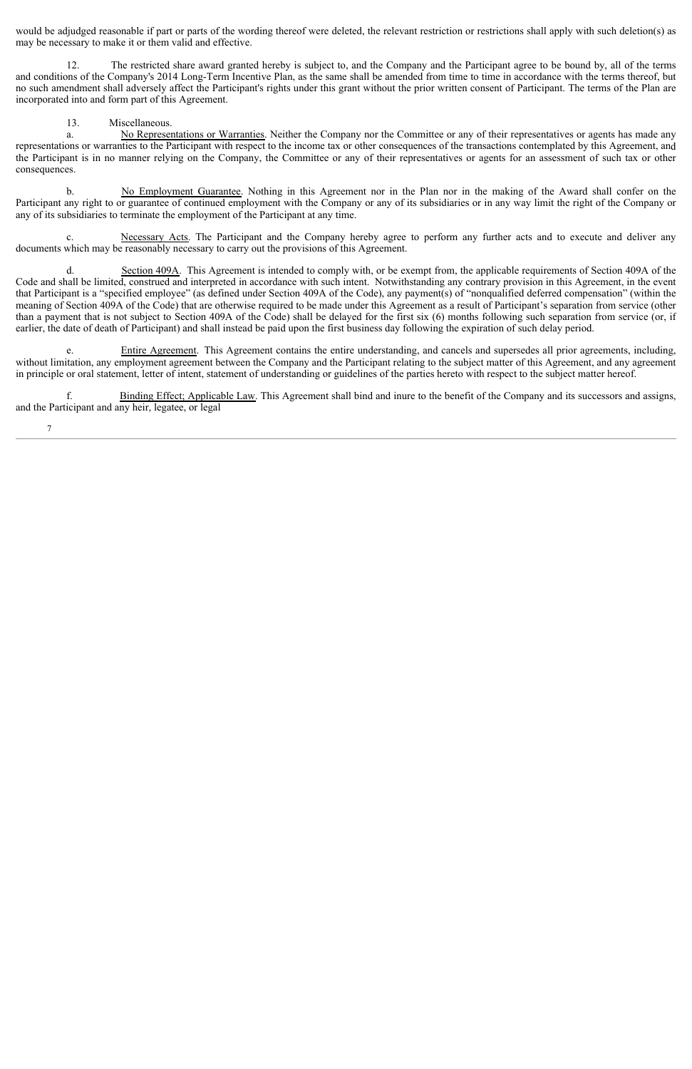would be adjudged reasonable if part or parts of the wording thereof were deleted, the relevant restriction or restrictions shall apply with such deletion(s) as may be necessary to make it or them valid and effective.

12. The restricted share award granted hereby is subject to, and the Company and the Participant agree to be bound by, all of the terms and conditions of the Company's 2014 Long-Term Incentive Plan, as the same shall be amended from time to time in accordance with the terms thereof, but no such amendment shall adversely affect the Participant's rights under this grant without the prior written consent of Participant. The terms of the Plan are incorporated into and form part of this Agreement.

## 13. Miscellaneous.

7

a. No Representations or Warranties. Neither the Company nor the Committee or any of their representatives or agents has made any representations or warranties to the Participant with respect to the income tax or other consequences of the transactions contemplated by this Agreement, and the Participant is in no manner relying on the Company, the Committee or any of their representatives or agents for an assessment of such tax or other consequences.

b. No Employment Guarantee. Nothing in this Agreement nor in the Plan nor in the making of the Award shall confer on the Participant any right to or guarantee of continued employment with the Company or any of its subsidiaries or in any way limit the right of the Company or any of its subsidiaries to terminate the employment of the Participant at any time.

c. Necessary Acts. The Participant and the Company hereby agree to perform any further acts and to execute and deliver any documents which may be reasonably necessary to carry out the provisions of this Agreement.

d. Section 409A. This Agreement is intended to comply with, or be exempt from, the applicable requirements of Section 409A of the Code and shall be limited, construed and interpreted in accordance with such intent. Notwithstanding any contrary provision in this Agreement, in the event that Participant is a "specified employee" (as defined under Section 409A of the Code), any payment(s) of "nonqualified deferred compensation" (within the meaning of Section 409A of the Code) that are otherwise required to be made under this Agreement as a result of Participant's separation from service (other than a payment that is not subject to Section 409A of the Code) shall be delayed for the first six (6) months following such separation from service (or, if earlier, the date of death of Participant) and shall instead be paid upon the first business day following the expiration of such delay period.

e. Entire Agreement. This Agreement contains the entire understanding, and cancels and supersedes all prior agreements, including, without limitation, any employment agreement between the Company and the Participant relating to the subject matter of this Agreement, and any agreement in principle or oral statement, letter of intent, statement of understanding or guidelines of the parties hereto with respect to the subject matter hereof.

f. Binding Effect; Applicable Law. This Agreement shall bind and inure to the benefit of the Company and its successors and assigns, and the Participant and any heir, legatee, or legal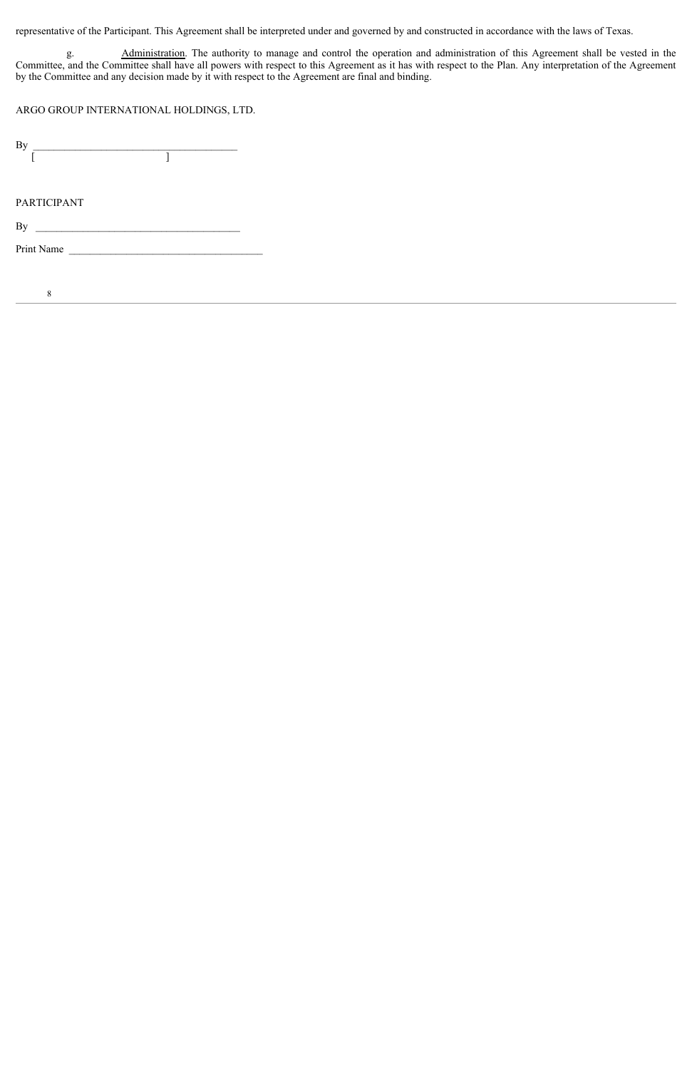representative of the Participant. This Agreement shall be interpreted under and governed by and constructed in accordance with the laws of Texas.

g. Administration. The authority to manage and control the operation and administration of this Agreement shall be vested in the Committee, and the Committee shall have all powers with respect to this Agreement as it has with respect to the Plan. Any interpretation of the Agreement by the Committee and any decision made by it with respect to the Agreement are final and binding.

ARGO GROUP INTERNATIONAL HOLDINGS, LTD.

| By<br><u> 1980 - Johann Barbara, martin a</u> |  |  |
|-----------------------------------------------|--|--|
|                                               |  |  |
|                                               |  |  |
|                                               |  |  |
| <b>PARTICIPANT</b>                            |  |  |
| By                                            |  |  |
| Print Name                                    |  |  |
|                                               |  |  |
|                                               |  |  |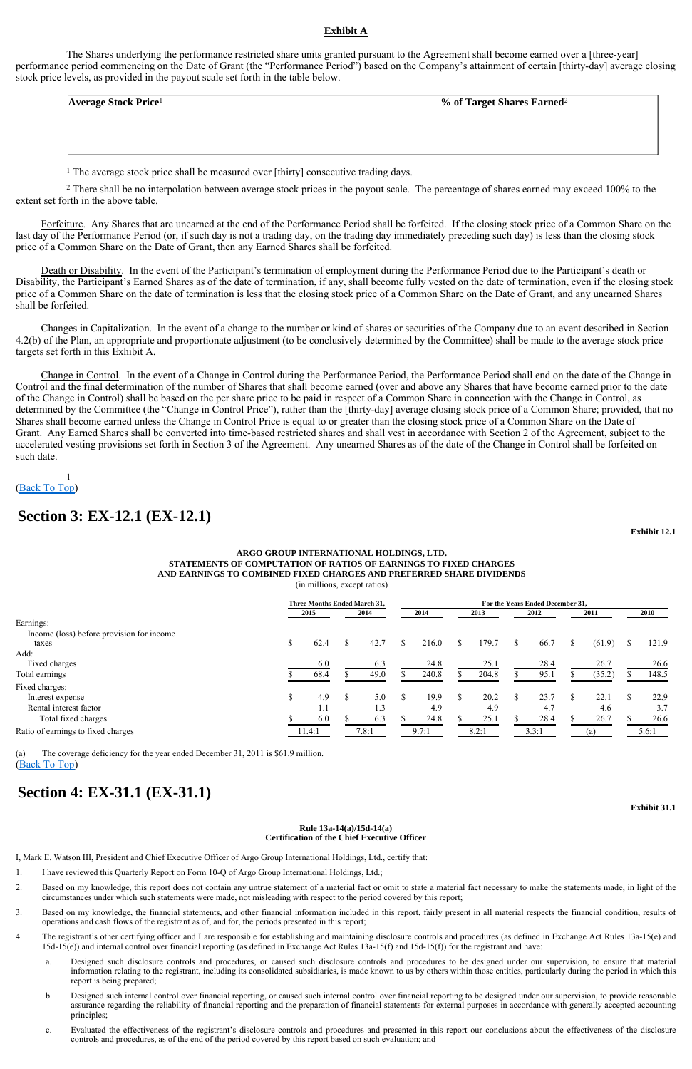## **Exhibit A**

The Shares underlying the performance restricted share units granted pursuant to the Agreement shall become earned over a [three-year] performance period commencing on the Date of Grant (the "Performance Period") based on the Company's attainment of certain [thirty-day] average closing stock price levels, as provided in the payout scale set forth in the table below.

 $\overline{\phantom{a}}$  $\overline{\phantom{a}}$  $\overline{\phantom{a}}$  $\overline{\phantom{a}}$ 

<sup>2</sup> There shall be no interpolation between average stock prices in the payout scale. The percentage of shares earned may exceed 100% to the extent set forth in the above table.

1 The average stock price shall be measured over [thirty] consecutive trading days.

Forfeiture. Any Shares that are unearned at the end of the Performance Period shall be forfeited. If the closing stock price of a Common Share on the last day of the Performance Period (or, if such day is not a trading day, on the trading day immediately preceding such day) is less than the closing stock price of a Common Share on the Date of Grant, then any Earned Shares shall be forfeited.

Death or Disability. In the event of the Participant's termination of employment during the Performance Period due to the Participant's death or Disability, the Participant's Earned Shares as of the date of termination, if any, shall become fully vested on the date of termination, even if the closing stock price of a Common Share on the date of termination is less that the closing stock price of a Common Share on the Date of Grant, and any unearned Shares shall be forfeited.

Changes in Capitalization. In the event of a change to the number or kind of shares or securities of the Company due to an event described in Section 4.2(b) of the Plan, an appropriate and proportionate adjustment (to be conclusively determined by the Committee) shall be made to the average stock price targets set forth in this Exhibit A.

Change in Control. In the event of a Change in Control during the Performance Period, the Performance Period shall end on the date of the Change in Control and the final determination of the number of Shares that shall become earned (over and above any Shares that have become earned prior to the date of the Change in Control) shall be based on the per share price to be paid in respect of a Common Share in connection with the Change in Control, as determined by the Committee (the "Change in Control Price"), rather than the [thirty-day] average closing stock price of a Common Share; provided, that no Shares shall become earned unless the Change in Control Price is equal to or greater than the closing stock price of a Common Share on the Date of Grant. Any Earned Shares shall be converted into time-based restricted shares and shall vest in accordance with Section 2 of the Agreement, subject to the accelerated vesting provisions set forth in Section 3 of the Agreement. Any unearned Shares as of the date of the Change in Control shall be forfeited on such date.

#### 1 (Back To Top)

**Exhibit 12.1**

#### **Rule 13a-14(a)/15d-14(a) Certification of the Chief Executive Officer**

I, Mark E. Watson III, President and Chief Executive Officer of Argo Group International Holdings, Ltd., certify that:

**Average Stock Price**1 **% of Target Shares Earned**<sup>2</sup>

## **Section 3: EX-12.1 (EX-12.1)**

#### **ARGO GROUP INTERNATIONAL HOLDINGS, LTD. STATEMENTS OF COMPUTATION OF RATIOS OF EARNINGS TO FIXED CHARGES AND EARNINGS TO COMBINED FIXED CHARGES AND PREFERRED SHARE DIVIDENDS**  (in millions, except ratios)

(Back To Top) (a) The coverage deficiency for the year ended December 31, 2011 is \$61.9 million.

|                                           | <b>Three Months Ended March 31.</b> | For the Years Ended December 31. |       |     |       |  |       |  |       |  |        |  |             |
|-------------------------------------------|-------------------------------------|----------------------------------|-------|-----|-------|--|-------|--|-------|--|--------|--|-------------|
|                                           |                                     | 2015                             | 2014  |     | 2014  |  | 2013  |  | 2012  |  | 2011   |  | <b>2010</b> |
| Earnings:                                 |                                     |                                  |       |     |       |  |       |  |       |  |        |  |             |
| Income (loss) before provision for income |                                     |                                  |       |     |       |  |       |  |       |  |        |  |             |
| taxes                                     | S                                   | 62.4                             | 42.7  | \$. | 216.0 |  | 179.7 |  | 66.7  |  | (61.9) |  | 121.9       |
| Add:                                      |                                     |                                  |       |     |       |  |       |  |       |  |        |  |             |
| Fixed charges                             |                                     | 6.0                              | 6.3   |     | 24.8  |  | 25.1  |  | 28.4  |  | 26.7   |  | 26.6        |
| Total earnings                            |                                     | 68.4                             | 49.0  |     | 240.8 |  | 204.8 |  | 95.1  |  | (35.2) |  | 148.5       |
| Fixed charges:                            |                                     |                                  |       |     |       |  |       |  |       |  |        |  |             |
| Interest expense                          |                                     | 4.9                              | 5.0   |     | 19.9  |  | 20.2  |  | 23.7  |  | 22.1   |  | 22.9        |
| Rental interest factor                    |                                     |                                  |       |     | 4.9   |  | 4.9   |  | 4.7   |  | 4.6    |  | 3.7         |
| Total fixed charges                       |                                     | 6.0                              | 6.3   |     | 24.8  |  | 25.1  |  | 28.4  |  | 26.7   |  | 26.6        |
| Ratio of earnings to fixed charges        |                                     | 11.4:1                           | 7.8:1 |     | 9.7:1 |  | 8.2:1 |  | 3.3:1 |  | (a)    |  | 5.6:1       |

## **Section 4: EX-31.1 (EX-31.1)**

- 1. I have reviewed this Quarterly Report on Form 10-Q of Argo Group International Holdings, Ltd.;
- 2. Based on my knowledge, this report does not contain any untrue statement of a material fact or omit to state a material fact necessary to make the statements made, in light of the circumstances under which such statements were made, not misleading with respect to the period covered by this report;
- 3. Based on my knowledge, the financial statements, and other financial information included in this report, fairly present in all material respects the financial condition, results of operations and cash flows of the registrant as of, and for, the periods presented in this report;
- 4. The registrant's other certifying officer and I are responsible for establishing and maintaining disclosure controls and procedures (as defined in Exchange Act Rules 13a-15(e) and 15d-15(e)) and internal control over financial reporting (as defined in Exchange Act Rules 13a-15(f) and 15d-15(f)) for the registrant and have:
	- a. Designed such disclosure controls and procedures, or caused such disclosure controls and procedures to be designed under our supervision, to ensure that material information relating to the registrant, including its consolidated subsidiaries, is made known to us by others within those entities, particularly during the period in which this report is being prepared;
	- b. Designed such internal control over financial reporting, or caused such internal control over financial reporting to be designed under our supervision, to provide reasonable assurance regarding the reliability of financial reporting and the preparation of financial statements for external purposes in accordance with generally accepted accounting principles;
	- c. Evaluated the effectiveness of the registrant's disclosure controls and procedures and presented in this report our conclusions about the effectiveness of the disclosure controls and procedures, as of the end of the period covered by this report based on such evaluation; and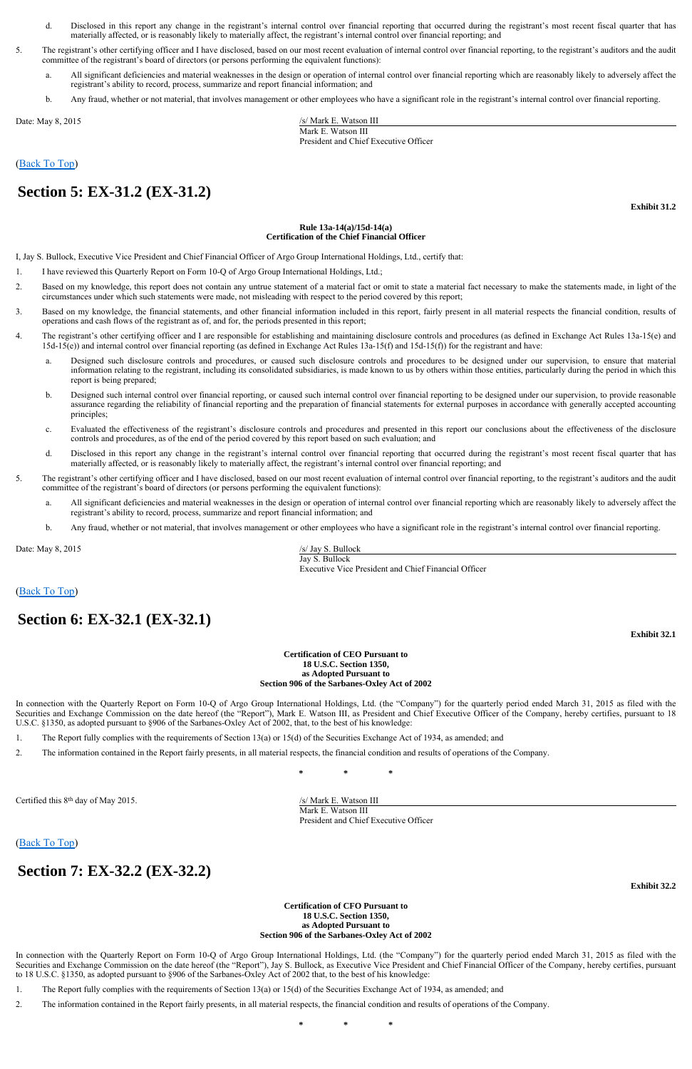## (Back To Top)

**Exhibit 31.2**

#### **Rule 13a-14(a)/15d-14(a) Certification of the Chief Financial Officer**

I, Jay S. Bullock, Executive Vice President and Chief Financial Officer of Argo Group International Holdings, Ltd., certify that:

In connection with the Quarterly Report on Form 10-Q of Argo Group International Holdings, Ltd. (the "Company") for the quarterly period ended March 31, 2015 as filed with the Securities and Exchange Commission on the date hereof (the "Report"), Mark E. Watson III, as President and Chief Executive Officer of the Company, hereby certifies, pursuant to 18 U.S.C. §1350, as adopted pursuant to §906 of the Sarbanes-Oxley Act of 2002, that, to the best of his knowledge:

## (Back To Top)

**Exhibit 32.1**

#### **Certification of CEO Pursuant to 18 U.S.C. Section 1350, as Adopted Pursuant to Section 906 of the Sarbanes-Oxley Act of 2002**

In connection with the Quarterly Report on Form 10-Q of Argo Group International Holdings, Ltd. (the "Company") for the quarterly period ended March 31, 2015 as filed with the Securities and Exchange Commission on the date hereof (the "Report"), Jay S. Bullock, as Executive Vice President and Chief Financial Officer of the Company, hereby certifies, pursuant to 18 U.S.C. §1350, as adopted pursuant to §906 of the Sarbanes-Oxley Act of 2002 that, to the best of his knowledge:

## (Back To Top)

**Exhibit 32.2**

#### **Certification of CFO Pursuant to 18 U.S.C. Section 1350, as Adopted Pursuant to Section 906 of the Sarbanes-Oxley Act of 2002**

Date: May 8, 2015 /s/ Mark E. Watson III Mark E. Watson III President and Chief Executive Officer

- d. Disclosed in this report any change in the registrant's internal control over financial reporting that occurred during the registrant's most recent fiscal quarter that has materially affected, or is reasonably likely to materially affect, the registrant's internal control over financial reporting; and
- 5. The registrant's other certifying officer and I have disclosed, based on our most recent evaluation of internal control over financial reporting, to the registrant's auditors and the audit committee of the registrant's board of directors (or persons performing the equivalent functions):
	- All significant deficiencies and material weaknesses in the design or operation of internal control over financial reporting which are reasonably likely to adversely affect the registrant's ability to record, process, summarize and report financial information; and
	- b. Any fraud, whether or not material, that involves management or other employees who have a significant role in the registrant's internal control over financial reporting.

# **Section 5: EX-31.2 (EX-31.2)**

Date: May 8, 2015 /s/ Jay S. Bullock Jay S. Bullock Executive Vice President and Chief Financial Officer

- 1. I have reviewed this Quarterly Report on Form 10-Q of Argo Group International Holdings, Ltd.;
- 2. Based on my knowledge, this report does not contain any untrue statement of a material fact or omit to state a material fact necessary to make the statements made, in light of the circumstances under which such statements were made, not misleading with respect to the period covered by this report;
- 3. Based on my knowledge, the financial statements, and other financial information included in this report, fairly present in all material respects the financial condition, results of operations and cash flows of the registrant as of, and for, the periods presented in this report;
- 4. The registrant's other certifying officer and I are responsible for establishing and maintaining disclosure controls and procedures (as defined in Exchange Act Rules 13a-15(e) and 15d-15(e)) and internal control over financial reporting (as defined in Exchange Act Rules 13a-15(f) and 15d-15(f)) for the registrant and have:
	- a. Designed such disclosure controls and procedures, or caused such disclosure controls and procedures to be designed under our supervision, to ensure that material information relating to the registrant, including its consolidated subsidiaries, is made known to us by others within those entities, particularly during the period in which this report is being prepared;
	- b. Designed such internal control over financial reporting, or caused such internal control over financial reporting to be designed under our supervision, to provide reasonable assurance regarding the reliability of financial reporting and the preparation of financial statements for external purposes in accordance with generally accepted accounting principles;
	- c. Evaluated the effectiveness of the registrant's disclosure controls and procedures and presented in this report our conclusions about the effectiveness of the disclosure controls and procedures, as of the end of the period covered by this report based on such evaluation; and
	- d. Disclosed in this report any change in the registrant's internal control over financial reporting that occurred during the registrant's most recent fiscal quarter that has materially affected, or is reasonably likely to materially affect, the registrant's internal control over financial reporting; and
- 5. The registrant's other certifying officer and I have disclosed, based on our most recent evaluation of internal control over financial reporting, to the registrant's auditors and the audit committee of the registrant's board of directors (or persons performing the equivalent functions):
	- a. All significant deficiencies and material weaknesses in the design or operation of internal control over financial reporting which are reasonably likely to adversely affect the registrant's ability to record, process, summarize and report financial information; and
	- b. Any fraud, whether or not material, that involves management or other employees who have a significant role in the registrant's internal control over financial reporting.

# **Section 6: EX-32.1 (EX-32.1)**

- 1. The Report fully complies with the requirements of Section 13(a) or 15(d) of the Securities Exchange Act of 1934, as amended; and
- 2. The information contained in the Report fairly presents, in all material respects, the financial condition and results of operations of the Company.

**\* \* \*** 

Certified this 8<sup>th</sup> day of May 2015. /s/ Mark E. Watson III

 Mark E. Watson III President and Chief Executive Officer

## **Section 7: EX-32.2 (EX-32.2)**

- 1. The Report fully complies with the requirements of Section 13(a) or 15(d) of the Securities Exchange Act of 1934, as amended; and
- 2. The information contained in the Report fairly presents, in all material respects, the financial condition and results of operations of the Company.

**\* \* \***